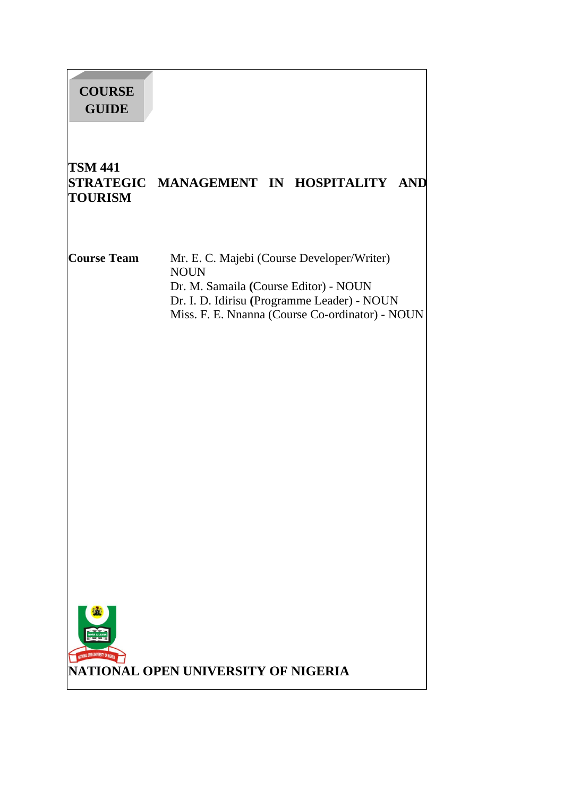| <b>COURSE</b><br><b>GUIDE</b>    |                                                                                                                                                                                                      |
|----------------------------------|------------------------------------------------------------------------------------------------------------------------------------------------------------------------------------------------------|
| <b>TSM 441</b><br><b>TOURISM</b> | STRATEGIC MANAGEMENT IN HOSPITALITY<br><b>AND</b>                                                                                                                                                    |
| <b>Course Team</b>               | Mr. E. C. Majebi (Course Developer/Writer)<br><b>NOUN</b><br>Dr. M. Samaila (Course Editor) - NOUN<br>Dr. I. D. Idirisu (Programme Leader) - NOUN<br>Miss. F. E. Nnanna (Course Co-ordinator) - NOUN |
|                                  | NATIONAL OPEN UNIVERSITY OF NIGERIA                                                                                                                                                                  |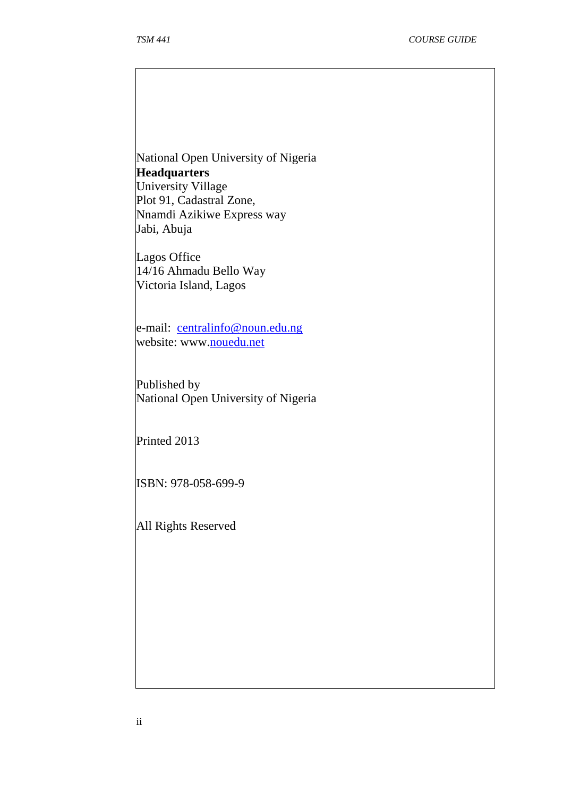National Open University of Nigeria **Headquarters**  University Village Plot 91, Cadastral Zone, Nnamdi Azikiwe Express way Jabi, Abuja

Lagos Office 14/16 Ahmadu Bello Way Victoria Island, Lagos

e-mail: centralinfo@noun.edu.ng website: www.nouedu.net

Published by National Open University of Nigeria

Printed 2013

ISBN: 978-058-699-9

All Rights Reserved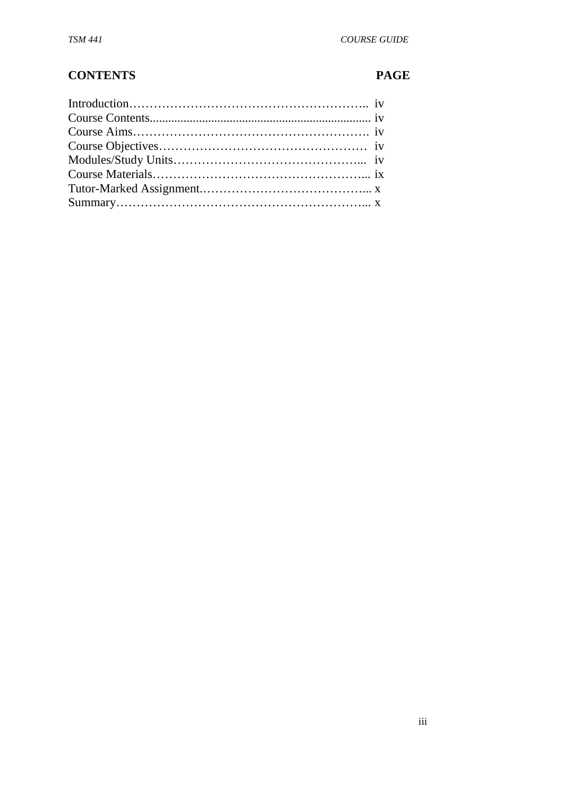# **CONTENTS PAGE**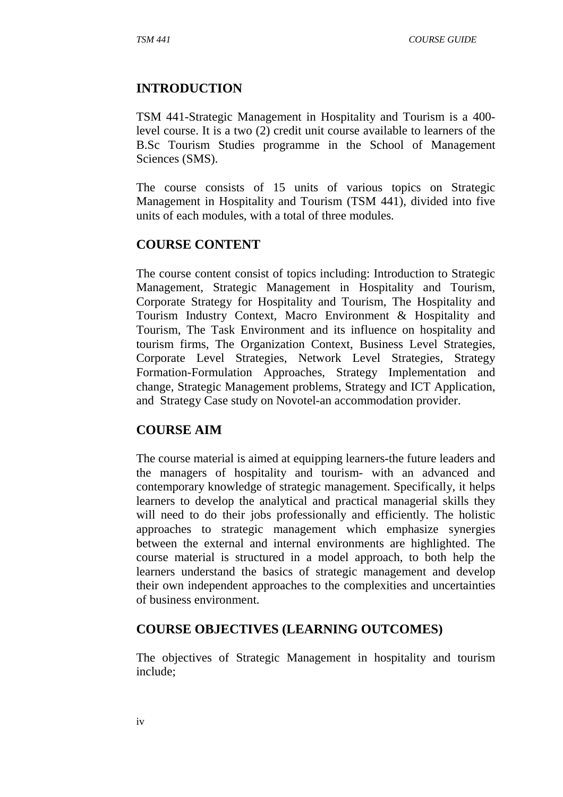#### **INTRODUCTION**

TSM 441-Strategic Management in Hospitality and Tourism is a 400 level course. It is a two (2) credit unit course available to learners of the B.Sc Tourism Studies programme in the School of Management Sciences (SMS).

The course consists of 15 units of various topics on Strategic Management in Hospitality and Tourism (TSM 441), divided into five units of each modules, with a total of three modules.

#### **COURSE CONTENT**

The course content consist of topics including: Introduction to Strategic Management, Strategic Management in Hospitality and Tourism, Corporate Strategy for Hospitality and Tourism, The Hospitality and Tourism Industry Context, Macro Environment & Hospitality and Tourism, The Task Environment and its influence on hospitality and tourism firms, The Organization Context, Business Level Strategies, Corporate Level Strategies, Network Level Strategies, Strategy Formation-Formulation Approaches, Strategy Implementation and change, Strategic Management problems, Strategy and ICT Application, and Strategy Case study on Novotel-an accommodation provider.

#### **COURSE AIM**

The course material is aimed at equipping learners-the future leaders and the managers of hospitality and tourism- with an advanced and contemporary knowledge of strategic management. Specifically, it helps learners to develop the analytical and practical managerial skills they will need to do their jobs professionally and efficiently. The holistic approaches to strategic management which emphasize synergies between the external and internal environments are highlighted. The course material is structured in a model approach, to both help the learners understand the basics of strategic management and develop their own independent approaches to the complexities and uncertainties of business environment.

#### **COURSE OBJECTIVES (LEARNING OUTCOMES)**

The objectives of Strategic Management in hospitality and tourism include;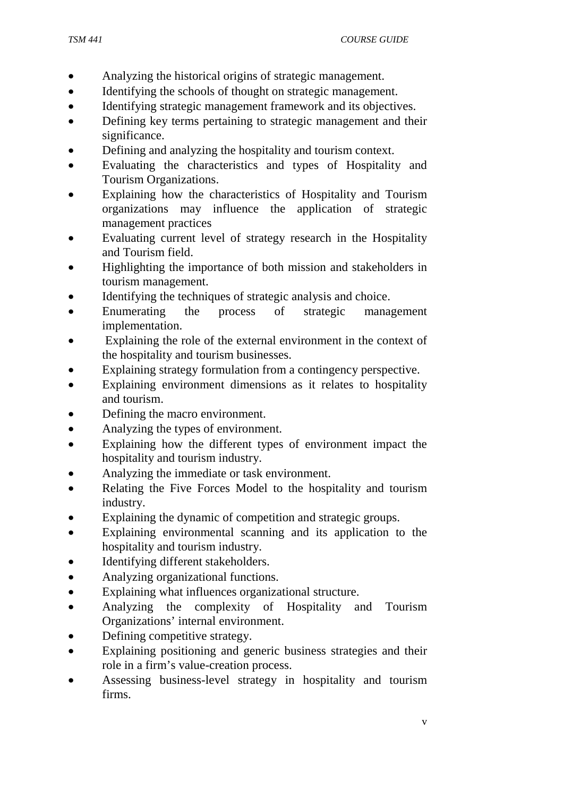- Analyzing the historical origins of strategic management.
- Identifying the schools of thought on strategic management.
- Identifying strategic management framework and its objectives.
- Defining key terms pertaining to strategic management and their significance.
- Defining and analyzing the hospitality and tourism context.
- Evaluating the characteristics and types of Hospitality and Tourism Organizations.
- Explaining how the characteristics of Hospitality and Tourism organizations may influence the application of strategic management practices
- Evaluating current level of strategy research in the Hospitality and Tourism field.
- Highlighting the importance of both mission and stakeholders in tourism management.
- Identifying the techniques of strategic analysis and choice.
- Enumerating the process of strategic management implementation.
- Explaining the role of the external environment in the context of the hospitality and tourism businesses.
- Explaining strategy formulation from a contingency perspective.
- Explaining environment dimensions as it relates to hospitality and tourism.
- Defining the macro environment.
- Analyzing the types of environment.
- Explaining how the different types of environment impact the hospitality and tourism industry.
- Analyzing the immediate or task environment.
- Relating the Five Forces Model to the hospitality and tourism industry.
- Explaining the dynamic of competition and strategic groups.
- Explaining environmental scanning and its application to the hospitality and tourism industry.
- Identifying different stakeholders.
- Analyzing organizational functions.
- Explaining what influences organizational structure.
- Analyzing the complexity of Hospitality and Tourism Organizations' internal environment.
- Defining competitive strategy.
- Explaining positioning and generic business strategies and their role in a firm's value-creation process.
- Assessing business-level strategy in hospitality and tourism firms.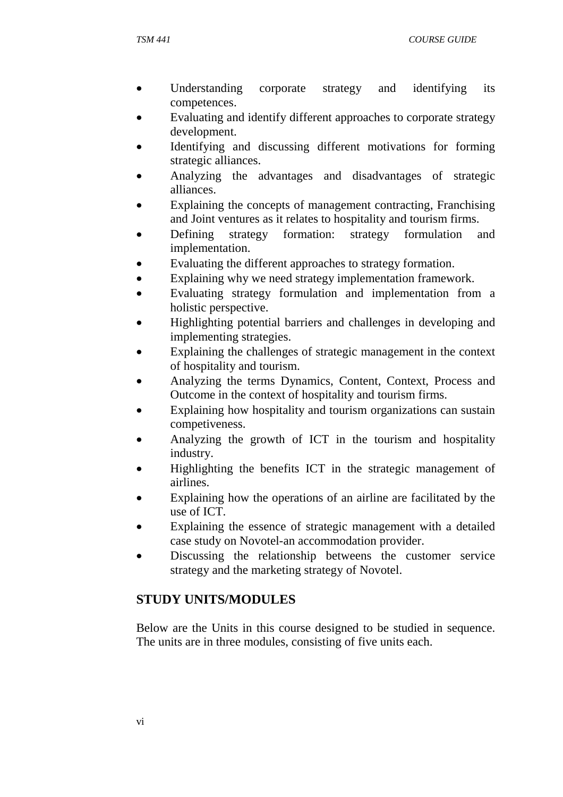- Understanding corporate strategy and identifying its competences.
- Evaluating and identify different approaches to corporate strategy development.
- Identifying and discussing different motivations for forming strategic alliances.
- Analyzing the advantages and disadvantages of strategic alliances.
- Explaining the concepts of management contracting, Franchising and Joint ventures as it relates to hospitality and tourism firms.
- Defining strategy formation: strategy formulation and implementation.
- Evaluating the different approaches to strategy formation.
- Explaining why we need strategy implementation framework.
- Evaluating strategy formulation and implementation from a holistic perspective.
- Highlighting potential barriers and challenges in developing and implementing strategies.
- Explaining the challenges of strategic management in the context of hospitality and tourism.
- Analyzing the terms Dynamics, Content, Context, Process and Outcome in the context of hospitality and tourism firms.
- Explaining how hospitality and tourism organizations can sustain competiveness.
- Analyzing the growth of ICT in the tourism and hospitality industry.
- Highlighting the benefits ICT in the strategic management of airlines.
- Explaining how the operations of an airline are facilitated by the use of ICT.
- Explaining the essence of strategic management with a detailed case study on Novotel-an accommodation provider.
- Discussing the relationship betweens the customer service strategy and the marketing strategy of Novotel.

## **STUDY UNITS/MODULES**

Below are the Units in this course designed to be studied in sequence. The units are in three modules, consisting of five units each.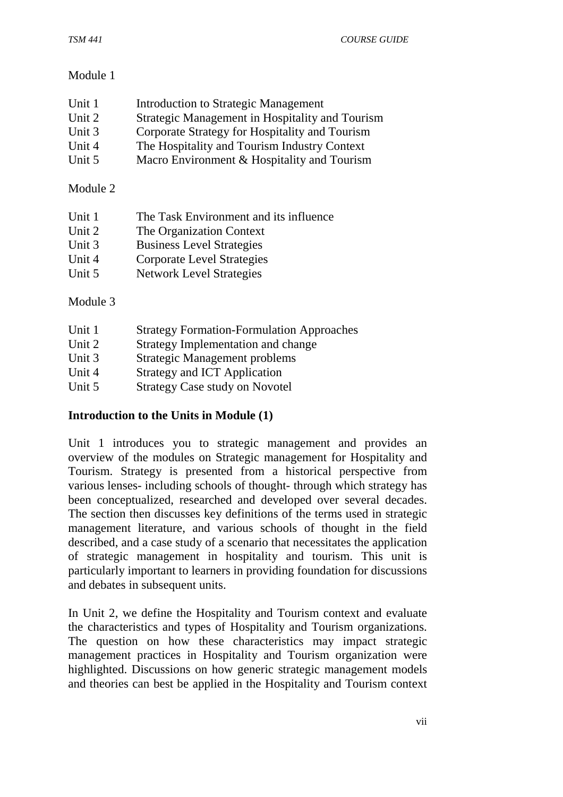#### Module 1

| Unit 1 | <b>Introduction to Strategic Management</b>     |
|--------|-------------------------------------------------|
| Unit 2 | Strategic Management in Hospitality and Tourism |
| Unit 3 | Corporate Strategy for Hospitality and Tourism  |
| Unit 4 | The Hospitality and Tourism Industry Context    |
| Unit 5 | Macro Environment & Hospitality and Tourism     |

#### Module 2

| The Task Environment and its influence |
|----------------------------------------|
| The Organization Context               |
| <b>Business Level Strategies</b>       |
| Corporate Level Strategies             |
| <b>Network Level Strategies</b>        |
|                                        |

Module 3

| Unit 1 | <b>Strategy Formation-Formulation Approaches</b> |
|--------|--------------------------------------------------|
| Unit 2 | Strategy Implementation and change               |
| Unit 3 | <b>Strategic Management problems</b>             |
| Unit 4 | <b>Strategy and ICT Application</b>              |
| Unit 5 | <b>Strategy Case study on Novotel</b>            |

## **Introduction to the Units in Module (1)**

Unit 1 introduces you to strategic management and provides an overview of the modules on Strategic management for Hospitality and Tourism. Strategy is presented from a historical perspective from various lenses- including schools of thought- through which strategy has been conceptualized, researched and developed over several decades. The section then discusses key definitions of the terms used in strategic management literature, and various schools of thought in the field described, and a case study of a scenario that necessitates the application of strategic management in hospitality and tourism. This unit is particularly important to learners in providing foundation for discussions and debates in subsequent units.

In Unit 2, we define the Hospitality and Tourism context and evaluate the characteristics and types of Hospitality and Tourism organizations. The question on how these characteristics may impact strategic management practices in Hospitality and Tourism organization were highlighted. Discussions on how generic strategic management models and theories can best be applied in the Hospitality and Tourism context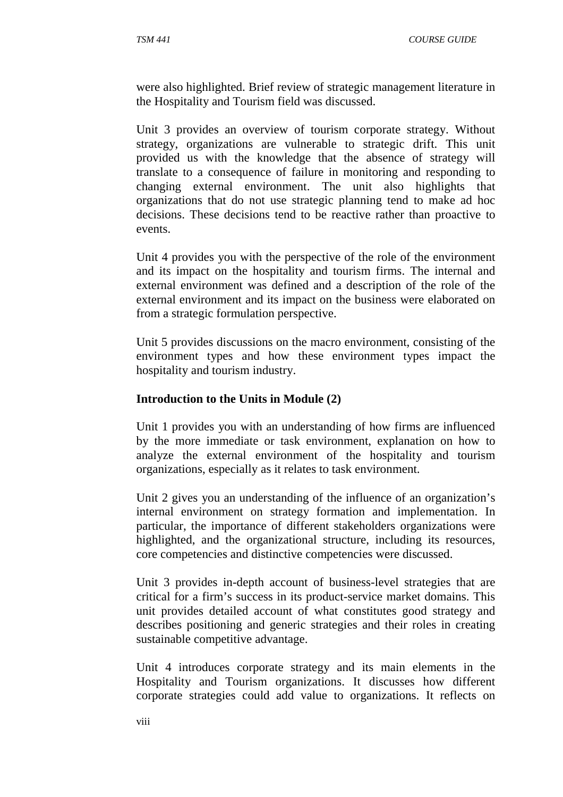were also highlighted. Brief review of strategic management literature in the Hospitality and Tourism field was discussed.

Unit 3 provides an overview of tourism corporate strategy. Without strategy, organizations are vulnerable to strategic drift. This unit provided us with the knowledge that the absence of strategy will translate to a consequence of failure in monitoring and responding to changing external environment. The unit also highlights that organizations that do not use strategic planning tend to make ad hoc decisions. These decisions tend to be reactive rather than proactive to events.

Unit 4 provides you with the perspective of the role of the environment and its impact on the hospitality and tourism firms. The internal and external environment was defined and a description of the role of the external environment and its impact on the business were elaborated on from a strategic formulation perspective.

Unit 5 provides discussions on the macro environment, consisting of the environment types and how these environment types impact the hospitality and tourism industry.

#### **Introduction to the Units in Module (2)**

Unit 1 provides you with an understanding of how firms are influenced by the more immediate or task environment, explanation on how to analyze the external environment of the hospitality and tourism organizations, especially as it relates to task environment.

Unit 2 gives you an understanding of the influence of an organization's internal environment on strategy formation and implementation. In particular, the importance of different stakeholders organizations were highlighted, and the organizational structure, including its resources, core competencies and distinctive competencies were discussed.

Unit 3 provides in-depth account of business-level strategies that are critical for a firm's success in its product-service market domains. This unit provides detailed account of what constitutes good strategy and describes positioning and generic strategies and their roles in creating sustainable competitive advantage.

Unit 4 introduces corporate strategy and its main elements in the Hospitality and Tourism organizations. It discusses how different corporate strategies could add value to organizations. It reflects on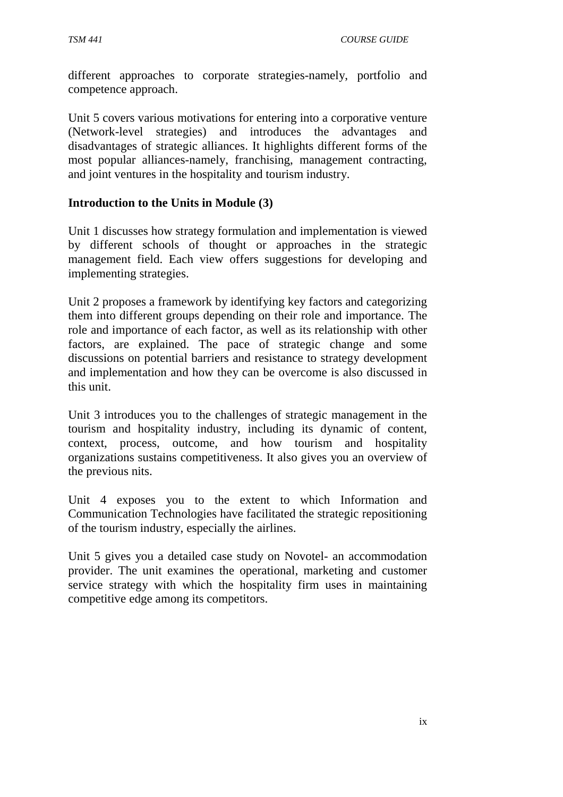different approaches to corporate strategies-namely, portfolio and competence approach.

Unit 5 covers various motivations for entering into a corporative venture (Network-level strategies) and introduces the advantages and disadvantages of strategic alliances. It highlights different forms of the most popular alliances-namely, franchising, management contracting, and joint ventures in the hospitality and tourism industry.

#### **Introduction to the Units in Module (3)**

Unit 1 discusses how strategy formulation and implementation is viewed by different schools of thought or approaches in the strategic management field. Each view offers suggestions for developing and implementing strategies.

Unit 2 proposes a framework by identifying key factors and categorizing them into different groups depending on their role and importance. The role and importance of each factor, as well as its relationship with other factors, are explained. The pace of strategic change and some discussions on potential barriers and resistance to strategy development and implementation and how they can be overcome is also discussed in this unit.

Unit 3 introduces you to the challenges of strategic management in the tourism and hospitality industry, including its dynamic of content, context, process, outcome, and how tourism and hospitality organizations sustains competitiveness. It also gives you an overview of the previous nits.

Unit 4 exposes you to the extent to which Information and Communication Technologies have facilitated the strategic repositioning of the tourism industry, especially the airlines.

Unit 5 gives you a detailed case study on Novotel- an accommodation provider. The unit examines the operational, marketing and customer service strategy with which the hospitality firm uses in maintaining competitive edge among its competitors.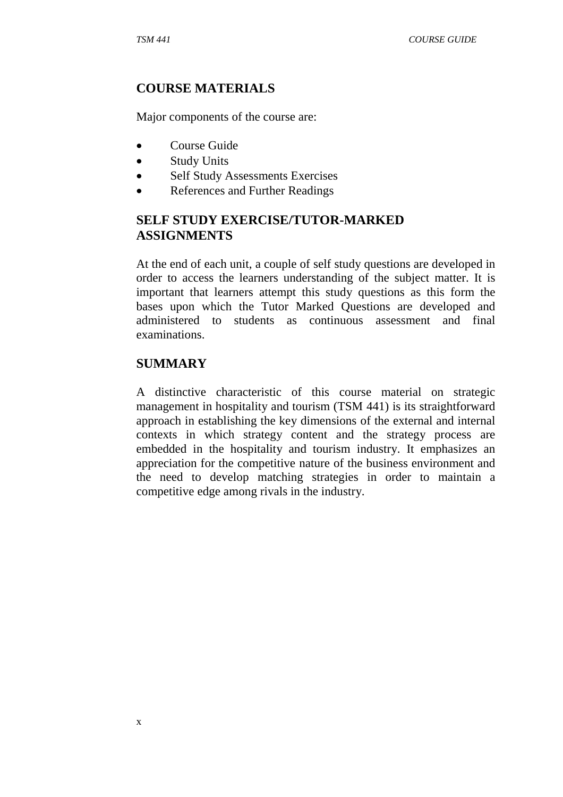## **COURSE MATERIALS**

Major components of the course are:

- Course Guide
- Study Units
- Self Study Assessments Exercises
- References and Further Readings

#### **SELF STUDY EXERCISE/TUTOR-MARKED ASSIGNMENTS**

At the end of each unit, a couple of self study questions are developed in order to access the learners understanding of the subject matter. It is important that learners attempt this study questions as this form the bases upon which the Tutor Marked Questions are developed and administered to students as continuous assessment and final examinations.

#### **SUMMARY**

A distinctive characteristic of this course material on strategic management in hospitality and tourism (TSM 441) is its straightforward approach in establishing the key dimensions of the external and internal contexts in which strategy content and the strategy process are embedded in the hospitality and tourism industry. It emphasizes an appreciation for the competitive nature of the business environment and the need to develop matching strategies in order to maintain a competitive edge among rivals in the industry.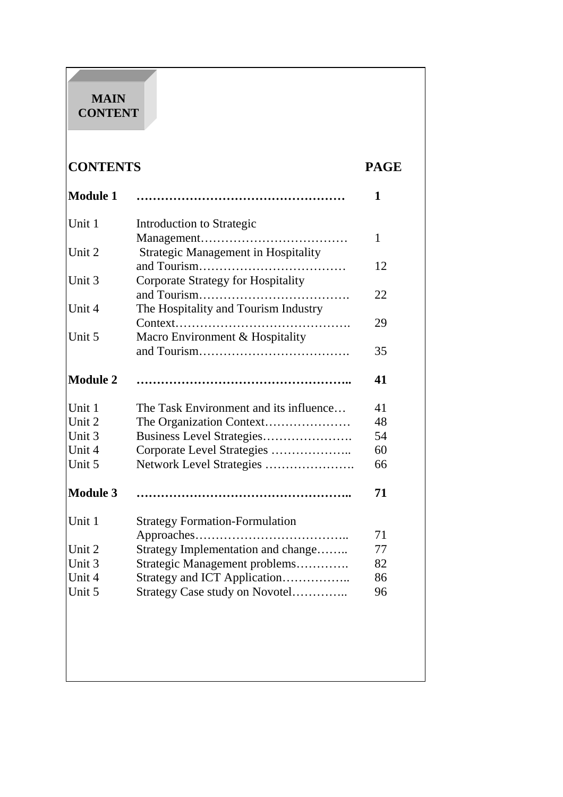#### **MAIN CONTENT**

# **CONTENTS PAGE**

| <b>Module 1</b> |                                            | 1  |
|-----------------|--------------------------------------------|----|
| Unit 1          | <b>Introduction to Strategic</b>           |    |
|                 |                                            | 1  |
| Unit 2          | <b>Strategic Management in Hospitality</b> |    |
|                 | and Tourism                                | 12 |
| Unit 3          | <b>Corporate Strategy for Hospitality</b>  |    |
|                 |                                            | 22 |
| Unit 4          | The Hospitality and Tourism Industry       |    |
|                 |                                            | 29 |
| Unit 5          | Macro Environment & Hospitality            |    |
|                 |                                            | 35 |
| <b>Module 2</b> |                                            | 41 |
| Unit 1          | The Task Environment and its influence     | 41 |
| Unit 2          |                                            | 48 |
| Unit 3          | Business Level Strategies                  | 54 |
| Unit 4          | Corporate Level Strategies                 | 60 |
| Unit 5          | Network Level Strategies                   | 66 |
| <b>Module 3</b> |                                            | 71 |
| Unit 1          | <b>Strategy Formation-Formulation</b>      |    |
|                 |                                            | 71 |
| Unit 2          | Strategy Implementation and change         | 77 |
| Unit 3          | Strategic Management problems              | 82 |
| Unit 4          | Strategy and ICT Application               | 86 |
| Unit 5          | Strategy Case study on Novotel             | 96 |
|                 |                                            |    |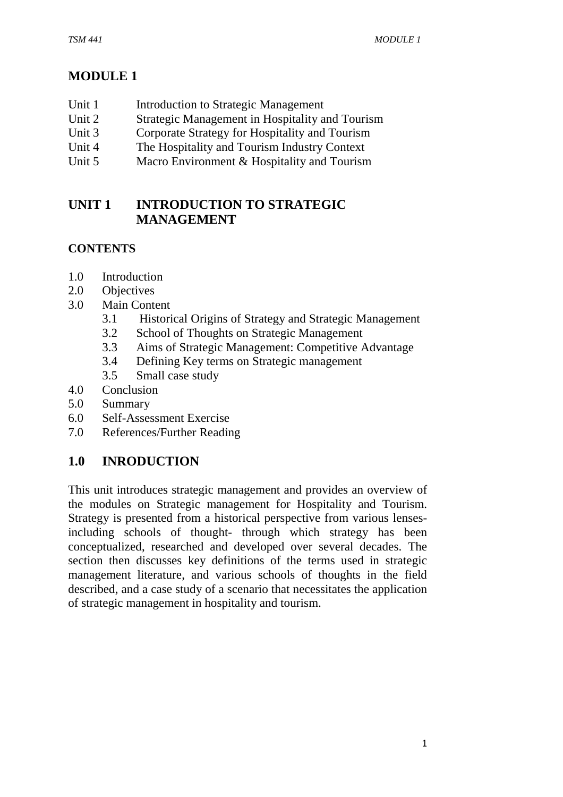# **MODULE 1**

Unit 1 Introduction to Strategic Management Unit 2 Strategic Management in Hospitality and Tourism Unit 3 Corporate Strategy for Hospitality and Tourism Unit 4 The Hospitality and Tourism Industry Context Unit 5 Macro Environment & Hospitality and Tourism

# **UNIT 1 INTRODUCTION TO STRATEGIC MANAGEMENT**

## **CONTENTS**

- 1.0 Introduction
- 2.0 Objectives
- 3.0 Main Content
	- 3.1 Historical Origins of Strategy and Strategic Management
	- 3.2 School of Thoughts on Strategic Management
	- 3.3 Aims of Strategic Management: Competitive Advantage
	- 3.4 Defining Key terms on Strategic management
	- 3.5 Small case study
- 4.0 Conclusion
- 5.0 Summary
- 6.0 Self-Assessment Exercise
- 7.0 References/Further Reading

## **1.0 INRODUCTION**

This unit introduces strategic management and provides an overview of the modules on Strategic management for Hospitality and Tourism. Strategy is presented from a historical perspective from various lensesincluding schools of thought- through which strategy has been conceptualized, researched and developed over several decades. The section then discusses key definitions of the terms used in strategic management literature, and various schools of thoughts in the field described, and a case study of a scenario that necessitates the application of strategic management in hospitality and tourism.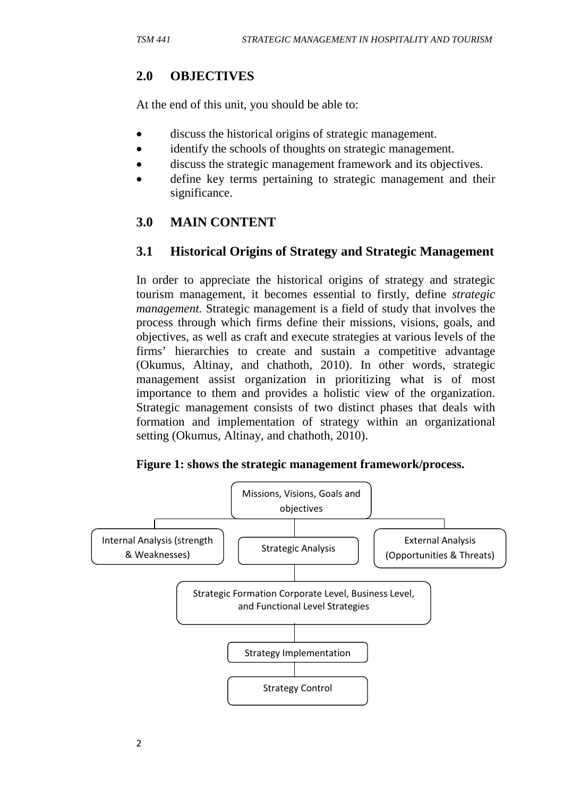# **2.0 OBJECTIVES**

At the end of this unit, you should be able to:

- discuss the historical origins of strategic management.
- identify the schools of thoughts on strategic management.
- discuss the strategic management framework and its objectives.
- define key terms pertaining to strategic management and their significance.

# **3.0 MAIN CONTENT**

## **3.1 Historical Origins of Strategy and Strategic Management**

In order to appreciate the historical origins of strategy and strategic tourism management, it becomes essential to firstly, define *strategic management.* Strategic management is a field of study that involves the process through which firms define their missions, visions, goals, and objectives, as well as craft and execute strategies at various levels of the firms' hierarchies to create and sustain a competitive advantage (Okumus, Altinay, and chathoth, 2010). In other words, strategic management assist organization in prioritizing what is of most importance to them and provides a holistic view of the organization. Strategic management consists of two distinct phases that deals with formation and implementation of strategy within an organizational setting (Okumus, Altinay, and chathoth, 2010).

#### **Figure 1: shows the strategic management framework/process.**

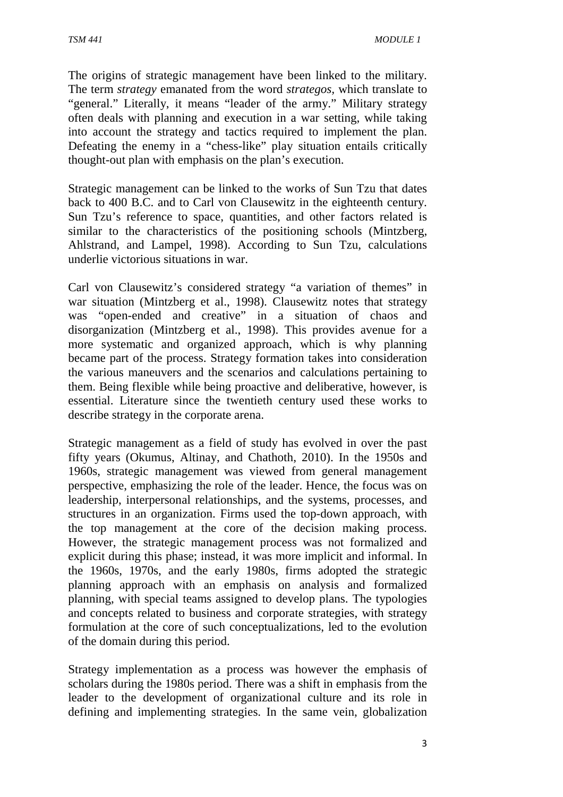The origins of strategic management have been linked to the military. The term *strategy* emanated from the word *strategos,* which translate to "general." Literally, it means "leader of the army." Military strategy often deals with planning and execution in a war setting, while taking into account the strategy and tactics required to implement the plan. Defeating the enemy in a "chess-like" play situation entails critically thought-out plan with emphasis on the plan's execution.

Strategic management can be linked to the works of Sun Tzu that dates back to 400 B.C. and to Carl von Clausewitz in the eighteenth century. Sun Tzu's reference to space, quantities, and other factors related is similar to the characteristics of the positioning schools (Mintzberg, Ahlstrand, and Lampel, 1998). According to Sun Tzu, calculations underlie victorious situations in war.

Carl von Clausewitz's considered strategy "a variation of themes" in war situation (Mintzberg et al., 1998). Clausewitz notes that strategy was "open-ended and creative" in a situation of chaos and disorganization (Mintzberg et al., 1998). This provides avenue for a more systematic and organized approach, which is why planning became part of the process. Strategy formation takes into consideration the various maneuvers and the scenarios and calculations pertaining to them. Being flexible while being proactive and deliberative, however, is essential. Literature since the twentieth century used these works to describe strategy in the corporate arena.

Strategic management as a field of study has evolved in over the past fifty years (Okumus, Altinay, and Chathoth, 2010). In the 1950s and 1960s, strategic management was viewed from general management perspective, emphasizing the role of the leader. Hence, the focus was on leadership, interpersonal relationships, and the systems, processes, and structures in an organization. Firms used the top-down approach, with the top management at the core of the decision making process. However, the strategic management process was not formalized and explicit during this phase; instead, it was more implicit and informal. In the 1960s, 1970s, and the early 1980s, firms adopted the strategic planning approach with an emphasis on analysis and formalized planning, with special teams assigned to develop plans. The typologies and concepts related to business and corporate strategies, with strategy formulation at the core of such conceptualizations, led to the evolution of the domain during this period.

Strategy implementation as a process was however the emphasis of scholars during the 1980s period. There was a shift in emphasis from the leader to the development of organizational culture and its role in defining and implementing strategies. In the same vein, globalization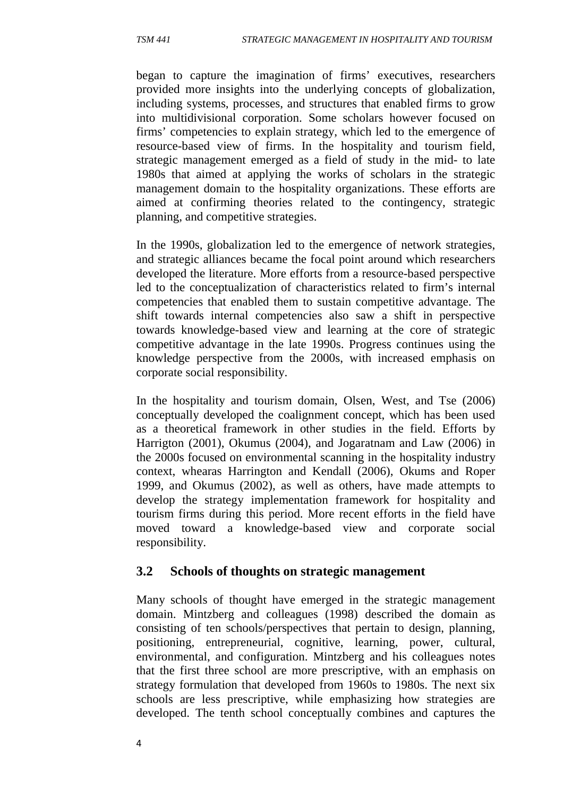began to capture the imagination of firms' executives, researchers provided more insights into the underlying concepts of globalization, including systems, processes, and structures that enabled firms to grow into multidivisional corporation. Some scholars however focused on firms' competencies to explain strategy, which led to the emergence of resource-based view of firms. In the hospitality and tourism field, strategic management emerged as a field of study in the mid- to late 1980s that aimed at applying the works of scholars in the strategic management domain to the hospitality organizations. These efforts are aimed at confirming theories related to the contingency, strategic planning, and competitive strategies.

In the 1990s, globalization led to the emergence of network strategies, and strategic alliances became the focal point around which researchers developed the literature. More efforts from a resource-based perspective led to the conceptualization of characteristics related to firm's internal competencies that enabled them to sustain competitive advantage. The shift towards internal competencies also saw a shift in perspective towards knowledge-based view and learning at the core of strategic competitive advantage in the late 1990s. Progress continues using the knowledge perspective from the 2000s, with increased emphasis on corporate social responsibility.

In the hospitality and tourism domain, Olsen, West, and Tse (2006) conceptually developed the coalignment concept, which has been used as a theoretical framework in other studies in the field. Efforts by Harrigton (2001), Okumus (2004), and Jogaratnam and Law (2006) in the 2000s focused on environmental scanning in the hospitality industry context, whearas Harrington and Kendall (2006), Okums and Roper 1999, and Okumus (2002), as well as others, have made attempts to develop the strategy implementation framework for hospitality and tourism firms during this period. More recent efforts in the field have moved toward a knowledge-based view and corporate social responsibility.

#### **3.2 Schools of thoughts on strategic management**

Many schools of thought have emerged in the strategic management domain. Mintzberg and colleagues (1998) described the domain as consisting of ten schools/perspectives that pertain to design, planning, positioning, entrepreneurial, cognitive, learning, power, cultural, environmental, and configuration. Mintzberg and his colleagues notes that the first three school are more prescriptive, with an emphasis on strategy formulation that developed from 1960s to 1980s. The next six schools are less prescriptive, while emphasizing how strategies are developed. The tenth school conceptually combines and captures the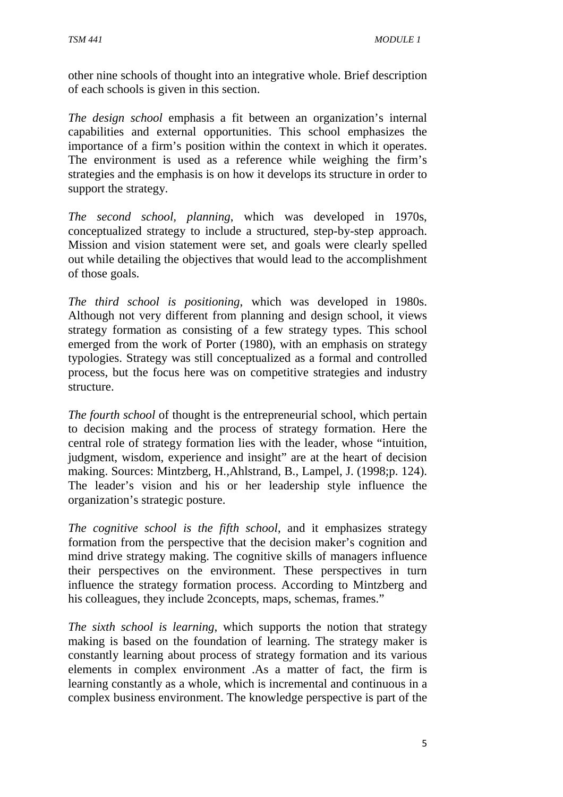other nine schools of thought into an integrative whole. Brief description of each schools is given in this section.

*The design school* emphasis a fit between an organization's internal capabilities and external opportunities. This school emphasizes the importance of a firm's position within the context in which it operates. The environment is used as a reference while weighing the firm's strategies and the emphasis is on how it develops its structure in order to support the strategy.

*The second school, planning*, which was developed in 1970s, conceptualized strategy to include a structured, step-by-step approach. Mission and vision statement were set, and goals were clearly spelled out while detailing the objectives that would lead to the accomplishment of those goals.

*The third school is positioning*, which was developed in 1980s. Although not very different from planning and design school, it views strategy formation as consisting of a few strategy types. This school emerged from the work of Porter (1980), with an emphasis on strategy typologies. Strategy was still conceptualized as a formal and controlled process, but the focus here was on competitive strategies and industry structure.

*The fourth school* of thought is the entrepreneurial school, which pertain to decision making and the process of strategy formation. Here the central role of strategy formation lies with the leader, whose "intuition, judgment, wisdom, experience and insight" are at the heart of decision making. Sources: Mintzberg, H.,Ahlstrand, B., Lampel, J. (1998;p. 124). The leader's vision and his or her leadership style influence the organization's strategic posture.

*The cognitive school is the fifth school*, and it emphasizes strategy formation from the perspective that the decision maker's cognition and mind drive strategy making. The cognitive skills of managers influence their perspectives on the environment. These perspectives in turn influence the strategy formation process. According to Mintzberg and his colleagues, they include 2concepts, maps, schemas, frames."

*The sixth school is learning*, which supports the notion that strategy making is based on the foundation of learning. The strategy maker is constantly learning about process of strategy formation and its various elements in complex environment .As a matter of fact, the firm is learning constantly as a whole, which is incremental and continuous in a complex business environment. The knowledge perspective is part of the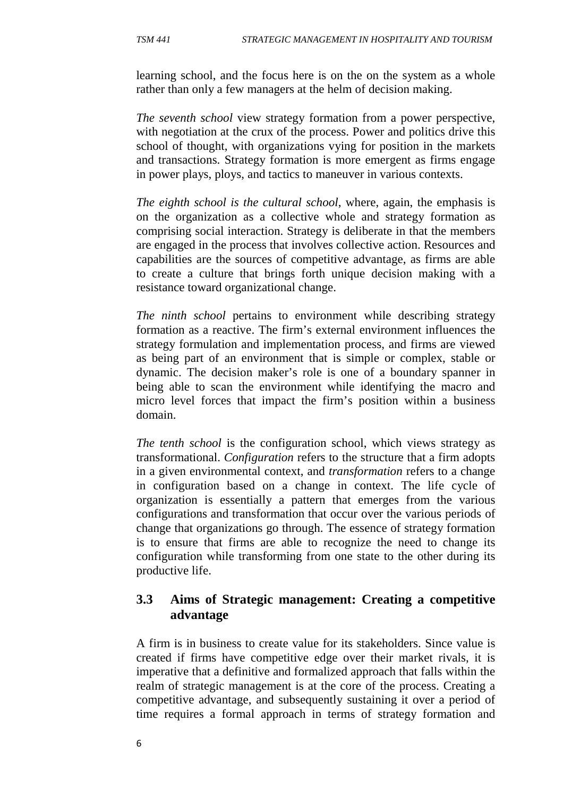learning school, and the focus here is on the on the system as a whole rather than only a few managers at the helm of decision making.

*The seventh school* view strategy formation from a power perspective, with negotiation at the crux of the process. Power and politics drive this school of thought, with organizations vying for position in the markets and transactions. Strategy formation is more emergent as firms engage in power plays, ploys, and tactics to maneuver in various contexts.

*The eighth school is the cultural school*, where, again, the emphasis is on the organization as a collective whole and strategy formation as comprising social interaction. Strategy is deliberate in that the members are engaged in the process that involves collective action. Resources and capabilities are the sources of competitive advantage, as firms are able to create a culture that brings forth unique decision making with a resistance toward organizational change.

*The ninth school* pertains to environment while describing strategy formation as a reactive. The firm's external environment influences the strategy formulation and implementation process, and firms are viewed as being part of an environment that is simple or complex, stable or dynamic. The decision maker's role is one of a boundary spanner in being able to scan the environment while identifying the macro and micro level forces that impact the firm's position within a business domain.

*The tenth school* is the configuration school, which views strategy as transformational. *Configuration* refers to the structure that a firm adopts in a given environmental context, and *transformation* refers to a change in configuration based on a change in context. The life cycle of organization is essentially a pattern that emerges from the various configurations and transformation that occur over the various periods of change that organizations go through. The essence of strategy formation is to ensure that firms are able to recognize the need to change its configuration while transforming from one state to the other during its productive life.

#### **3.3 Aims of Strategic management: Creating a competitive advantage**

A firm is in business to create value for its stakeholders. Since value is created if firms have competitive edge over their market rivals, it is imperative that a definitive and formalized approach that falls within the realm of strategic management is at the core of the process. Creating a competitive advantage, and subsequently sustaining it over a period of time requires a formal approach in terms of strategy formation and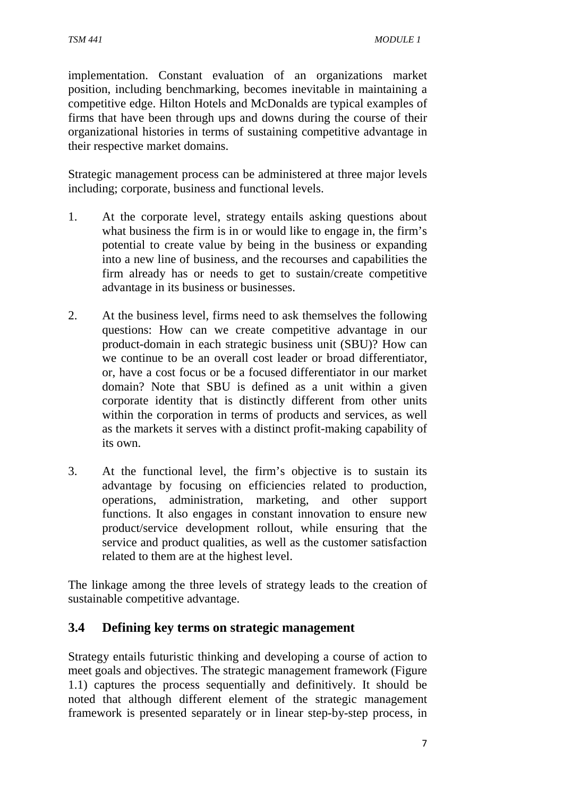implementation. Constant evaluation of an organizations market position, including benchmarking, becomes inevitable in maintaining a competitive edge. Hilton Hotels and McDonalds are typical examples of firms that have been through ups and downs during the course of their organizational histories in terms of sustaining competitive advantage in their respective market domains.

Strategic management process can be administered at three major levels including; corporate, business and functional levels.

- 1. At the corporate level, strategy entails asking questions about what business the firm is in or would like to engage in, the firm's potential to create value by being in the business or expanding into a new line of business, and the recourses and capabilities the firm already has or needs to get to sustain/create competitive advantage in its business or businesses.
- 2. At the business level, firms need to ask themselves the following questions: How can we create competitive advantage in our product-domain in each strategic business unit (SBU)? How can we continue to be an overall cost leader or broad differentiator, or, have a cost focus or be a focused differentiator in our market domain? Note that SBU is defined as a unit within a given corporate identity that is distinctly different from other units within the corporation in terms of products and services, as well as the markets it serves with a distinct profit-making capability of its own.
- 3. At the functional level, the firm's objective is to sustain its advantage by focusing on efficiencies related to production, operations, administration, marketing, and other support functions. It also engages in constant innovation to ensure new product/service development rollout, while ensuring that the service and product qualities, as well as the customer satisfaction related to them are at the highest level.

The linkage among the three levels of strategy leads to the creation of sustainable competitive advantage.

## **3.4 Defining key terms on strategic management**

Strategy entails futuristic thinking and developing a course of action to meet goals and objectives. The strategic management framework (Figure 1.1) captures the process sequentially and definitively. It should be noted that although different element of the strategic management framework is presented separately or in linear step-by-step process, in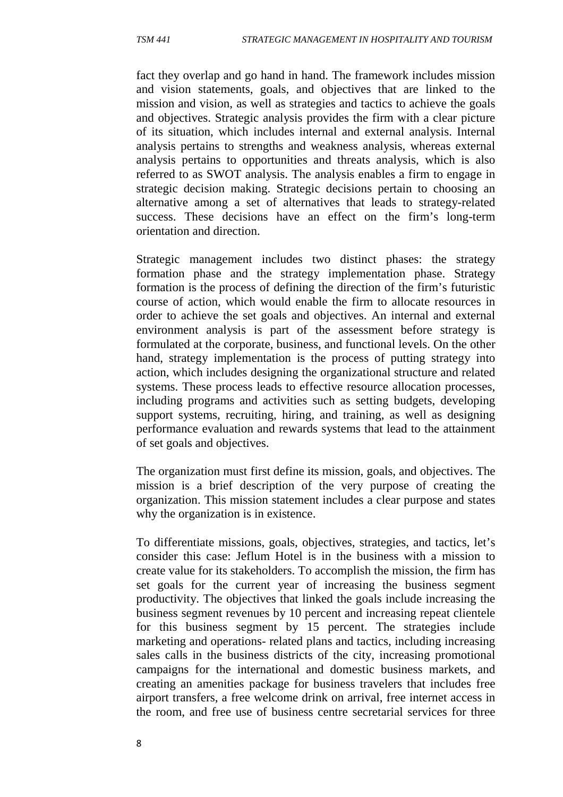fact they overlap and go hand in hand. The framework includes mission and vision statements, goals, and objectives that are linked to the mission and vision, as well as strategies and tactics to achieve the goals and objectives. Strategic analysis provides the firm with a clear picture of its situation, which includes internal and external analysis. Internal analysis pertains to strengths and weakness analysis, whereas external analysis pertains to opportunities and threats analysis, which is also referred to as SWOT analysis. The analysis enables a firm to engage in strategic decision making. Strategic decisions pertain to choosing an alternative among a set of alternatives that leads to strategy-related success. These decisions have an effect on the firm's long-term orientation and direction.

Strategic management includes two distinct phases: the strategy formation phase and the strategy implementation phase. Strategy formation is the process of defining the direction of the firm's futuristic course of action, which would enable the firm to allocate resources in order to achieve the set goals and objectives. An internal and external environment analysis is part of the assessment before strategy is formulated at the corporate, business, and functional levels. On the other hand, strategy implementation is the process of putting strategy into action, which includes designing the organizational structure and related systems. These process leads to effective resource allocation processes, including programs and activities such as setting budgets, developing support systems, recruiting, hiring, and training, as well as designing performance evaluation and rewards systems that lead to the attainment of set goals and objectives.

The organization must first define its mission, goals, and objectives. The mission is a brief description of the very purpose of creating the organization. This mission statement includes a clear purpose and states why the organization is in existence.

To differentiate missions, goals, objectives, strategies, and tactics, let's consider this case: Jeflum Hotel is in the business with a mission to create value for its stakeholders. To accomplish the mission, the firm has set goals for the current year of increasing the business segment productivity. The objectives that linked the goals include increasing the business segment revenues by 10 percent and increasing repeat clientele for this business segment by 15 percent. The strategies include marketing and operations- related plans and tactics, including increasing sales calls in the business districts of the city, increasing promotional campaigns for the international and domestic business markets, and creating an amenities package for business travelers that includes free airport transfers, a free welcome drink on arrival, free internet access in the room, and free use of business centre secretarial services for three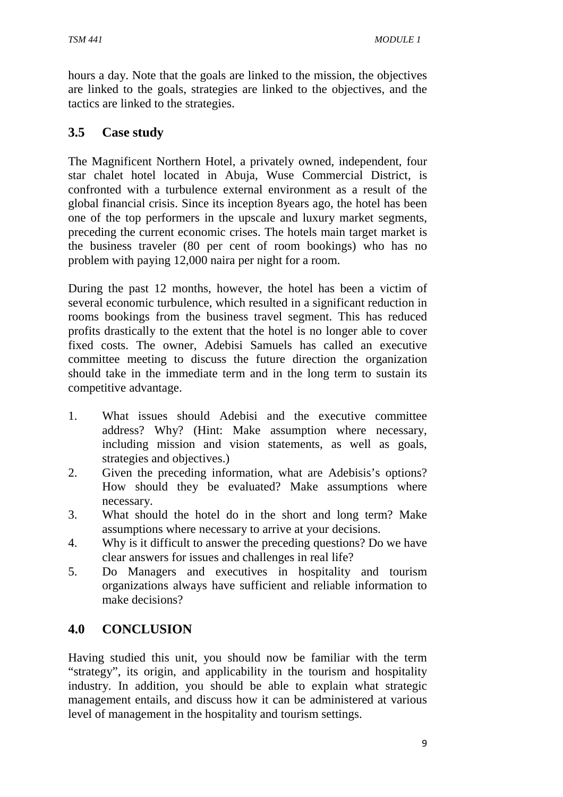hours a day. Note that the goals are linked to the mission, the objectives are linked to the goals, strategies are linked to the objectives, and the tactics are linked to the strategies.

## **3.5 Case study**

The Magnificent Northern Hotel, a privately owned, independent, four star chalet hotel located in Abuja, Wuse Commercial District, is confronted with a turbulence external environment as a result of the global financial crisis. Since its inception 8years ago, the hotel has been one of the top performers in the upscale and luxury market segments, preceding the current economic crises. The hotels main target market is the business traveler (80 per cent of room bookings) who has no problem with paying 12,000 naira per night for a room.

During the past 12 months, however, the hotel has been a victim of several economic turbulence, which resulted in a significant reduction in rooms bookings from the business travel segment. This has reduced profits drastically to the extent that the hotel is no longer able to cover fixed costs. The owner, Adebisi Samuels has called an executive committee meeting to discuss the future direction the organization should take in the immediate term and in the long term to sustain its competitive advantage.

- 1. What issues should Adebisi and the executive committee address? Why? (Hint: Make assumption where necessary, including mission and vision statements, as well as goals, strategies and objectives.)
- 2. Given the preceding information, what are Adebisis's options? How should they be evaluated? Make assumptions where necessary.
- 3. What should the hotel do in the short and long term? Make assumptions where necessary to arrive at your decisions.
- 4. Why is it difficult to answer the preceding questions? Do we have clear answers for issues and challenges in real life?
- 5. Do Managers and executives in hospitality and tourism organizations always have sufficient and reliable information to make decisions?

# **4.0 CONCLUSION**

Having studied this unit, you should now be familiar with the term "strategy", its origin, and applicability in the tourism and hospitality industry. In addition, you should be able to explain what strategic management entails, and discuss how it can be administered at various level of management in the hospitality and tourism settings.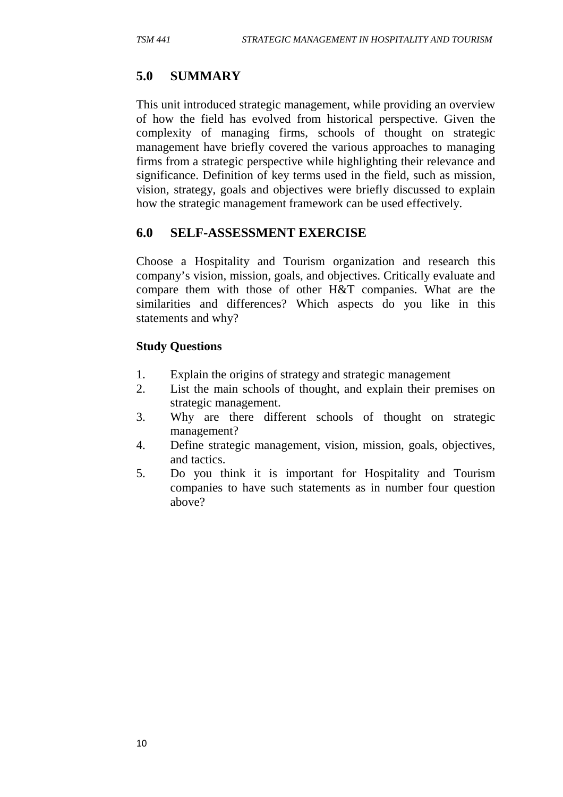## **5.0 SUMMARY**

This unit introduced strategic management, while providing an overview of how the field has evolved from historical perspective. Given the complexity of managing firms, schools of thought on strategic management have briefly covered the various approaches to managing firms from a strategic perspective while highlighting their relevance and significance. Definition of key terms used in the field, such as mission, vision, strategy, goals and objectives were briefly discussed to explain how the strategic management framework can be used effectively.

## **6.0 SELF-ASSESSMENT EXERCISE**

Choose a Hospitality and Tourism organization and research this company's vision, mission, goals, and objectives. Critically evaluate and compare them with those of other H&T companies. What are the similarities and differences? Which aspects do you like in this statements and why?

## **Study Questions**

- 1. Explain the origins of strategy and strategic management
- 2. List the main schools of thought, and explain their premises on strategic management.
- 3. Why are there different schools of thought on strategic management?
- 4. Define strategic management, vision, mission, goals, objectives, and tactics.
- 5. Do you think it is important for Hospitality and Tourism companies to have such statements as in number four question above?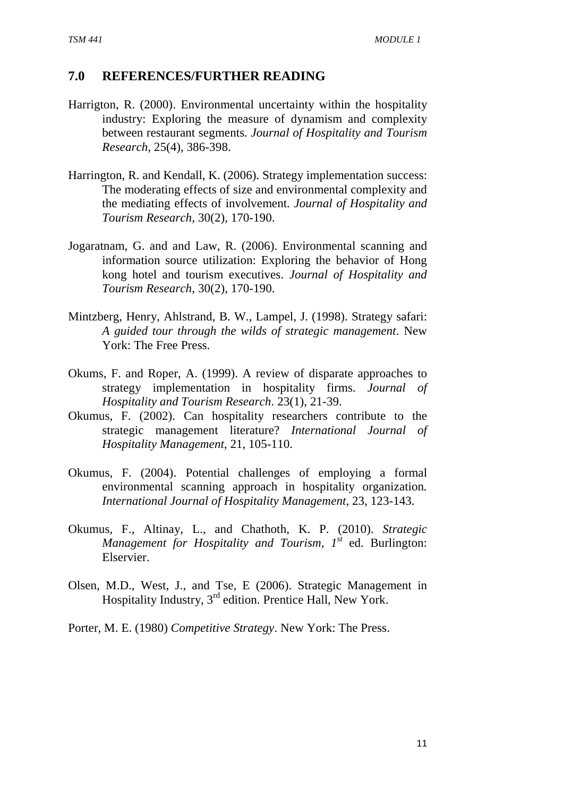#### **7.0 REFERENCES/FURTHER READING**

- Harrigton, R. (2000). Environmental uncertainty within the hospitality industry: Exploring the measure of dynamism and complexity between restaurant segments*. Journal of Hospitality and Tourism Research*, 25(4), 386-398.
- Harrington, R. and Kendall, K. (2006). Strategy implementation success: The moderating effects of size and environmental complexity and the mediating effects of involvement. *Journal of Hospitality and Tourism Research*, 30(2), 170-190.
- Jogaratnam, G. and and Law, R. (2006). Environmental scanning and information source utilization: Exploring the behavior of Hong kong hotel and tourism executives. *Journal of Hospitality and Tourism Research*, 30(2), 170-190.
- Mintzberg, Henry, Ahlstrand, B. W., Lampel, J. (1998). Strategy safari: *A guided tour through the wilds of strategic management*. New York: The Free Press.
- Okums, F. and Roper, A. (1999). A review of disparate approaches to strategy implementation in hospitality firms. *Journal of Hospitality and Tourism Research*. 23(1), 21-39.
- Okumus, F. (2002). Can hospitality researchers contribute to the strategic management literature? *International Journal of Hospitality Management*, 21, 105-110.
- Okumus, F. (2004). Potential challenges of employing a formal environmental scanning approach in hospitality organization*. International Journal of Hospitality Management*, 23, 123-143.
- Okumus, F., Altinay, L., and Chathoth, K. P. (2010). *Strategic Management for Hospitality and Tourism, 1st* ed. Burlington: Elservier.
- Olsen, M.D., West, J., and Tse, E (2006). Strategic Management in Hospitality Industry,  $3<sup>rd</sup>$  edition. Prentice Hall, New York.
- Porter, M. E. (1980) *Competitive Strategy*. New York: The Press.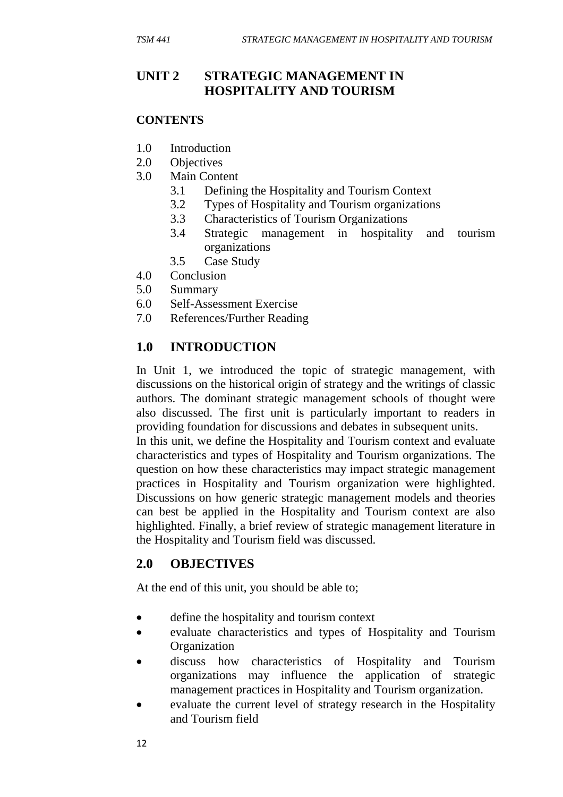## **UNIT 2 STRATEGIC MANAGEMENT IN HOSPITALITY AND TOURISM**

#### **CONTENTS**

- 1.0 Introduction
- 2.0 Objectives
- 3.0 Main Content
	- 3.1 Defining the Hospitality and Tourism Context
	- 3.2 Types of Hospitality and Tourism organizations
	- 3.3 Characteristics of Tourism Organizations
	- 3.4 Strategic management in hospitality and tourism organizations
	- 3.5 Case Study
- 4.0 Conclusion
- 5.0 Summary
- 6.0 Self-Assessment Exercise
- 7.0 References/Further Reading

#### **1.0 INTRODUCTION**

In Unit 1, we introduced the topic of strategic management, with discussions on the historical origin of strategy and the writings of classic authors. The dominant strategic management schools of thought were also discussed. The first unit is particularly important to readers in providing foundation for discussions and debates in subsequent units.

In this unit, we define the Hospitality and Tourism context and evaluate characteristics and types of Hospitality and Tourism organizations. The question on how these characteristics may impact strategic management practices in Hospitality and Tourism organization were highlighted. Discussions on how generic strategic management models and theories can best be applied in the Hospitality and Tourism context are also highlighted. Finally, a brief review of strategic management literature in the Hospitality and Tourism field was discussed.

#### **2.0 OBJECTIVES**

At the end of this unit, you should be able to;

- define the hospitality and tourism context
- evaluate characteristics and types of Hospitality and Tourism **Organization**
- discuss how characteristics of Hospitality and Tourism organizations may influence the application of strategic management practices in Hospitality and Tourism organization.
- evaluate the current level of strategy research in the Hospitality and Tourism field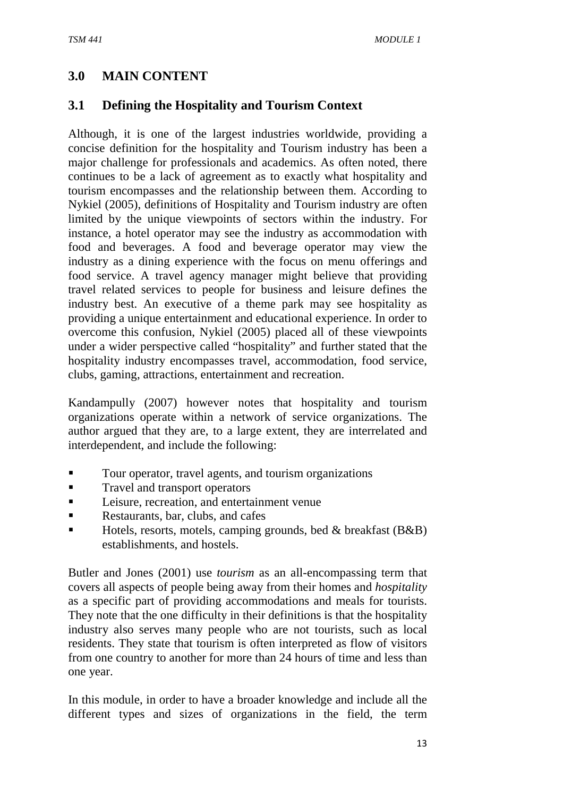## **3.0 MAIN CONTENT**

## **3.1 Defining the Hospitality and Tourism Context**

Although, it is one of the largest industries worldwide, providing a concise definition for the hospitality and Tourism industry has been a major challenge for professionals and academics. As often noted, there continues to be a lack of agreement as to exactly what hospitality and tourism encompasses and the relationship between them. According to Nykiel (2005), definitions of Hospitality and Tourism industry are often limited by the unique viewpoints of sectors within the industry. For instance, a hotel operator may see the industry as accommodation with food and beverages. A food and beverage operator may view the industry as a dining experience with the focus on menu offerings and food service. A travel agency manager might believe that providing travel related services to people for business and leisure defines the industry best. An executive of a theme park may see hospitality as providing a unique entertainment and educational experience. In order to overcome this confusion, Nykiel (2005) placed all of these viewpoints under a wider perspective called "hospitality" and further stated that the hospitality industry encompasses travel, accommodation, food service, clubs, gaming, attractions, entertainment and recreation.

Kandampully (2007) however notes that hospitality and tourism organizations operate within a network of service organizations. The author argued that they are, to a large extent, they are interrelated and interdependent, and include the following:

- Tour operator, travel agents, and tourism organizations
- **Travel and transport operators**
- **EXECUTE:** Leisure, recreation, and entertainment venue
- Restaurants, bar, clubs, and cafes
- Hotels, resorts, motels, camping grounds, bed & breakfast (B&B) establishments, and hostels.

Butler and Jones (2001) use *tourism* as an all-encompassing term that covers all aspects of people being away from their homes and *hospitality* as a specific part of providing accommodations and meals for tourists. They note that the one difficulty in their definitions is that the hospitality industry also serves many people who are not tourists, such as local residents. They state that tourism is often interpreted as flow of visitors from one country to another for more than 24 hours of time and less than one year.

In this module, in order to have a broader knowledge and include all the different types and sizes of organizations in the field, the term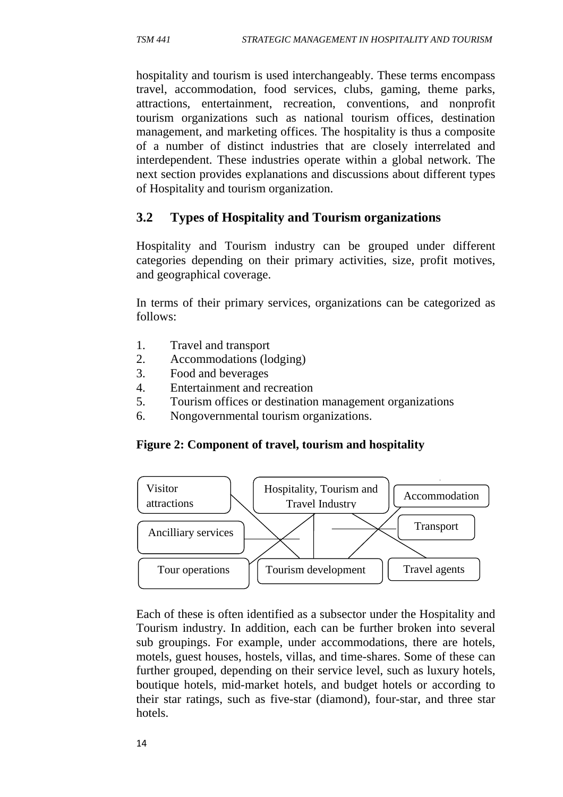hospitality and tourism is used interchangeably. These terms encompass travel, accommodation, food services, clubs, gaming, theme parks, attractions, entertainment, recreation, conventions, and nonprofit tourism organizations such as national tourism offices, destination management, and marketing offices. The hospitality is thus a composite of a number of distinct industries that are closely interrelated and interdependent. These industries operate within a global network. The next section provides explanations and discussions about different types of Hospitality and tourism organization.

## **3.2 Types of Hospitality and Tourism organizations**

Hospitality and Tourism industry can be grouped under different categories depending on their primary activities, size, profit motives, and geographical coverage.

In terms of their primary services, organizations can be categorized as follows:

- 1. Travel and transport
- 2. Accommodations (lodging)
- 3. Food and beverages
- 4. Entertainment and recreation
- 5. Tourism offices or destination management organizations
- 6. Nongovernmental tourism organizations.

#### **Figure 2: Component of travel, tourism and hospitality**



Each of these is often identified as a subsector under the Hospitality and Tourism industry. In addition, each can be further broken into several sub groupings. For example, under accommodations, there are hotels, motels, guest houses, hostels, villas, and time-shares. Some of these can further grouped, depending on their service level, such as luxury hotels, boutique hotels, mid-market hotels, and budget hotels or according to their star ratings, such as five-star (diamond), four-star, and three star hotels.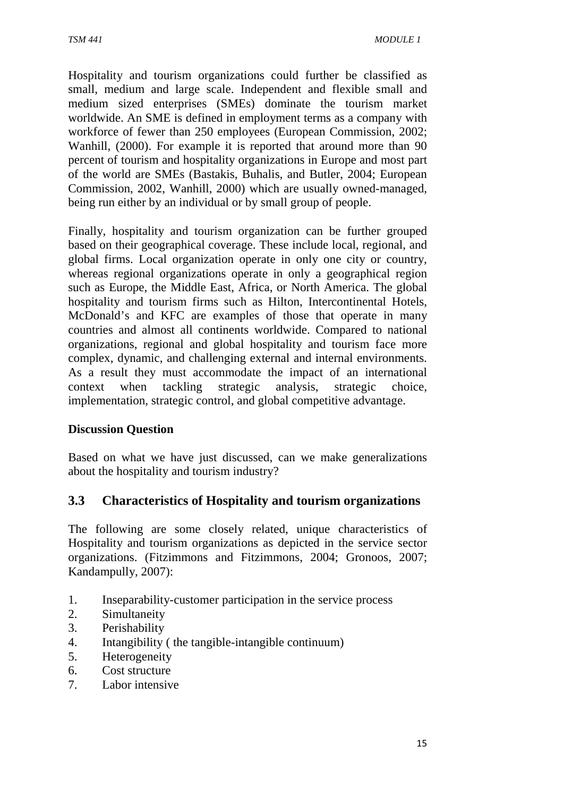Hospitality and tourism organizations could further be classified as small, medium and large scale. Independent and flexible small and medium sized enterprises (SMEs) dominate the tourism market worldwide. An SME is defined in employment terms as a company with workforce of fewer than 250 employees (European Commission, 2002; Wanhill, (2000). For example it is reported that around more than 90 percent of tourism and hospitality organizations in Europe and most part of the world are SMEs (Bastakis, Buhalis, and Butler, 2004; European Commission, 2002, Wanhill, 2000) which are usually owned-managed, being run either by an individual or by small group of people.

Finally, hospitality and tourism organization can be further grouped based on their geographical coverage. These include local, regional, and global firms. Local organization operate in only one city or country, whereas regional organizations operate in only a geographical region such as Europe, the Middle East, Africa, or North America. The global hospitality and tourism firms such as Hilton, Intercontinental Hotels, McDonald's and KFC are examples of those that operate in many countries and almost all continents worldwide. Compared to national organizations, regional and global hospitality and tourism face more complex, dynamic, and challenging external and internal environments. As a result they must accommodate the impact of an international context when tackling strategic analysis, strategic choice, implementation, strategic control, and global competitive advantage.

#### **Discussion Question**

Based on what we have just discussed, can we make generalizations about the hospitality and tourism industry?

## **3.3 Characteristics of Hospitality and tourism organizations**

The following are some closely related, unique characteristics of Hospitality and tourism organizations as depicted in the service sector organizations. (Fitzimmons and Fitzimmons, 2004; Gronoos, 2007; Kandampully, 2007):

- 1. Inseparability-customer participation in the service process
- 2. Simultaneity
- 3. Perishability
- 4. Intangibility ( the tangible-intangible continuum)
- 5. Heterogeneity
- 6. Cost structure
- 7. Labor intensive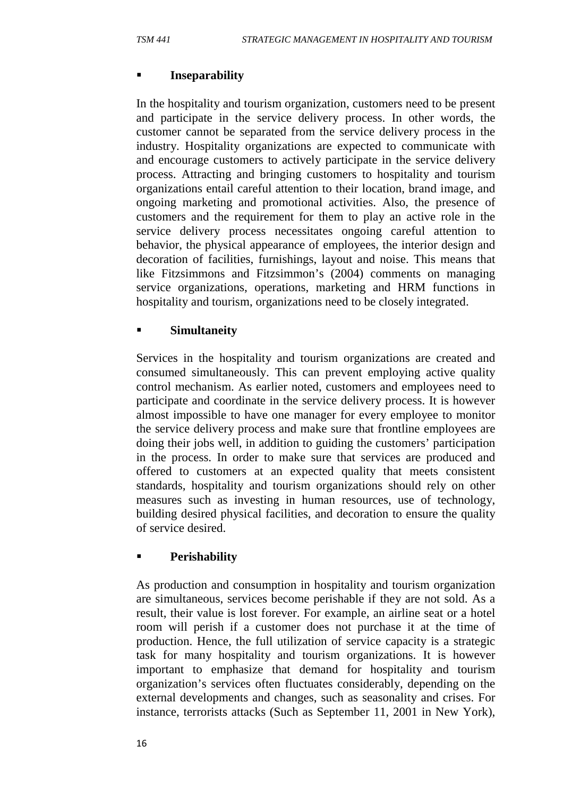#### **Inseparability**

In the hospitality and tourism organization, customers need to be present and participate in the service delivery process. In other words, the customer cannot be separated from the service delivery process in the industry. Hospitality organizations are expected to communicate with and encourage customers to actively participate in the service delivery process. Attracting and bringing customers to hospitality and tourism organizations entail careful attention to their location, brand image, and ongoing marketing and promotional activities. Also, the presence of customers and the requirement for them to play an active role in the service delivery process necessitates ongoing careful attention to behavior, the physical appearance of employees, the interior design and decoration of facilities, furnishings, layout and noise. This means that like Fitzsimmons and Fitzsimmon's (2004) comments on managing service organizations, operations, marketing and HRM functions in hospitality and tourism, organizations need to be closely integrated.

#### **Simultaneity**

Services in the hospitality and tourism organizations are created and consumed simultaneously. This can prevent employing active quality control mechanism. As earlier noted, customers and employees need to participate and coordinate in the service delivery process. It is however almost impossible to have one manager for every employee to monitor the service delivery process and make sure that frontline employees are doing their jobs well, in addition to guiding the customers' participation in the process. In order to make sure that services are produced and offered to customers at an expected quality that meets consistent standards, hospitality and tourism organizations should rely on other measures such as investing in human resources, use of technology, building desired physical facilities, and decoration to ensure the quality of service desired.

#### **Perishability**

As production and consumption in hospitality and tourism organization are simultaneous, services become perishable if they are not sold. As a result, their value is lost forever. For example, an airline seat or a hotel room will perish if a customer does not purchase it at the time of production. Hence, the full utilization of service capacity is a strategic task for many hospitality and tourism organizations. It is however important to emphasize that demand for hospitality and tourism organization's services often fluctuates considerably, depending on the external developments and changes, such as seasonality and crises. For instance, terrorists attacks (Such as September 11, 2001 in New York),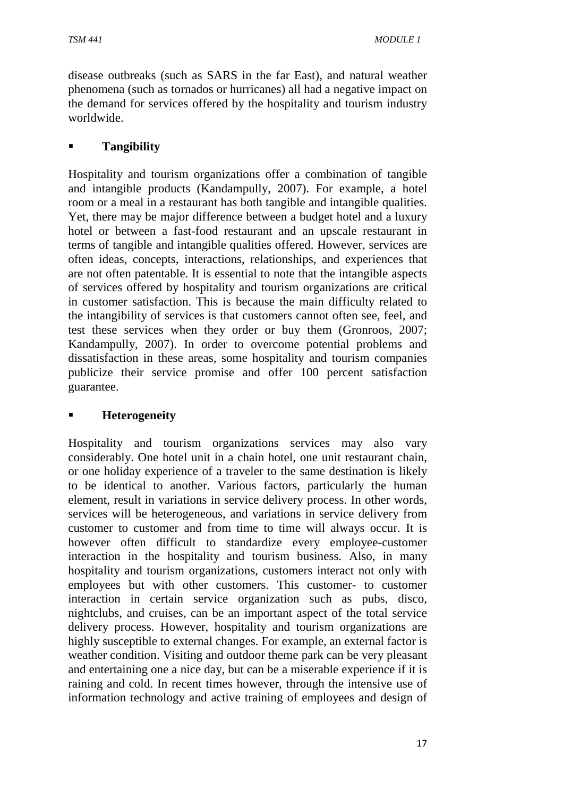disease outbreaks (such as SARS in the far East), and natural weather phenomena (such as tornados or hurricanes) all had a negative impact on the demand for services offered by the hospitality and tourism industry worldwide.

## **Tangibility**

Hospitality and tourism organizations offer a combination of tangible and intangible products (Kandampully, 2007). For example, a hotel room or a meal in a restaurant has both tangible and intangible qualities. Yet, there may be major difference between a budget hotel and a luxury hotel or between a fast-food restaurant and an upscale restaurant in terms of tangible and intangible qualities offered. However, services are often ideas, concepts, interactions, relationships, and experiences that are not often patentable. It is essential to note that the intangible aspects of services offered by hospitality and tourism organizations are critical in customer satisfaction. This is because the main difficulty related to the intangibility of services is that customers cannot often see, feel, and test these services when they order or buy them (Gronroos, 2007; Kandampully, 2007). In order to overcome potential problems and dissatisfaction in these areas, some hospitality and tourism companies publicize their service promise and offer 100 percent satisfaction guarantee.

## **Heterogeneity**

Hospitality and tourism organizations services may also vary considerably. One hotel unit in a chain hotel, one unit restaurant chain, or one holiday experience of a traveler to the same destination is likely to be identical to another. Various factors, particularly the human element, result in variations in service delivery process. In other words, services will be heterogeneous, and variations in service delivery from customer to customer and from time to time will always occur. It is however often difficult to standardize every employee-customer interaction in the hospitality and tourism business. Also, in many hospitality and tourism organizations, customers interact not only with employees but with other customers. This customer- to customer interaction in certain service organization such as pubs, disco, nightclubs, and cruises, can be an important aspect of the total service delivery process. However, hospitality and tourism organizations are highly susceptible to external changes. For example, an external factor is weather condition. Visiting and outdoor theme park can be very pleasant and entertaining one a nice day, but can be a miserable experience if it is raining and cold. In recent times however, through the intensive use of information technology and active training of employees and design of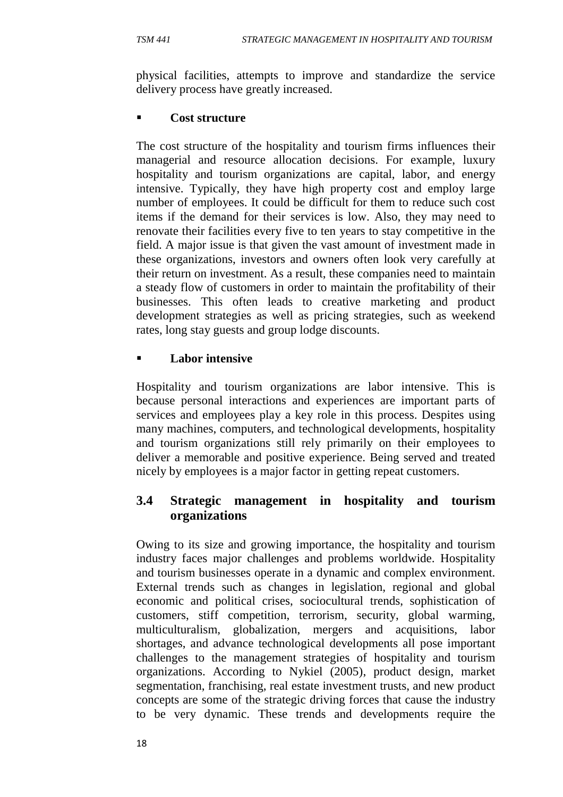physical facilities, attempts to improve and standardize the service delivery process have greatly increased.

#### **Cost structure**

The cost structure of the hospitality and tourism firms influences their managerial and resource allocation decisions. For example, luxury hospitality and tourism organizations are capital, labor, and energy intensive. Typically, they have high property cost and employ large number of employees. It could be difficult for them to reduce such cost items if the demand for their services is low. Also, they may need to renovate their facilities every five to ten years to stay competitive in the field. A major issue is that given the vast amount of investment made in these organizations, investors and owners often look very carefully at their return on investment. As a result, these companies need to maintain a steady flow of customers in order to maintain the profitability of their businesses. This often leads to creative marketing and product development strategies as well as pricing strategies, such as weekend rates, long stay guests and group lodge discounts.

#### **Labor intensive**

Hospitality and tourism organizations are labor intensive. This is because personal interactions and experiences are important parts of services and employees play a key role in this process. Despites using many machines, computers, and technological developments, hospitality and tourism organizations still rely primarily on their employees to deliver a memorable and positive experience. Being served and treated nicely by employees is a major factor in getting repeat customers.

## **3.4 Strategic management in hospitality and tourism organizations**

Owing to its size and growing importance, the hospitality and tourism industry faces major challenges and problems worldwide. Hospitality and tourism businesses operate in a dynamic and complex environment. External trends such as changes in legislation, regional and global economic and political crises, sociocultural trends, sophistication of customers, stiff competition, terrorism, security, global warming, multiculturalism, globalization, mergers and acquisitions, labor shortages, and advance technological developments all pose important challenges to the management strategies of hospitality and tourism organizations. According to Nykiel (2005), product design, market segmentation, franchising, real estate investment trusts, and new product concepts are some of the strategic driving forces that cause the industry to be very dynamic. These trends and developments require the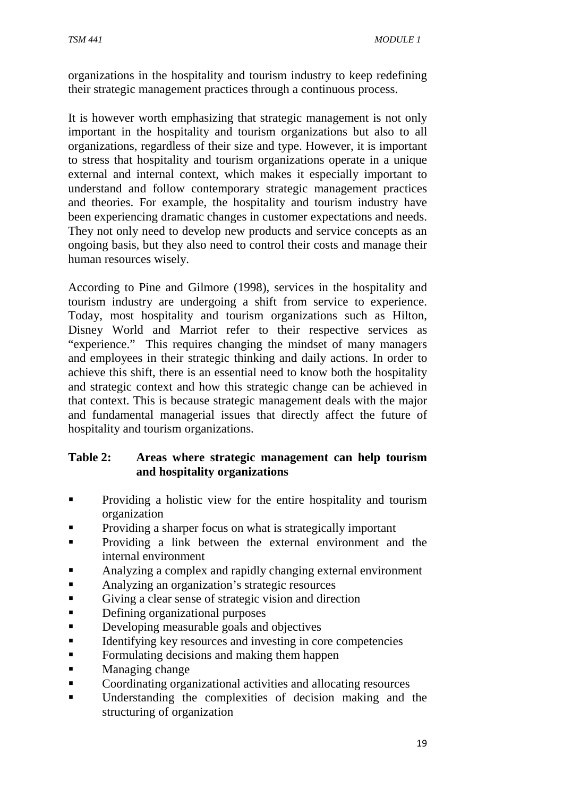organizations in the hospitality and tourism industry to keep redefining their strategic management practices through a continuous process.

It is however worth emphasizing that strategic management is not only important in the hospitality and tourism organizations but also to all organizations, regardless of their size and type. However, it is important to stress that hospitality and tourism organizations operate in a unique external and internal context, which makes it especially important to understand and follow contemporary strategic management practices and theories. For example, the hospitality and tourism industry have been experiencing dramatic changes in customer expectations and needs. They not only need to develop new products and service concepts as an ongoing basis, but they also need to control their costs and manage their human resources wisely.

According to Pine and Gilmore (1998), services in the hospitality and tourism industry are undergoing a shift from service to experience. Today, most hospitality and tourism organizations such as Hilton, Disney World and Marriot refer to their respective services as "experience." This requires changing the mindset of many managers and employees in their strategic thinking and daily actions. In order to achieve this shift, there is an essential need to know both the hospitality and strategic context and how this strategic change can be achieved in that context. This is because strategic management deals with the major and fundamental managerial issues that directly affect the future of hospitality and tourism organizations.

#### **Table 2: Areas where strategic management can help tourism and hospitality organizations**

- **•** Providing a holistic view for the entire hospitality and tourism organization
- **•** Providing a sharper focus on what is strategically important
- **Providing a link between the external environment and the** internal environment
- **EXECUTE:** Analyzing a complex and rapidly changing external environment
- Analyzing an organization's strategic resources
- Giving a clear sense of strategic vision and direction
- **•** Defining organizational purposes
- **•** Developing measurable goals and objectives
- Identifying key resources and investing in core competencies
- Formulating decisions and making them happen
- **Managing change**
- Coordinating organizational activities and allocating resources
- Understanding the complexities of decision making and the structuring of organization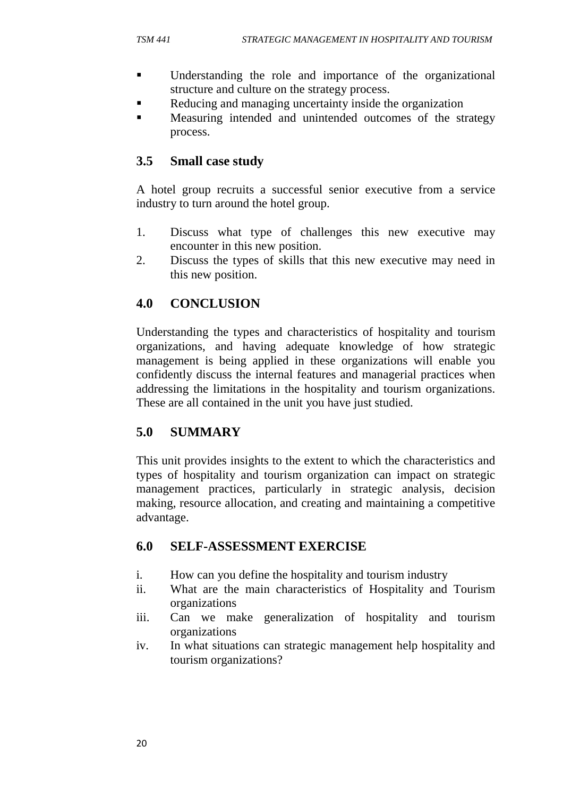- Understanding the role and importance of the organizational structure and culture on the strategy process.
- Reducing and managing uncertainty inside the organization
- **Measuring intended and unintended outcomes of the strategy** process.

## **3.5 Small case study**

A hotel group recruits a successful senior executive from a service industry to turn around the hotel group.

- 1. Discuss what type of challenges this new executive may encounter in this new position.
- 2. Discuss the types of skills that this new executive may need in this new position.

## **4.0 CONCLUSION**

Understanding the types and characteristics of hospitality and tourism organizations, and having adequate knowledge of how strategic management is being applied in these organizations will enable you confidently discuss the internal features and managerial practices when addressing the limitations in the hospitality and tourism organizations. These are all contained in the unit you have just studied.

## **5.0 SUMMARY**

This unit provides insights to the extent to which the characteristics and types of hospitality and tourism organization can impact on strategic management practices, particularly in strategic analysis, decision making, resource allocation, and creating and maintaining a competitive advantage.

## **6.0 SELF-ASSESSMENT EXERCISE**

- i. How can you define the hospitality and tourism industry
- ii. What are the main characteristics of Hospitality and Tourism organizations
- iii. Can we make generalization of hospitality and tourism organizations
- iv. In what situations can strategic management help hospitality and tourism organizations?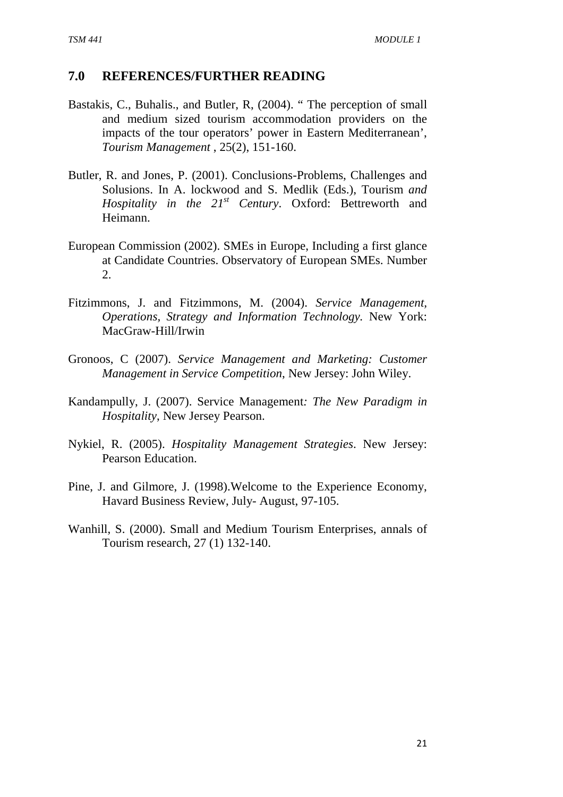#### **7.0 REFERENCES/FURTHER READING**

- Bastakis, C., Buhalis., and Butler, R, (2004). " The perception of small and medium sized tourism accommodation providers on the impacts of the tour operators' power in Eastern Mediterranean', *Tourism Management* , 25(2), 151-160.
- Butler, R. and Jones, P. (2001). Conclusions-Problems, Challenges and Solusions. In A. lockwood and S. Medlik (Eds.), Tourism *and Hospitality in the 21st Century*. Oxford: Bettreworth and Heimann.
- European Commission (2002). SMEs in Europe, Including a first glance at Candidate Countries. Observatory of European SMEs. Number 2.
- Fitzimmons, J. and Fitzimmons, M. (2004). *Service Management, Operations, Strategy and Information Technology.* New York: MacGraw-Hill/Irwin
- Gronoos, C (2007). *Service Management and Marketing: Customer Management in Service Competition*, New Jersey: John Wiley.
- Kandampully, J. (2007). Service Management*: The New Paradigm in Hospitality*, New Jersey Pearson.
- Nykiel, R. (2005). *Hospitality Management Strategies*. New Jersey: Pearson Education.
- Pine, J. and Gilmore, J. (1998).Welcome to the Experience Economy, Havard Business Review, July- August, 97-105.
- Wanhill, S. (2000). Small and Medium Tourism Enterprises, annals of Tourism research, 27 (1) 132-140.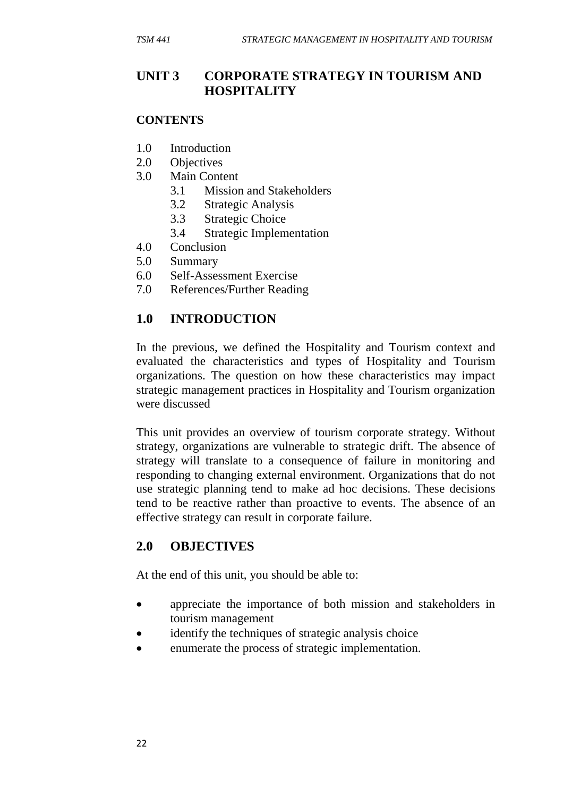## **UNIT 3 CORPORATE STRATEGY IN TOURISM AND HOSPITALITY**

#### **CONTENTS**

- 1.0 Introduction
- 2.0 Objectives
- 3.0 Main Content
	- 3.1 Mission and Stakeholders
	- 3.2 Strategic Analysis
	- 3.3 Strategic Choice
	- 3.4 Strategic Implementation
- 4.0 Conclusion
- 5.0 Summary
- 6.0 Self-Assessment Exercise
- 7.0 References/Further Reading

#### **1.0 INTRODUCTION**

In the previous, we defined the Hospitality and Tourism context and evaluated the characteristics and types of Hospitality and Tourism organizations. The question on how these characteristics may impact strategic management practices in Hospitality and Tourism organization were discussed

This unit provides an overview of tourism corporate strategy. Without strategy, organizations are vulnerable to strategic drift. The absence of strategy will translate to a consequence of failure in monitoring and responding to changing external environment. Organizations that do not use strategic planning tend to make ad hoc decisions. These decisions tend to be reactive rather than proactive to events. The absence of an effective strategy can result in corporate failure.

## **2.0 OBJECTIVES**

At the end of this unit, you should be able to:

- appreciate the importance of both mission and stakeholders in tourism management
- identify the techniques of strategic analysis choice
- enumerate the process of strategic implementation.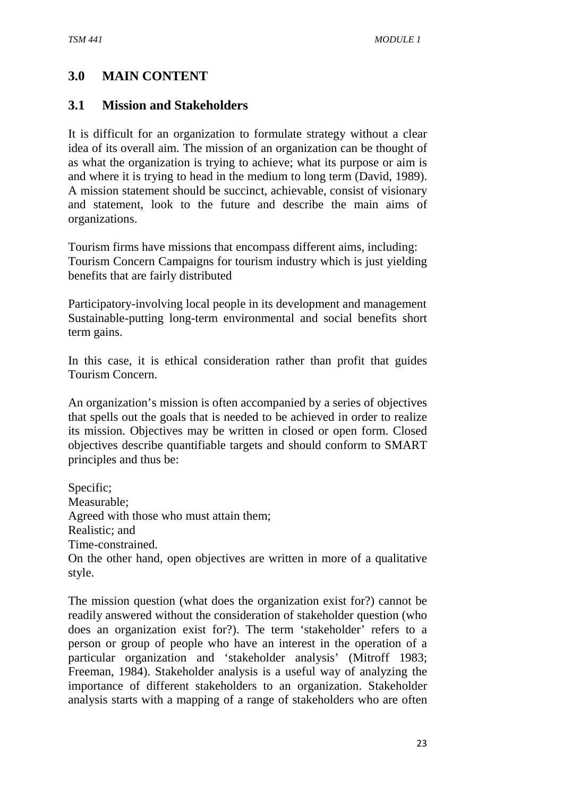## **3.0 MAIN CONTENT**

#### **3.1 Mission and Stakeholders**

It is difficult for an organization to formulate strategy without a clear idea of its overall aim. The mission of an organization can be thought of as what the organization is trying to achieve; what its purpose or aim is and where it is trying to head in the medium to long term (David, 1989). A mission statement should be succinct, achievable, consist of visionary and statement, look to the future and describe the main aims of organizations.

Tourism firms have missions that encompass different aims, including: Tourism Concern Campaigns for tourism industry which is just yielding benefits that are fairly distributed

Participatory-involving local people in its development and management Sustainable-putting long-term environmental and social benefits short term gains.

In this case, it is ethical consideration rather than profit that guides Tourism Concern.

An organization's mission is often accompanied by a series of objectives that spells out the goals that is needed to be achieved in order to realize its mission. Objectives may be written in closed or open form. Closed objectives describe quantifiable targets and should conform to SMART principles and thus be:

Specific; Measurable; Agreed with those who must attain them; Realistic; and Time-constrained. On the other hand, open objectives are written in more of a qualitative style.

The mission question (what does the organization exist for?) cannot be readily answered without the consideration of stakeholder question (who does an organization exist for?). The term 'stakeholder' refers to a person or group of people who have an interest in the operation of a particular organization and 'stakeholder analysis' (Mitroff 1983; Freeman, 1984). Stakeholder analysis is a useful way of analyzing the importance of different stakeholders to an organization. Stakeholder analysis starts with a mapping of a range of stakeholders who are often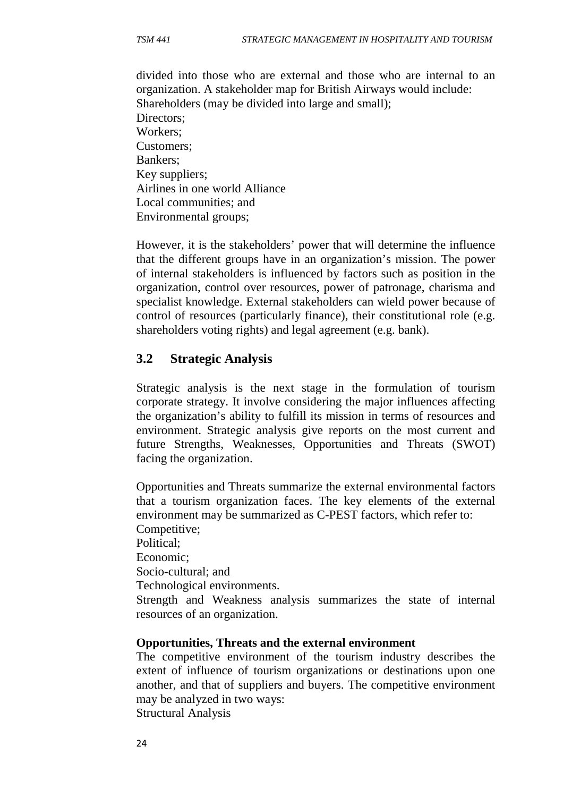divided into those who are external and those who are internal to an organization. A stakeholder map for British Airways would include: Shareholders (may be divided into large and small); Directors: Workers; Customers; Bankers; Key suppliers; Airlines in one world Alliance Local communities; and Environmental groups;

However, it is the stakeholders' power that will determine the influence that the different groups have in an organization's mission. The power of internal stakeholders is influenced by factors such as position in the organization, control over resources, power of patronage, charisma and specialist knowledge. External stakeholders can wield power because of control of resources (particularly finance), their constitutional role (e.g. shareholders voting rights) and legal agreement (e.g. bank).

#### **3.2 Strategic Analysis**

Strategic analysis is the next stage in the formulation of tourism corporate strategy. It involve considering the major influences affecting the organization's ability to fulfill its mission in terms of resources and environment. Strategic analysis give reports on the most current and future Strengths, Weaknesses, Opportunities and Threats (SWOT) facing the organization.

Opportunities and Threats summarize the external environmental factors that a tourism organization faces. The key elements of the external environment may be summarized as C-PEST factors, which refer to: Competitive; Political; Economic; Socio-cultural; and Technological environments. Strength and Weakness analysis summarizes the state of internal resources of an organization.

#### **Opportunities, Threats and the external environment**

The competitive environment of the tourism industry describes the extent of influence of tourism organizations or destinations upon one another, and that of suppliers and buyers. The competitive environment may be analyzed in two ways: Structural Analysis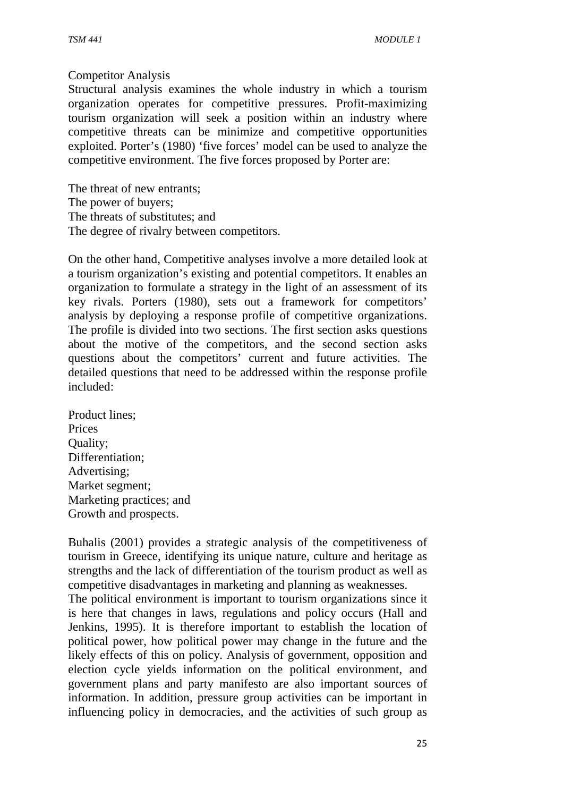#### Competitor Analysis

Structural analysis examines the whole industry in which a tourism organization operates for competitive pressures. Profit-maximizing tourism organization will seek a position within an industry where competitive threats can be minimize and competitive opportunities exploited. Porter's (1980) 'five forces' model can be used to analyze the competitive environment. The five forces proposed by Porter are:

The threat of new entrants; The power of buyers; The threats of substitutes; and The degree of rivalry between competitors.

On the other hand, Competitive analyses involve a more detailed look at a tourism organization's existing and potential competitors. It enables an organization to formulate a strategy in the light of an assessment of its key rivals. Porters (1980), sets out a framework for competitors' analysis by deploying a response profile of competitive organizations. The profile is divided into two sections. The first section asks questions about the motive of the competitors, and the second section asks questions about the competitors' current and future activities. The detailed questions that need to be addressed within the response profile included:

Product lines; Prices Quality; Differentiation; Advertising; Market segment; Marketing practices; and Growth and prospects.

Buhalis (2001) provides a strategic analysis of the competitiveness of tourism in Greece, identifying its unique nature, culture and heritage as strengths and the lack of differentiation of the tourism product as well as competitive disadvantages in marketing and planning as weaknesses.

The political environment is important to tourism organizations since it is here that changes in laws, regulations and policy occurs (Hall and Jenkins, 1995). It is therefore important to establish the location of political power, how political power may change in the future and the likely effects of this on policy. Analysis of government, opposition and election cycle yields information on the political environment, and government plans and party manifesto are also important sources of information. In addition, pressure group activities can be important in influencing policy in democracies, and the activities of such group as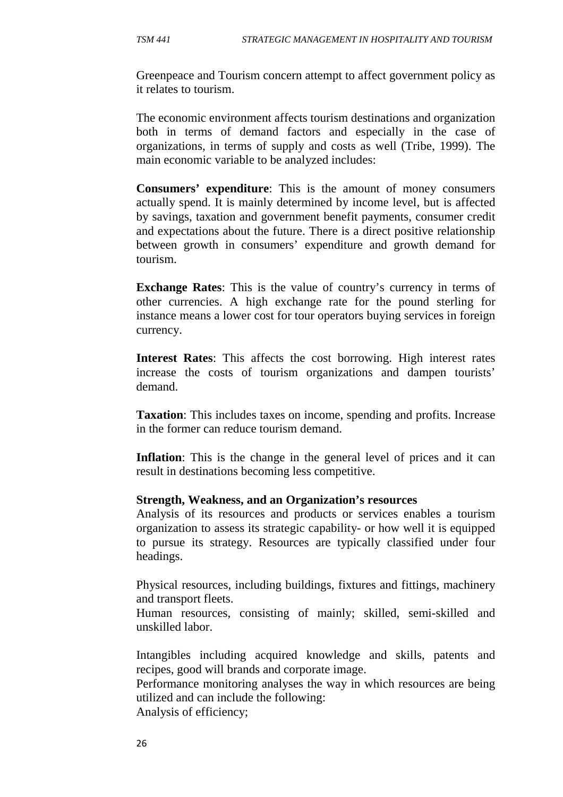Greenpeace and Tourism concern attempt to affect government policy as it relates to tourism.

The economic environment affects tourism destinations and organization both in terms of demand factors and especially in the case of organizations, in terms of supply and costs as well (Tribe, 1999). The main economic variable to be analyzed includes:

**Consumers' expenditure**: This is the amount of money consumers actually spend. It is mainly determined by income level, but is affected by savings, taxation and government benefit payments, consumer credit and expectations about the future. There is a direct positive relationship between growth in consumers' expenditure and growth demand for tourism.

**Exchange Rates**: This is the value of country's currency in terms of other currencies. A high exchange rate for the pound sterling for instance means a lower cost for tour operators buying services in foreign currency.

**Interest Rates**: This affects the cost borrowing. High interest rates increase the costs of tourism organizations and dampen tourists' demand.

**Taxation**: This includes taxes on income, spending and profits. Increase in the former can reduce tourism demand.

**Inflation**: This is the change in the general level of prices and it can result in destinations becoming less competitive.

#### **Strength, Weakness, and an Organization's resources**

Analysis of its resources and products or services enables a tourism organization to assess its strategic capability- or how well it is equipped to pursue its strategy. Resources are typically classified under four headings.

Physical resources, including buildings, fixtures and fittings, machinery and transport fleets.

Human resources, consisting of mainly; skilled, semi-skilled and unskilled labor.

Intangibles including acquired knowledge and skills, patents and recipes, good will brands and corporate image.

Performance monitoring analyses the way in which resources are being utilized and can include the following:

Analysis of efficiency;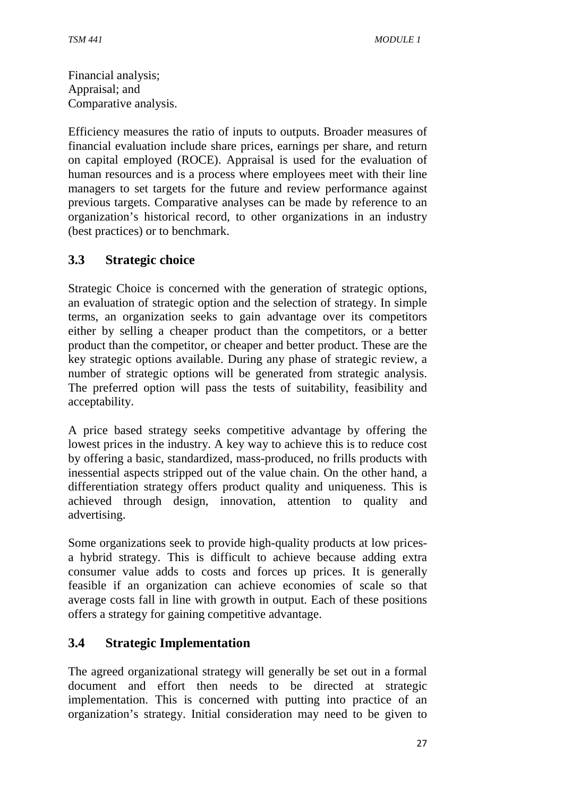Financial analysis; Appraisal; and Comparative analysis.

Efficiency measures the ratio of inputs to outputs. Broader measures of financial evaluation include share prices, earnings per share, and return on capital employed (ROCE). Appraisal is used for the evaluation of human resources and is a process where employees meet with their line managers to set targets for the future and review performance against previous targets. Comparative analyses can be made by reference to an organization's historical record, to other organizations in an industry (best practices) or to benchmark.

# **3.3 Strategic choice**

Strategic Choice is concerned with the generation of strategic options, an evaluation of strategic option and the selection of strategy. In simple terms, an organization seeks to gain advantage over its competitors either by selling a cheaper product than the competitors, or a better product than the competitor, or cheaper and better product. These are the key strategic options available. During any phase of strategic review, a number of strategic options will be generated from strategic analysis. The preferred option will pass the tests of suitability, feasibility and acceptability.

A price based strategy seeks competitive advantage by offering the lowest prices in the industry. A key way to achieve this is to reduce cost by offering a basic, standardized, mass-produced, no frills products with inessential aspects stripped out of the value chain. On the other hand, a differentiation strategy offers product quality and uniqueness. This is achieved through design, innovation, attention to quality and advertising.

Some organizations seek to provide high-quality products at low pricesa hybrid strategy. This is difficult to achieve because adding extra consumer value adds to costs and forces up prices. It is generally feasible if an organization can achieve economies of scale so that average costs fall in line with growth in output. Each of these positions offers a strategy for gaining competitive advantage.

# **3.4 Strategic Implementation**

The agreed organizational strategy will generally be set out in a formal document and effort then needs to be directed at strategic implementation. This is concerned with putting into practice of an organization's strategy. Initial consideration may need to be given to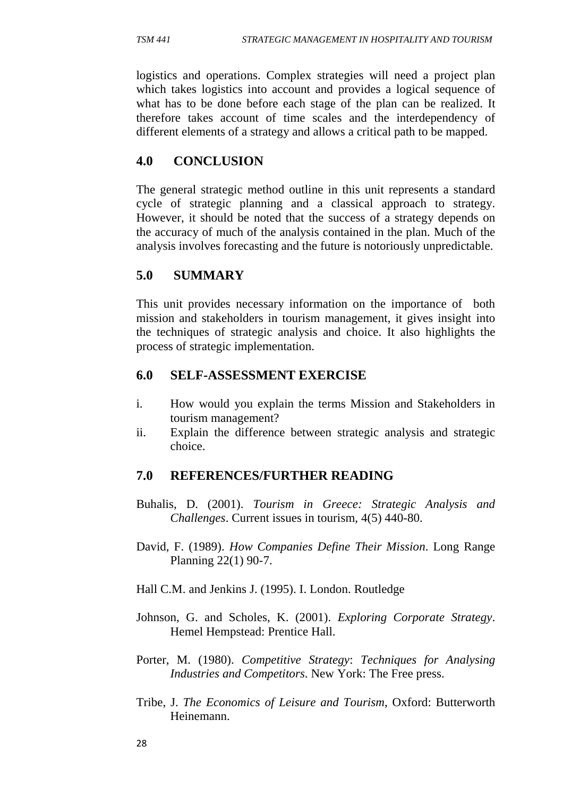logistics and operations. Complex strategies will need a project plan which takes logistics into account and provides a logical sequence of what has to be done before each stage of the plan can be realized. It therefore takes account of time scales and the interdependency of different elements of a strategy and allows a critical path to be mapped.

# **4.0 CONCLUSION**

The general strategic method outline in this unit represents a standard cycle of strategic planning and a classical approach to strategy. However, it should be noted that the success of a strategy depends on the accuracy of much of the analysis contained in the plan. Much of the analysis involves forecasting and the future is notoriously unpredictable.

# **5.0 SUMMARY**

This unit provides necessary information on the importance of both mission and stakeholders in tourism management, it gives insight into the techniques of strategic analysis and choice. It also highlights the process of strategic implementation.

### **6.0 SELF-ASSESSMENT EXERCISE**

- i. How would you explain the terms Mission and Stakeholders in tourism management?
- ii. Explain the difference between strategic analysis and strategic choice.

### **7.0 REFERENCES/FURTHER READING**

- Buhalis, D. (2001). *Tourism in Greece: Strategic Analysis and Challenges*. Current issues in tourism, 4(5) 440-80.
- David, F. (1989). *How Companies Define Their Mission*. Long Range Planning 22(1) 90-7.
- Hall C.M. and Jenkins J. (1995). I. London. Routledge
- Johnson, G. and Scholes, K. (2001). *Exploring Corporate Strategy*. Hemel Hempstead: Prentice Hall.
- Porter, M. (1980). *Competitive Strategy*: *Techniques for Analysing Industries and Competitors*. New York: The Free press.
- Tribe, J. *The Economics of Leisure and Tourism*, Oxford: Butterworth Heinemann.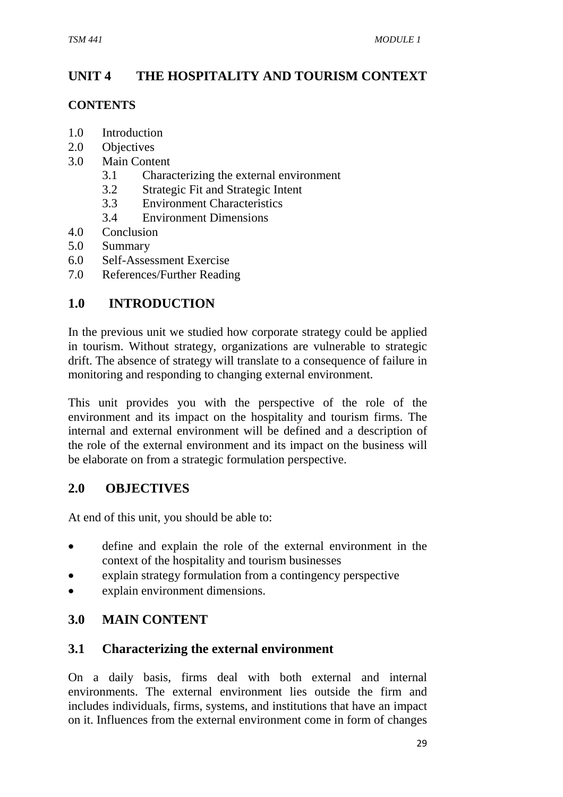# **UNIT 4 THE HOSPITALITY AND TOURISM CONTEXT**

### **CONTENTS**

- 1.0 Introduction
- 2.0 Objectives
- 3.0 Main Content
	- 3.1 Characterizing the external environment
	- 3.2 Strategic Fit and Strategic Intent
	- 3.3 Environment Characteristics
	- 3.4 Environment Dimensions
- 4.0 Conclusion
- 5.0 Summary
- 6.0 Self-Assessment Exercise
- 7.0 References/Further Reading

# **1.0 INTRODUCTION**

In the previous unit we studied how corporate strategy could be applied in tourism. Without strategy, organizations are vulnerable to strategic drift. The absence of strategy will translate to a consequence of failure in monitoring and responding to changing external environment.

This unit provides you with the perspective of the role of the environment and its impact on the hospitality and tourism firms. The internal and external environment will be defined and a description of the role of the external environment and its impact on the business will be elaborate on from a strategic formulation perspective.

# **2.0 OBJECTIVES**

At end of this unit, you should be able to:

- define and explain the role of the external environment in the context of the hospitality and tourism businesses
- explain strategy formulation from a contingency perspective
- explain environment dimensions.

# **3.0 MAIN CONTENT**

# **3.1 Characterizing the external environment**

On a daily basis, firms deal with both external and internal environments. The external environment lies outside the firm and includes individuals, firms, systems, and institutions that have an impact on it. Influences from the external environment come in form of changes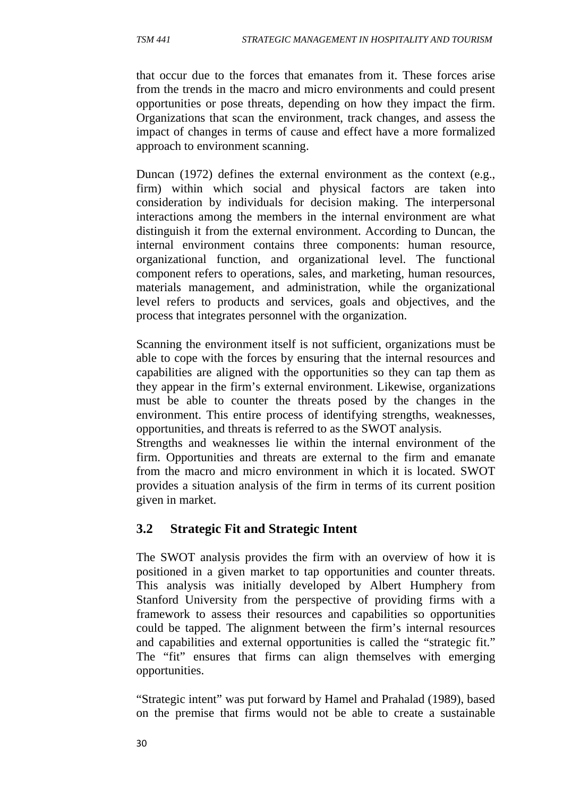that occur due to the forces that emanates from it. These forces arise from the trends in the macro and micro environments and could present opportunities or pose threats, depending on how they impact the firm. Organizations that scan the environment, track changes, and assess the impact of changes in terms of cause and effect have a more formalized approach to environment scanning.

Duncan (1972) defines the external environment as the context (e.g., firm) within which social and physical factors are taken into consideration by individuals for decision making. The interpersonal interactions among the members in the internal environment are what distinguish it from the external environment. According to Duncan, the internal environment contains three components: human resource, organizational function, and organizational level. The functional component refers to operations, sales, and marketing, human resources, materials management, and administration, while the organizational level refers to products and services, goals and objectives, and the process that integrates personnel with the organization.

Scanning the environment itself is not sufficient, organizations must be able to cope with the forces by ensuring that the internal resources and capabilities are aligned with the opportunities so they can tap them as they appear in the firm's external environment. Likewise, organizations must be able to counter the threats posed by the changes in the environment. This entire process of identifying strengths, weaknesses, opportunities, and threats is referred to as the SWOT analysis.

Strengths and weaknesses lie within the internal environment of the firm. Opportunities and threats are external to the firm and emanate from the macro and micro environment in which it is located. SWOT provides a situation analysis of the firm in terms of its current position given in market.

### **3.2 Strategic Fit and Strategic Intent**

The SWOT analysis provides the firm with an overview of how it is positioned in a given market to tap opportunities and counter threats. This analysis was initially developed by Albert Humphery from Stanford University from the perspective of providing firms with a framework to assess their resources and capabilities so opportunities could be tapped. The alignment between the firm's internal resources and capabilities and external opportunities is called the "strategic fit." The "fit" ensures that firms can align themselves with emerging opportunities.

"Strategic intent" was put forward by Hamel and Prahalad (1989), based on the premise that firms would not be able to create a sustainable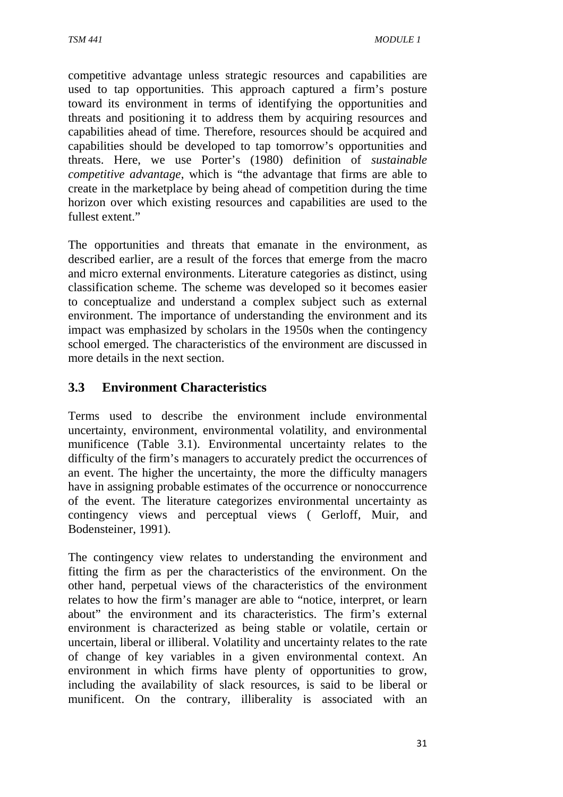competitive advantage unless strategic resources and capabilities are used to tap opportunities. This approach captured a firm's posture toward its environment in terms of identifying the opportunities and threats and positioning it to address them by acquiring resources and capabilities ahead of time. Therefore, resources should be acquired and capabilities should be developed to tap tomorrow's opportunities and threats. Here, we use Porter's (1980) definition of *sustainable competitive advantage*, which is "the advantage that firms are able to create in the marketplace by being ahead of competition during the time horizon over which existing resources and capabilities are used to the fullest extent."

The opportunities and threats that emanate in the environment, as described earlier, are a result of the forces that emerge from the macro and micro external environments. Literature categories as distinct, using classification scheme. The scheme was developed so it becomes easier to conceptualize and understand a complex subject such as external environment. The importance of understanding the environment and its impact was emphasized by scholars in the 1950s when the contingency school emerged. The characteristics of the environment are discussed in more details in the next section.

# **3.3 Environment Characteristics**

Terms used to describe the environment include environmental uncertainty, environment, environmental volatility, and environmental munificence (Table 3.1). Environmental uncertainty relates to the difficulty of the firm's managers to accurately predict the occurrences of an event. The higher the uncertainty, the more the difficulty managers have in assigning probable estimates of the occurrence or nonoccurrence of the event. The literature categorizes environmental uncertainty as contingency views and perceptual views ( Gerloff, Muir, and Bodensteiner, 1991).

The contingency view relates to understanding the environment and fitting the firm as per the characteristics of the environment. On the other hand, perpetual views of the characteristics of the environment relates to how the firm's manager are able to "notice, interpret, or learn about" the environment and its characteristics. The firm's external environment is characterized as being stable or volatile, certain or uncertain, liberal or illiberal. Volatility and uncertainty relates to the rate of change of key variables in a given environmental context. An environment in which firms have plenty of opportunities to grow, including the availability of slack resources, is said to be liberal or munificent. On the contrary, illiberality is associated with an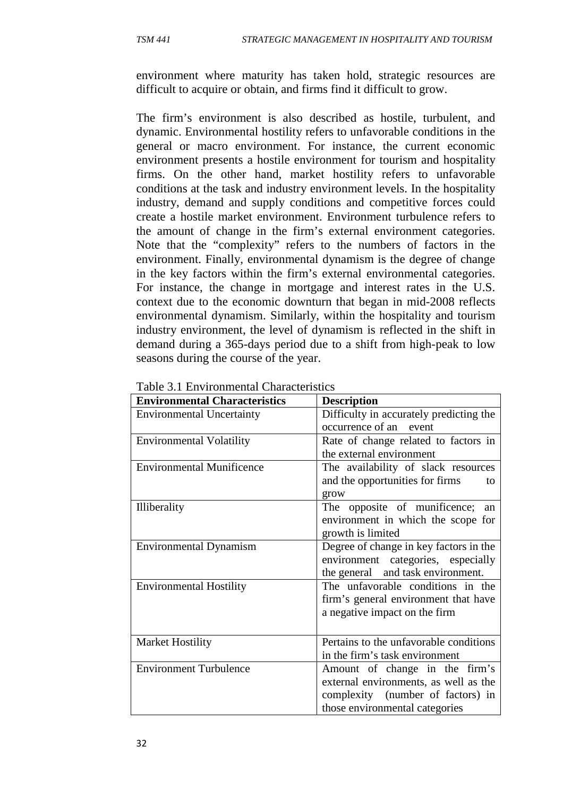environment where maturity has taken hold, strategic resources are difficult to acquire or obtain, and firms find it difficult to grow.

The firm's environment is also described as hostile, turbulent, and dynamic. Environmental hostility refers to unfavorable conditions in the general or macro environment. For instance, the current economic environment presents a hostile environment for tourism and hospitality firms. On the other hand, market hostility refers to unfavorable conditions at the task and industry environment levels. In the hospitality industry, demand and supply conditions and competitive forces could create a hostile market environment. Environment turbulence refers to the amount of change in the firm's external environment categories. Note that the "complexity" refers to the numbers of factors in the environment. Finally, environmental dynamism is the degree of change in the key factors within the firm's external environmental categories. For instance, the change in mortgage and interest rates in the U.S. context due to the economic downturn that began in mid-2008 reflects environmental dynamism. Similarly, within the hospitality and tourism industry environment, the level of dynamism is reflected in the shift in demand during a 365-days period due to a shift from high-peak to low seasons during the course of the year.

| <b>Environmental Characteristics</b> | <b>Description</b>                      |
|--------------------------------------|-----------------------------------------|
| <b>Environmental Uncertainty</b>     | Difficulty in accurately predicting the |
|                                      | occurrence of an event                  |
| <b>Environmental Volatility</b>      | Rate of change related to factors in    |
|                                      | the external environment                |
| <b>Environmental Munificence</b>     | The availability of slack resources     |
|                                      | and the opportunities for firms<br>to   |
|                                      | grow                                    |
| Illiberality                         | The opposite of munificence;<br>an      |
|                                      | environment in which the scope for      |
|                                      | growth is limited                       |
| <b>Environmental Dynamism</b>        | Degree of change in key factors in the  |
|                                      | environment categories, especially      |
|                                      | the general and task environment.       |
| <b>Environmental Hostility</b>       | The unfavorable conditions in the       |
|                                      | firm's general environment that have    |
|                                      | a negative impact on the firm           |
|                                      |                                         |
| <b>Market Hostility</b>              | Pertains to the unfavorable conditions  |
|                                      | in the firm's task environment          |
| <b>Environment Turbulence</b>        | Amount of change in the firm's          |
|                                      | external environments, as well as the   |
|                                      | complexity (number of factors) in       |
|                                      | those environmental categories          |

Table 3.1 Environmental Characteristics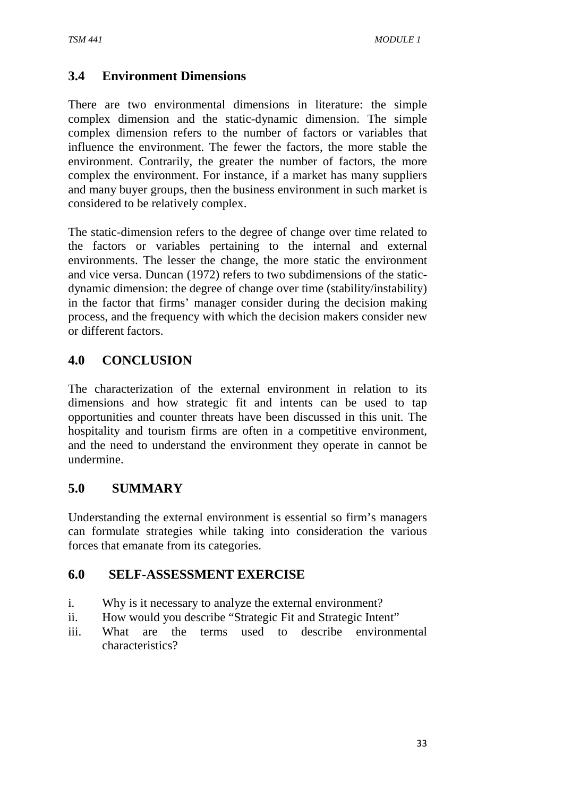# **3.4 Environment Dimensions**

There are two environmental dimensions in literature: the simple complex dimension and the static-dynamic dimension. The simple complex dimension refers to the number of factors or variables that influence the environment. The fewer the factors, the more stable the environment. Contrarily, the greater the number of factors, the more complex the environment. For instance, if a market has many suppliers and many buyer groups, then the business environment in such market is considered to be relatively complex.

The static-dimension refers to the degree of change over time related to the factors or variables pertaining to the internal and external environments. The lesser the change, the more static the environment and vice versa. Duncan (1972) refers to two subdimensions of the staticdynamic dimension: the degree of change over time (stability/instability) in the factor that firms' manager consider during the decision making process, and the frequency with which the decision makers consider new or different factors.

# **4.0 CONCLUSION**

The characterization of the external environment in relation to its dimensions and how strategic fit and intents can be used to tap opportunities and counter threats have been discussed in this unit. The hospitality and tourism firms are often in a competitive environment, and the need to understand the environment they operate in cannot be undermine.

### **5.0 SUMMARY**

Understanding the external environment is essential so firm's managers can formulate strategies while taking into consideration the various forces that emanate from its categories.

### **6.0 SELF-ASSESSMENT EXERCISE**

- i. Why is it necessary to analyze the external environment?
- ii. How would you describe "Strategic Fit and Strategic Intent"
- iii. What are the terms used to describe environmental characteristics?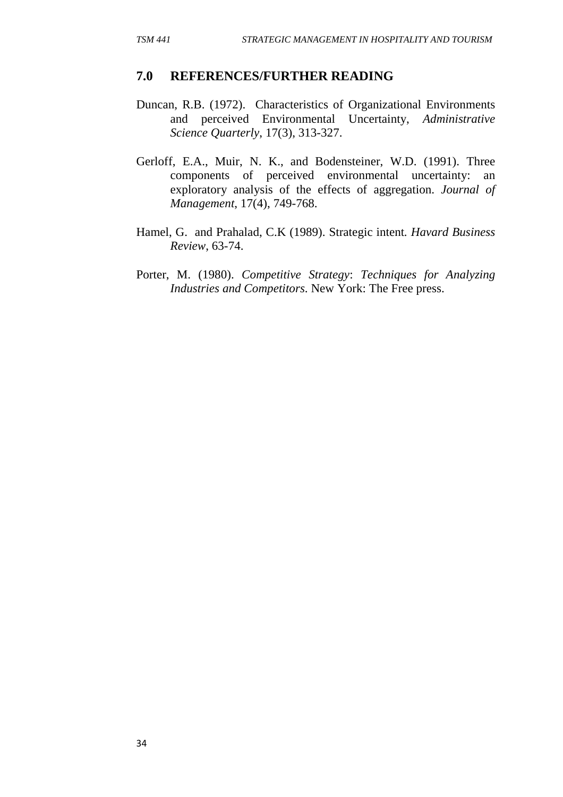#### **7.0 REFERENCES/FURTHER READING**

- Duncan, R.B. (1972). Characteristics of Organizational Environments and perceived Environmental Uncertainty, *Administrative Science Quarterly*, 17(3), 313-327.
- Gerloff, E.A., Muir, N. K., and Bodensteiner, W.D. (1991). Three components of perceived environmental uncertainty: an exploratory analysis of the effects of aggregation. *Journal of Management*, 17(4), 749-768.
- Hamel, G. and Prahalad, C.K (1989). Strategic intent*. Havard Business Review*, 63-74.
- Porter, M. (1980). *Competitive Strategy*: *Techniques for Analyzing Industries and Competitors*. New York: The Free press.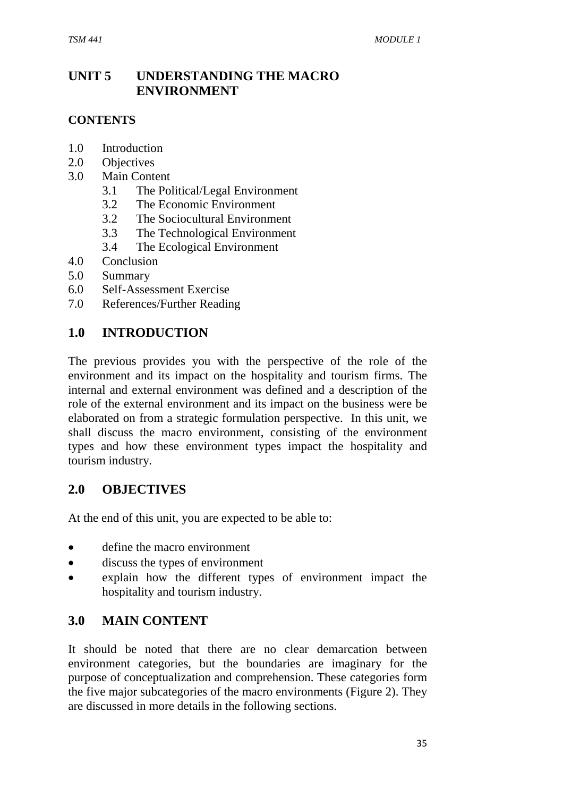# **UNIT 5 UNDERSTANDING THE MACRO ENVIRONMENT**

#### **CONTENTS**

- 1.0 Introduction
- 2.0 Objectives
- 3.0 Main Content
	- 3.1 The Political/Legal Environment
	- 3.2 The Economic Environment
	- 3.2 The Sociocultural Environment
	- 3.3 The Technological Environment
	- 3.4 The Ecological Environment
- 4.0 Conclusion
- 5.0 Summary
- 6.0 Self-Assessment Exercise
- 7.0 References/Further Reading

### **1.0 INTRODUCTION**

The previous provides you with the perspective of the role of the environment and its impact on the hospitality and tourism firms. The internal and external environment was defined and a description of the role of the external environment and its impact on the business were be elaborated on from a strategic formulation perspective. In this unit, we shall discuss the macro environment, consisting of the environment types and how these environment types impact the hospitality and tourism industry.

#### **2.0 OBJECTIVES**

At the end of this unit, you are expected to be able to:

- define the macro environment
- discuss the types of environment
- explain how the different types of environment impact the hospitality and tourism industry.

### **3.0 MAIN CONTENT**

It should be noted that there are no clear demarcation between environment categories, but the boundaries are imaginary for the purpose of conceptualization and comprehension. These categories form the five major subcategories of the macro environments (Figure 2). They are discussed in more details in the following sections.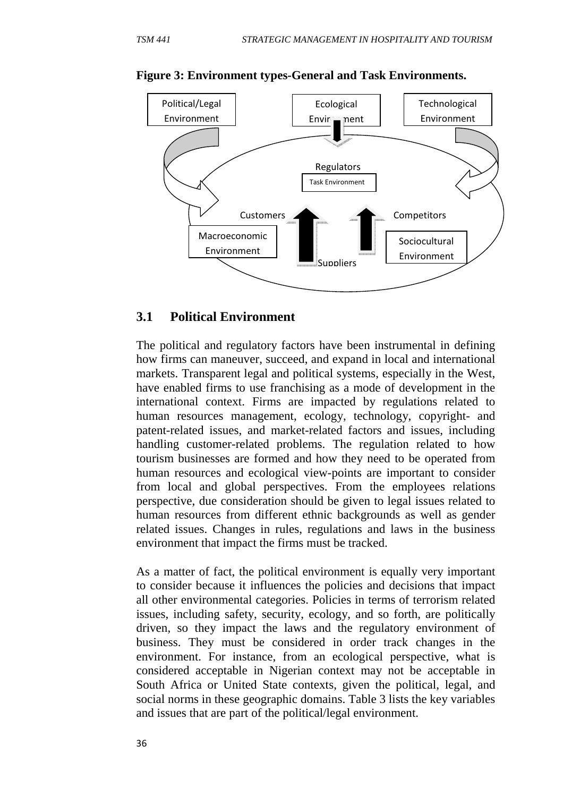

**Figure 3: Environment types-General and Task Environments.** 

#### **3.1 Political Environment**

The political and regulatory factors have been instrumental in defining how firms can maneuver, succeed, and expand in local and international markets. Transparent legal and political systems, especially in the West, have enabled firms to use franchising as a mode of development in the international context. Firms are impacted by regulations related to human resources management, ecology, technology, copyright- and patent-related issues, and market-related factors and issues, including handling customer-related problems. The regulation related to how tourism businesses are formed and how they need to be operated from human resources and ecological view-points are important to consider from local and global perspectives. From the employees relations perspective, due consideration should be given to legal issues related to human resources from different ethnic backgrounds as well as gender related issues. Changes in rules, regulations and laws in the business environment that impact the firms must be tracked.

As a matter of fact, the political environment is equally very important to consider because it influences the policies and decisions that impact all other environmental categories. Policies in terms of terrorism related issues, including safety, security, ecology, and so forth, are politically driven, so they impact the laws and the regulatory environment of business. They must be considered in order track changes in the environment. For instance, from an ecological perspective, what is considered acceptable in Nigerian context may not be acceptable in South Africa or United State contexts, given the political, legal, and social norms in these geographic domains. Table 3 lists the key variables and issues that are part of the political/legal environment.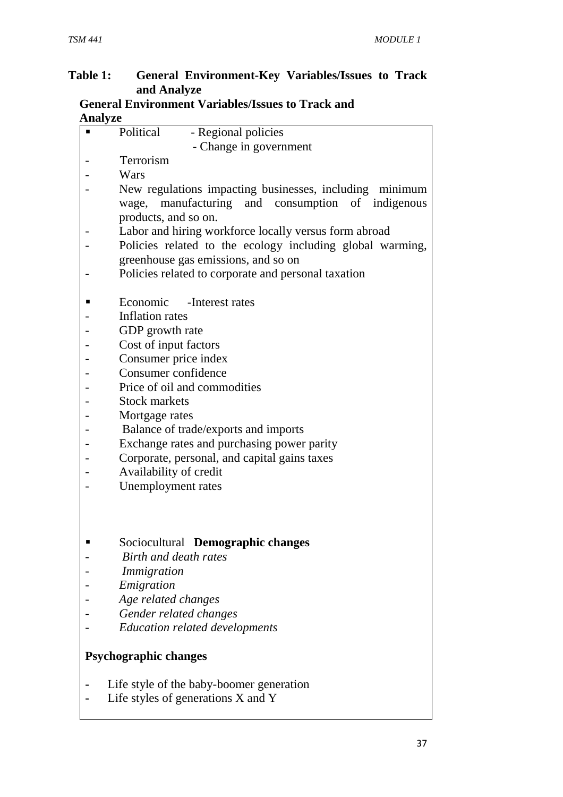### **Table 1: General Environment-Key Variables/Issues to Track and Analyze General Environment Variables/Issues to Track and**

|                              | <b>Analyze</b>                                            |  |  |
|------------------------------|-----------------------------------------------------------|--|--|
|                              | Political<br>- Regional policies                          |  |  |
|                              | - Change in government                                    |  |  |
|                              | Terrorism                                                 |  |  |
|                              | Wars                                                      |  |  |
|                              | New regulations impacting businesses, including minimum   |  |  |
|                              | manufacturing and consumption of indigenous<br>wage,      |  |  |
|                              | products, and so on.                                      |  |  |
|                              | Labor and hiring workforce locally versus form abroad     |  |  |
|                              | Policies related to the ecology including global warming, |  |  |
|                              | greenhouse gas emissions, and so on                       |  |  |
|                              | Policies related to corporate and personal taxation       |  |  |
|                              | Economic<br>-Interest rates                               |  |  |
|                              | Inflation rates                                           |  |  |
|                              | GDP growth rate                                           |  |  |
|                              | Cost of input factors                                     |  |  |
|                              | Consumer price index                                      |  |  |
|                              | Consumer confidence                                       |  |  |
|                              | Price of oil and commodities                              |  |  |
|                              | <b>Stock markets</b>                                      |  |  |
|                              | Mortgage rates                                            |  |  |
|                              | Balance of trade/exports and imports                      |  |  |
|                              | Exchange rates and purchasing power parity                |  |  |
|                              | Corporate, personal, and capital gains taxes              |  |  |
|                              | Availability of credit                                    |  |  |
|                              | Unemployment rates                                        |  |  |
| ■                            | Sociocultural Demographic changes                         |  |  |
|                              | Birth and death rates                                     |  |  |
|                              | Immigration                                               |  |  |
|                              | Emigration                                                |  |  |
|                              | Age related changes                                       |  |  |
|                              | Gender related changes                                    |  |  |
|                              | <b>Education related developments</b>                     |  |  |
| <b>Psychographic changes</b> |                                                           |  |  |
|                              | Life style of the baby-boomer generation                  |  |  |

**-** Life styles of generations X and Y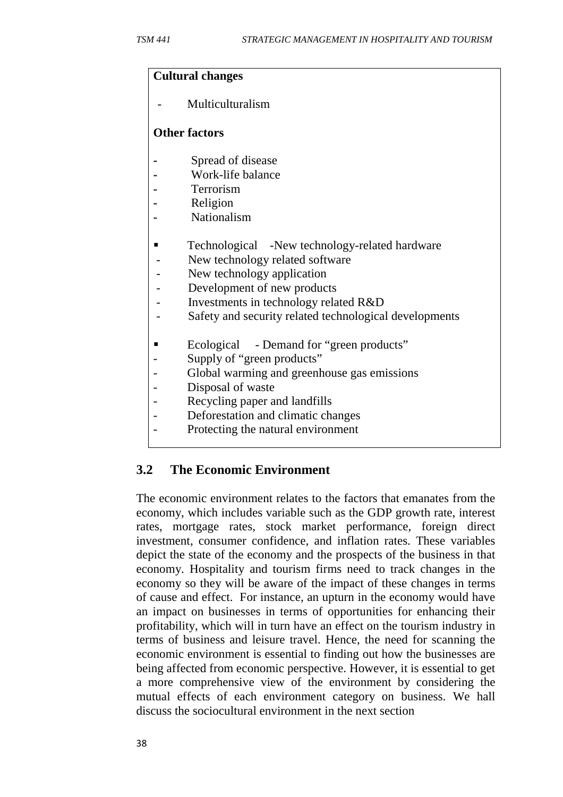#### **Cultural changes**

- Multiculturalism

#### **Other factors**

- Spread of disease
- Work-life balance
- Terrorism
- Religion
- Nationalism
- **Technological** -New technology-related hardware
- New technology related software
- New technology application
- Development of new products
- Investments in technology related R&D
- Safety and security related technological developments
- **Ecological** Demand for "green products"
- Supply of "green products"
- Global warming and greenhouse gas emissions
- Disposal of waste
- Recycling paper and landfills
- Deforestation and climatic changes
	- Protecting the natural environment

### **3.2 The Economic Environment**

The economic environment relates to the factors that emanates from the economy, which includes variable such as the GDP growth rate, interest rates, mortgage rates, stock market performance, foreign direct investment, consumer confidence, and inflation rates. These variables depict the state of the economy and the prospects of the business in that economy. Hospitality and tourism firms need to track changes in the economy so they will be aware of the impact of these changes in terms of cause and effect. For instance, an upturn in the economy would have an impact on businesses in terms of opportunities for enhancing their profitability, which will in turn have an effect on the tourism industry in terms of business and leisure travel. Hence, the need for scanning the economic environment is essential to finding out how the businesses are being affected from economic perspective. However, it is essential to get a more comprehensive view of the environment by considering the mutual effects of each environment category on business. We hall discuss the sociocultural environment in the next section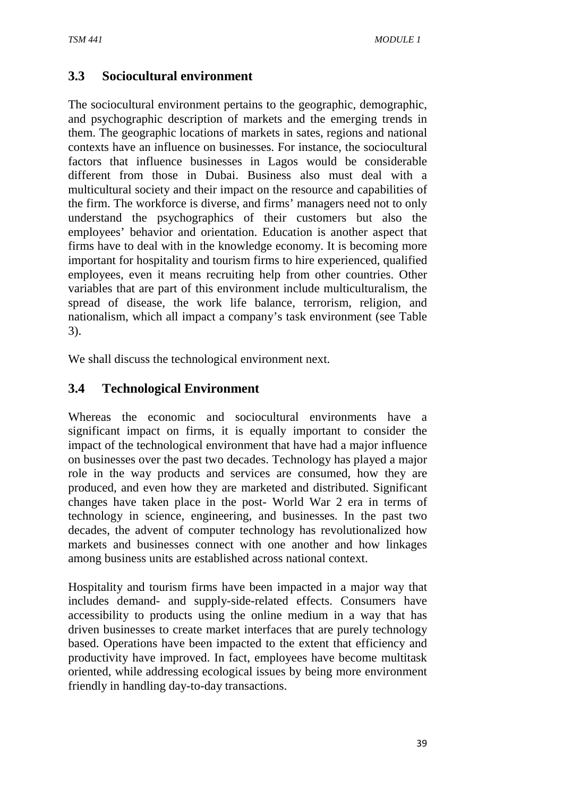# **3.3 Sociocultural environment**

The sociocultural environment pertains to the geographic, demographic, and psychographic description of markets and the emerging trends in them. The geographic locations of markets in sates, regions and national contexts have an influence on businesses. For instance, the sociocultural factors that influence businesses in Lagos would be considerable different from those in Dubai. Business also must deal with a multicultural society and their impact on the resource and capabilities of the firm. The workforce is diverse, and firms' managers need not to only understand the psychographics of their customers but also the employees' behavior and orientation. Education is another aspect that firms have to deal with in the knowledge economy. It is becoming more important for hospitality and tourism firms to hire experienced, qualified employees, even it means recruiting help from other countries. Other variables that are part of this environment include multiculturalism, the spread of disease, the work life balance, terrorism, religion, and nationalism, which all impact a company's task environment (see Table 3).

We shall discuss the technological environment next.

# **3.4 Technological Environment**

Whereas the economic and sociocultural environments have a significant impact on firms, it is equally important to consider the impact of the technological environment that have had a major influence on businesses over the past two decades. Technology has played a major role in the way products and services are consumed, how they are produced, and even how they are marketed and distributed. Significant changes have taken place in the post- World War 2 era in terms of technology in science, engineering, and businesses. In the past two decades, the advent of computer technology has revolutionalized how markets and businesses connect with one another and how linkages among business units are established across national context.

Hospitality and tourism firms have been impacted in a major way that includes demand- and supply-side-related effects. Consumers have accessibility to products using the online medium in a way that has driven businesses to create market interfaces that are purely technology based. Operations have been impacted to the extent that efficiency and productivity have improved. In fact, employees have become multitask oriented, while addressing ecological issues by being more environment friendly in handling day-to-day transactions.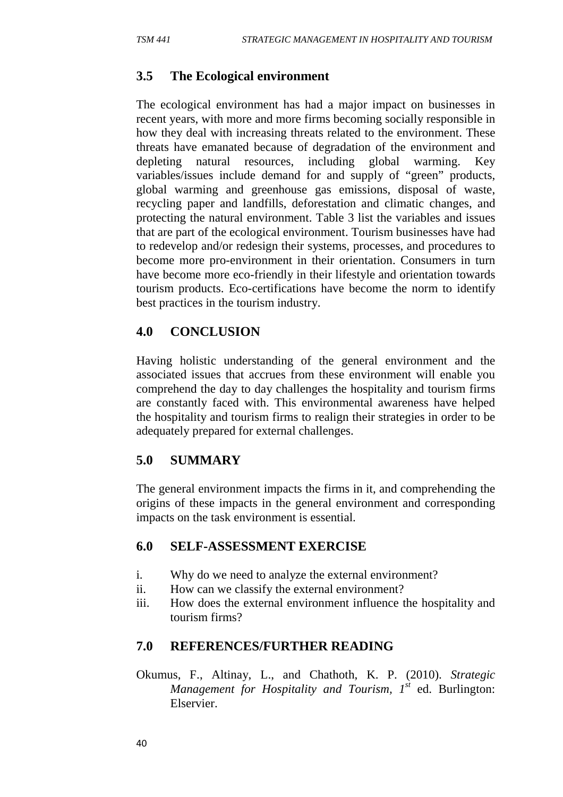# **3.5 The Ecological environment**

The ecological environment has had a major impact on businesses in recent years, with more and more firms becoming socially responsible in how they deal with increasing threats related to the environment. These threats have emanated because of degradation of the environment and depleting natural resources, including global warming. Key variables/issues include demand for and supply of "green" products, global warming and greenhouse gas emissions, disposal of waste, recycling paper and landfills, deforestation and climatic changes, and protecting the natural environment. Table 3 list the variables and issues that are part of the ecological environment. Tourism businesses have had to redevelop and/or redesign their systems, processes, and procedures to become more pro-environment in their orientation. Consumers in turn have become more eco-friendly in their lifestyle and orientation towards tourism products. Eco-certifications have become the norm to identify best practices in the tourism industry.

# **4.0 CONCLUSION**

Having holistic understanding of the general environment and the associated issues that accrues from these environment will enable you comprehend the day to day challenges the hospitality and tourism firms are constantly faced with. This environmental awareness have helped the hospitality and tourism firms to realign their strategies in order to be adequately prepared for external challenges.

### **5.0 SUMMARY**

The general environment impacts the firms in it, and comprehending the origins of these impacts in the general environment and corresponding impacts on the task environment is essential.

### **6.0 SELF-ASSESSMENT EXERCISE**

- i. Why do we need to analyze the external environment?
- ii. How can we classify the external environment?
- iii. How does the external environment influence the hospitality and tourism firms?

### **7.0 REFERENCES/FURTHER READING**

Okumus, F., Altinay, L., and Chathoth, K. P. (2010). *Strategic Management for Hospitality and Tourism, 1st* ed. Burlington: Elservier.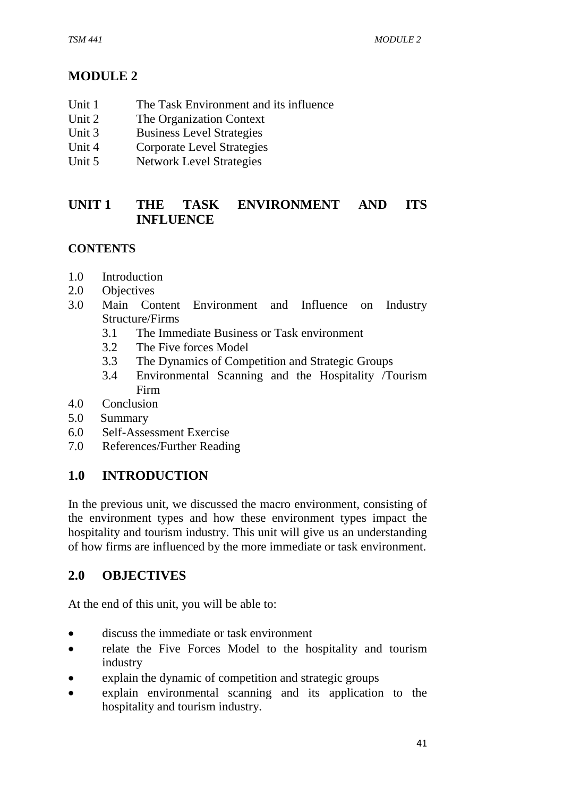# **MODULE 2**

- Unit 1 The Task Environment and its influence
- Unit 2 The Organization Context
- Unit 3 Business Level Strategies
- Unit 4 Corporate Level Strategies
- Unit 5 Network Level Strategies

# **UNIT 1 THE TASK ENVIRONMENT AND ITS INFLUENCE**

# **CONTENTS**

- 1.0 Introduction
- 2.0 Objectives
- 3.0 Main Content Environment and Influence on Industry Structure/Firms
	- 3.1 The Immediate Business or Task environment
	- 3.2 The Five forces Model
	- 3.3 The Dynamics of Competition and Strategic Groups
	- 3.4 Environmental Scanning and the Hospitality /Tourism Firm
- 4.0 Conclusion
- 5.0 Summary
- 6.0 Self-Assessment Exercise
- 7.0 References/Further Reading

# **1.0 INTRODUCTION**

In the previous unit, we discussed the macro environment, consisting of the environment types and how these environment types impact the hospitality and tourism industry. This unit will give us an understanding of how firms are influenced by the more immediate or task environment.

### **2.0 OBJECTIVES**

At the end of this unit, you will be able to:

- discuss the immediate or task environment
- relate the Five Forces Model to the hospitality and tourism industry
- explain the dynamic of competition and strategic groups
- explain environmental scanning and its application to the hospitality and tourism industry.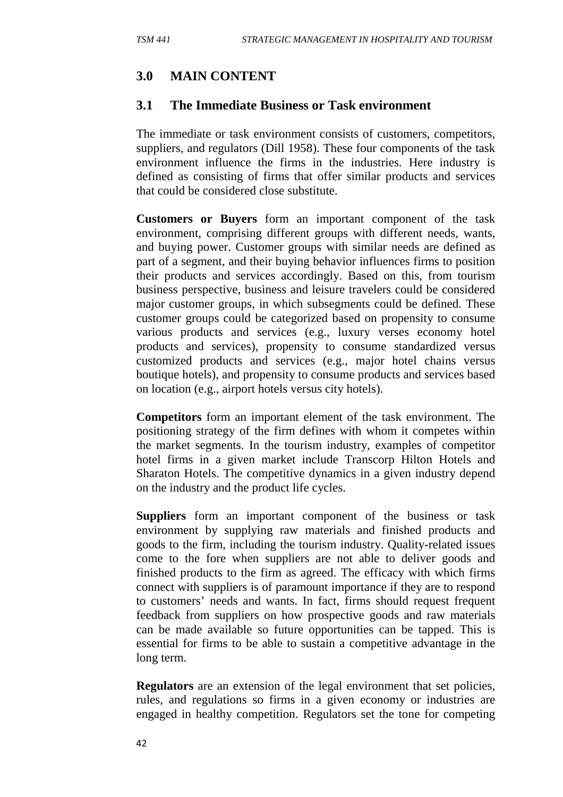# **3.0 MAIN CONTENT**

#### **3.1 The Immediate Business or Task environment**

The immediate or task environment consists of customers, competitors, suppliers, and regulators (Dill 1958). These four components of the task environment influence the firms in the industries. Here industry is defined as consisting of firms that offer similar products and services that could be considered close substitute.

**Customers or Buyers** form an important component of the task environment, comprising different groups with different needs, wants, and buying power. Customer groups with similar needs are defined as part of a segment, and their buying behavior influences firms to position their products and services accordingly. Based on this, from tourism business perspective, business and leisure travelers could be considered major customer groups, in which subsegments could be defined. These customer groups could be categorized based on propensity to consume various products and services (e.g., luxury verses economy hotel products and services), propensity to consume standardized versus customized products and services (e.g., major hotel chains versus boutique hotels), and propensity to consume products and services based on location (e.g., airport hotels versus city hotels).

**Competitors** form an important element of the task environment. The positioning strategy of the firm defines with whom it competes within the market segments. In the tourism industry, examples of competitor hotel firms in a given market include Transcorp Hilton Hotels and Sharaton Hotels. The competitive dynamics in a given industry depend on the industry and the product life cycles.

**Suppliers** form an important component of the business or task environment by supplying raw materials and finished products and goods to the firm, including the tourism industry. Quality-related issues come to the fore when suppliers are not able to deliver goods and finished products to the firm as agreed. The efficacy with which firms connect with suppliers is of paramount importance if they are to respond to customers' needs and wants. In fact, firms should request frequent feedback from suppliers on how prospective goods and raw materials can be made available so future opportunities can be tapped. This is essential for firms to be able to sustain a competitive advantage in the long term.

**Regulators** are an extension of the legal environment that set policies, rules, and regulations so firms in a given economy or industries are engaged in healthy competition. Regulators set the tone for competing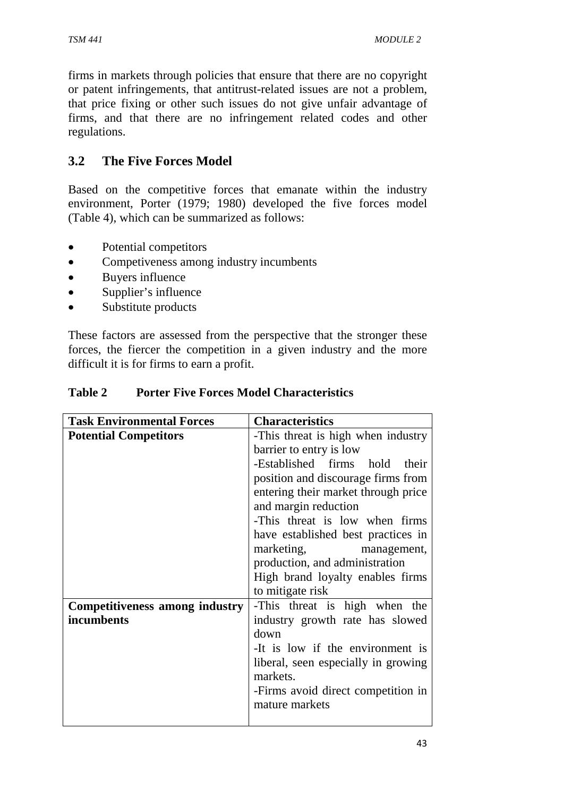firms in markets through policies that ensure that there are no copyright or patent infringements, that antitrust-related issues are not a problem, that price fixing or other such issues do not give unfair advantage of firms, and that there are no infringement related codes and other regulations.

# **3.2 The Five Forces Model**

Based on the competitive forces that emanate within the industry environment, Porter (1979; 1980) developed the five forces model (Table 4), which can be summarized as follows:

- Potential competitors
- Competiveness among industry incumbents
- Buyers influence
- Supplier's influence
- Substitute products

These factors are assessed from the perspective that the stronger these forces, the fiercer the competition in a given industry and the more difficult it is for firms to earn a profit.

| Table 2 |  |  |  | <b>Porter Five Forces Model Characteristics</b> |
|---------|--|--|--|-------------------------------------------------|
|---------|--|--|--|-------------------------------------------------|

| <b>Task Environmental Forces</b> | <b>Characteristics</b>              |  |  |
|----------------------------------|-------------------------------------|--|--|
| <b>Potential Competitors</b>     | -This threat is high when industry  |  |  |
|                                  | barrier to entry is low             |  |  |
|                                  | -Established firms hold<br>their    |  |  |
|                                  | position and discourage firms from  |  |  |
|                                  | entering their market through price |  |  |
|                                  | and margin reduction                |  |  |
|                                  | -This threat is low when firms      |  |  |
|                                  | have established best practices in  |  |  |
|                                  | marketing,<br>management,           |  |  |
|                                  | production, and administration      |  |  |
|                                  | High brand loyalty enables firms    |  |  |
|                                  | to mitigate risk                    |  |  |
| Competitiveness among industry   | -This threat is high when the       |  |  |
| incumbents                       | industry growth rate has slowed     |  |  |
|                                  | down                                |  |  |
|                                  | -It is low if the environment is    |  |  |
|                                  | liberal, seen especially in growing |  |  |
|                                  | markets.                            |  |  |
|                                  | -Firms avoid direct competition in  |  |  |
|                                  | mature markets                      |  |  |
|                                  |                                     |  |  |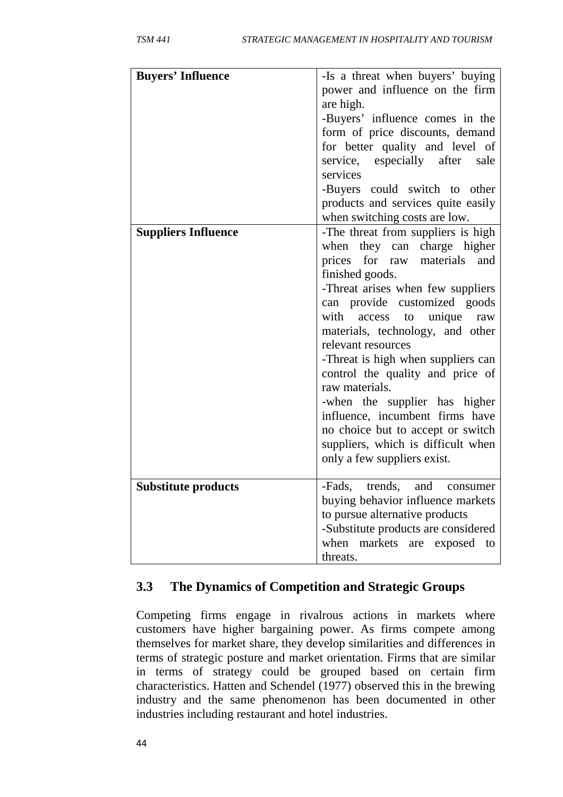| <b>Buyers' Influence</b>   | -Is a threat when buyers' buying      |  |  |
|----------------------------|---------------------------------------|--|--|
|                            | power and influence on the firm       |  |  |
|                            | are high.                             |  |  |
|                            | -Buyers' influence comes in the       |  |  |
|                            | form of price discounts, demand       |  |  |
|                            | for better quality and level of       |  |  |
|                            | service, especially after<br>sale     |  |  |
|                            | services                              |  |  |
|                            | -Buyers could switch to other         |  |  |
|                            | products and services quite easily    |  |  |
|                            | when switching costs are low.         |  |  |
| <b>Suppliers Influence</b> | -The threat from suppliers is high    |  |  |
|                            | when they can charge higher           |  |  |
|                            | for raw materials and<br>prices       |  |  |
|                            | finished goods.                       |  |  |
|                            | -Threat arises when few suppliers     |  |  |
|                            | can provide customized goods          |  |  |
|                            | unique<br>with<br>access<br>to<br>raw |  |  |
|                            | materials, technology, and other      |  |  |
|                            | relevant resources                    |  |  |
|                            |                                       |  |  |
|                            | -Threat is high when suppliers can    |  |  |
|                            | control the quality and price of      |  |  |
|                            | raw materials.                        |  |  |
|                            | -when the supplier has higher         |  |  |
|                            | influence, incumbent firms have       |  |  |
|                            | no choice but to accept or switch     |  |  |
|                            | suppliers, which is difficult when    |  |  |
|                            | only a few suppliers exist.           |  |  |
|                            |                                       |  |  |
| <b>Substitute products</b> | -Fads,<br>trends,<br>and<br>consumer  |  |  |
|                            | buying behavior influence markets     |  |  |
|                            | to pursue alternative products        |  |  |
|                            | -Substitute products are considered   |  |  |
|                            | when markets are<br>exposed<br>to     |  |  |
|                            | threats.                              |  |  |

#### **3.3 The Dynamics of Competition and Strategic Groups**

Competing firms engage in rivalrous actions in markets where customers have higher bargaining power. As firms compete among themselves for market share, they develop similarities and differences in terms of strategic posture and market orientation. Firms that are similar in terms of strategy could be grouped based on certain firm characteristics. Hatten and Schendel (1977) observed this in the brewing industry and the same phenomenon has been documented in other industries including restaurant and hotel industries.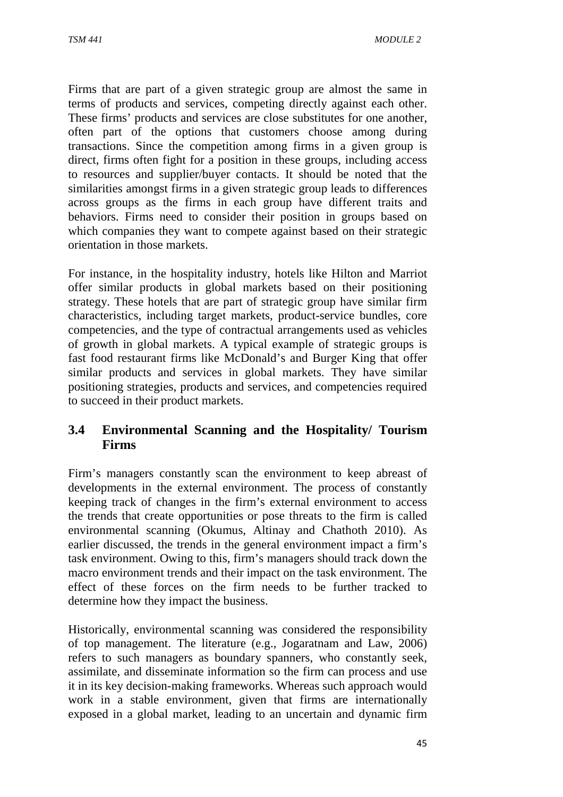Firms that are part of a given strategic group are almost the same in terms of products and services, competing directly against each other. These firms' products and services are close substitutes for one another, often part of the options that customers choose among during transactions. Since the competition among firms in a given group is direct, firms often fight for a position in these groups, including access to resources and supplier/buyer contacts. It should be noted that the similarities amongst firms in a given strategic group leads to differences across groups as the firms in each group have different traits and behaviors. Firms need to consider their position in groups based on which companies they want to compete against based on their strategic orientation in those markets.

For instance, in the hospitality industry, hotels like Hilton and Marriot offer similar products in global markets based on their positioning strategy. These hotels that are part of strategic group have similar firm characteristics, including target markets, product-service bundles, core competencies, and the type of contractual arrangements used as vehicles of growth in global markets. A typical example of strategic groups is fast food restaurant firms like McDonald's and Burger King that offer similar products and services in global markets. They have similar positioning strategies, products and services, and competencies required to succeed in their product markets.

# **3.4 Environmental Scanning and the Hospitality/ Tourism Firms**

Firm's managers constantly scan the environment to keep abreast of developments in the external environment. The process of constantly keeping track of changes in the firm's external environment to access the trends that create opportunities or pose threats to the firm is called environmental scanning (Okumus, Altinay and Chathoth 2010). As earlier discussed, the trends in the general environment impact a firm's task environment. Owing to this, firm's managers should track down the macro environment trends and their impact on the task environment. The effect of these forces on the firm needs to be further tracked to determine how they impact the business.

Historically, environmental scanning was considered the responsibility of top management. The literature (e.g., Jogaratnam and Law, 2006) refers to such managers as boundary spanners, who constantly seek, assimilate, and disseminate information so the firm can process and use it in its key decision-making frameworks. Whereas such approach would work in a stable environment, given that firms are internationally exposed in a global market, leading to an uncertain and dynamic firm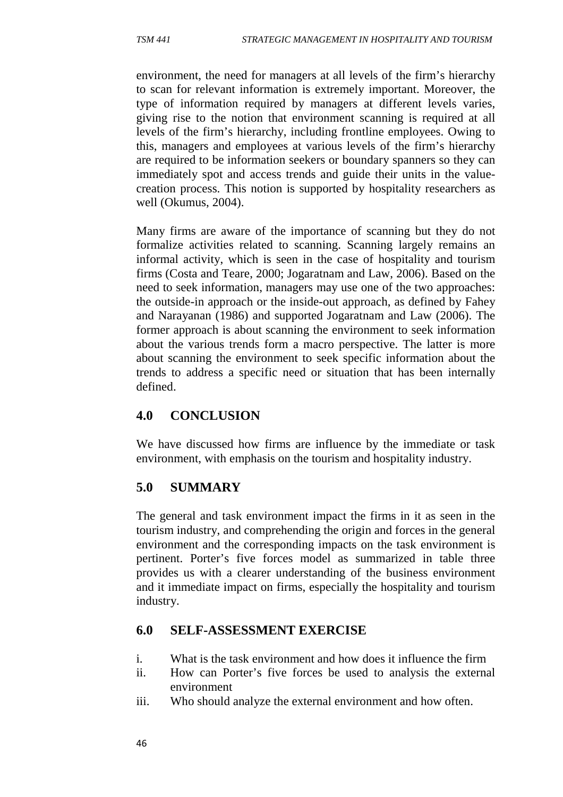environment, the need for managers at all levels of the firm's hierarchy to scan for relevant information is extremely important. Moreover, the type of information required by managers at different levels varies, giving rise to the notion that environment scanning is required at all levels of the firm's hierarchy, including frontline employees. Owing to this, managers and employees at various levels of the firm's hierarchy are required to be information seekers or boundary spanners so they can immediately spot and access trends and guide their units in the valuecreation process. This notion is supported by hospitality researchers as well (Okumus, 2004).

Many firms are aware of the importance of scanning but they do not formalize activities related to scanning. Scanning largely remains an informal activity, which is seen in the case of hospitality and tourism firms (Costa and Teare, 2000; Jogaratnam and Law, 2006). Based on the need to seek information, managers may use one of the two approaches: the outside-in approach or the inside-out approach, as defined by Fahey and Narayanan (1986) and supported Jogaratnam and Law (2006). The former approach is about scanning the environment to seek information about the various trends form a macro perspective. The latter is more about scanning the environment to seek specific information about the trends to address a specific need or situation that has been internally defined.

### **4.0 CONCLUSION**

We have discussed how firms are influence by the immediate or task environment, with emphasis on the tourism and hospitality industry.

# **5.0 SUMMARY**

The general and task environment impact the firms in it as seen in the tourism industry, and comprehending the origin and forces in the general environment and the corresponding impacts on the task environment is pertinent. Porter's five forces model as summarized in table three provides us with a clearer understanding of the business environment and it immediate impact on firms, especially the hospitality and tourism industry.

### **6.0 SELF-ASSESSMENT EXERCISE**

- i. What is the task environment and how does it influence the firm
- ii. How can Porter's five forces be used to analysis the external environment
- iii. Who should analyze the external environment and how often.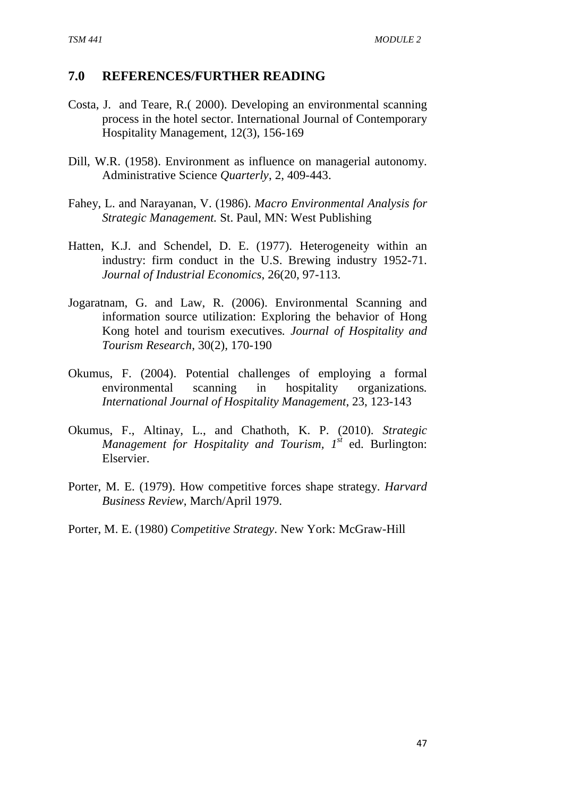#### **7.0 REFERENCES/FURTHER READING**

- Costa, J. and Teare, R.( 2000). Developing an environmental scanning process in the hotel sector. International Journal of Contemporary Hospitality Management, 12(3), 156-169
- Dill, W.R. (1958). Environment as influence on managerial autonomy. Administrative Science *Quarterly*, 2, 409-443.
- Fahey, L. and Narayanan, V. (1986). *Macro Environmental Analysis for Strategic Management.* St. Paul, MN: West Publishing
- Hatten, K.J. and Schendel, D. E. (1977). Heterogeneity within an industry: firm conduct in the U.S. Brewing industry 1952-71. *Journal of Industrial Economics*, 26(20, 97-113.
- Jogaratnam, G. and Law, R. (2006). Environmental Scanning and information source utilization: Exploring the behavior of Hong Kong hotel and tourism executives*. Journal of Hospitality and Tourism Research*, 30(2), 170-190
- Okumus, F. (2004). Potential challenges of employing a formal environmental scanning in hospitality organizations*. International Journal of Hospitality Management*, 23, 123-143
- Okumus, F., Altinay, L., and Chathoth, K. P. (2010). *Strategic Management for Hospitality and Tourism, 1st* ed. Burlington: Elservier.
- Porter, M. E. (1979). How competitive forces shape strategy. *Harvard Business Review*, March/April 1979.
- Porter, M. E. (1980) *Competitive Strategy*. New York: McGraw-Hill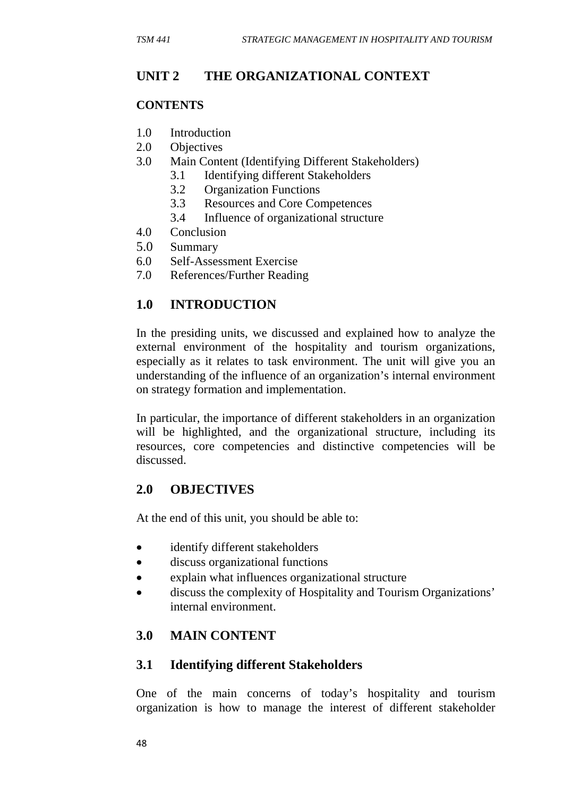# **UNIT 2 THE ORGANIZATIONAL CONTEXT**

#### **CONTENTS**

- 1.0 Introduction
- 2.0 Objectives
- 3.0 Main Content (Identifying Different Stakeholders)
	- 3.1 Identifying different Stakeholders
	- 3.2 Organization Functions
	- 3.3 Resources and Core Competences
	- 3.4 Influence of organizational structure
- 4.0 Conclusion
- 5.0 Summary
- 6.0 Self-Assessment Exercise
- 7.0 References/Further Reading

### **1.0 INTRODUCTION**

In the presiding units, we discussed and explained how to analyze the external environment of the hospitality and tourism organizations, especially as it relates to task environment. The unit will give you an understanding of the influence of an organization's internal environment on strategy formation and implementation.

In particular, the importance of different stakeholders in an organization will be highlighted, and the organizational structure, including its resources, core competencies and distinctive competencies will be discussed.

### **2.0 OBJECTIVES**

At the end of this unit, you should be able to:

- identify different stakeholders
- discuss organizational functions
- explain what influences organizational structure
- discuss the complexity of Hospitality and Tourism Organizations' internal environment.

### **3.0 MAIN CONTENT**

#### **3.1 Identifying different Stakeholders**

One of the main concerns of today's hospitality and tourism organization is how to manage the interest of different stakeholder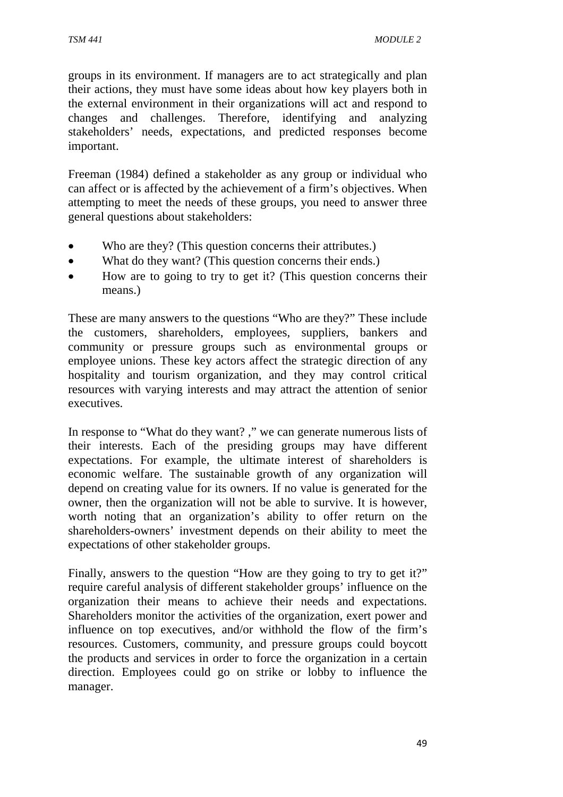groups in its environment. If managers are to act strategically and plan their actions, they must have some ideas about how key players both in the external environment in their organizations will act and respond to changes and challenges. Therefore, identifying and analyzing stakeholders' needs, expectations, and predicted responses become important.

Freeman (1984) defined a stakeholder as any group or individual who can affect or is affected by the achievement of a firm's objectives. When attempting to meet the needs of these groups, you need to answer three general questions about stakeholders:

- Who are they? (This question concerns their attributes.)
- What do they want? (This question concerns their ends.)
- How are to going to try to get it? (This question concerns their means.)

These are many answers to the questions "Who are they?" These include the customers, shareholders, employees, suppliers, bankers and community or pressure groups such as environmental groups or employee unions. These key actors affect the strategic direction of any hospitality and tourism organization, and they may control critical resources with varying interests and may attract the attention of senior executives.

In response to "What do they want? ," we can generate numerous lists of their interests. Each of the presiding groups may have different expectations. For example, the ultimate interest of shareholders is economic welfare. The sustainable growth of any organization will depend on creating value for its owners. If no value is generated for the owner, then the organization will not be able to survive. It is however, worth noting that an organization's ability to offer return on the shareholders-owners' investment depends on their ability to meet the expectations of other stakeholder groups.

Finally, answers to the question "How are they going to try to get it?" require careful analysis of different stakeholder groups' influence on the organization their means to achieve their needs and expectations. Shareholders monitor the activities of the organization, exert power and influence on top executives, and/or withhold the flow of the firm's resources. Customers, community, and pressure groups could boycott the products and services in order to force the organization in a certain direction. Employees could go on strike or lobby to influence the manager.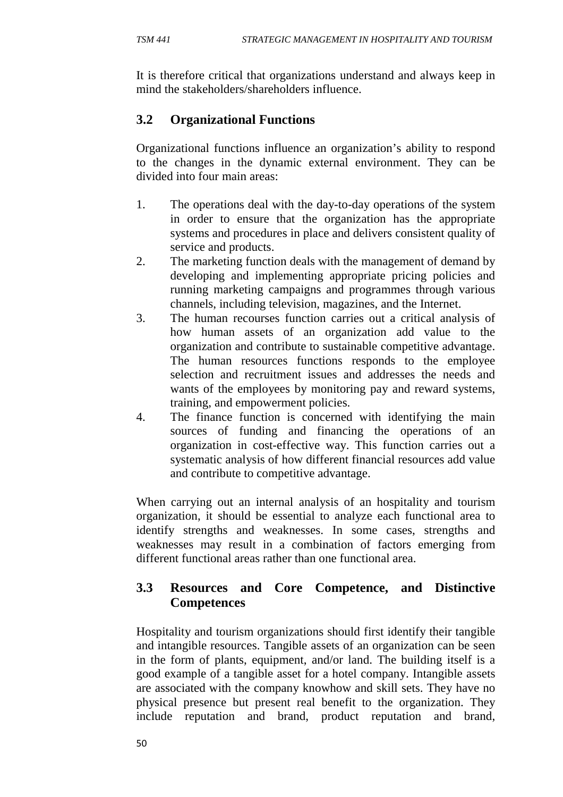It is therefore critical that organizations understand and always keep in mind the stakeholders/shareholders influence.

# **3.2 Organizational Functions**

Organizational functions influence an organization's ability to respond to the changes in the dynamic external environment. They can be divided into four main areas:

- 1. The operations deal with the day-to-day operations of the system in order to ensure that the organization has the appropriate systems and procedures in place and delivers consistent quality of service and products.
- 2. The marketing function deals with the management of demand by developing and implementing appropriate pricing policies and running marketing campaigns and programmes through various channels, including television, magazines, and the Internet.
- 3. The human recourses function carries out a critical analysis of how human assets of an organization add value to the organization and contribute to sustainable competitive advantage. The human resources functions responds to the employee selection and recruitment issues and addresses the needs and wants of the employees by monitoring pay and reward systems, training, and empowerment policies.
- 4. The finance function is concerned with identifying the main sources of funding and financing the operations of an organization in cost-effective way. This function carries out a systematic analysis of how different financial resources add value and contribute to competitive advantage.

When carrying out an internal analysis of an hospitality and tourism organization, it should be essential to analyze each functional area to identify strengths and weaknesses. In some cases, strengths and weaknesses may result in a combination of factors emerging from different functional areas rather than one functional area.

# **3.3 Resources and Core Competence, and Distinctive Competences**

Hospitality and tourism organizations should first identify their tangible and intangible resources. Tangible assets of an organization can be seen in the form of plants, equipment, and/or land. The building itself is a good example of a tangible asset for a hotel company. Intangible assets are associated with the company knowhow and skill sets. They have no physical presence but present real benefit to the organization. They include reputation and brand, product reputation and brand,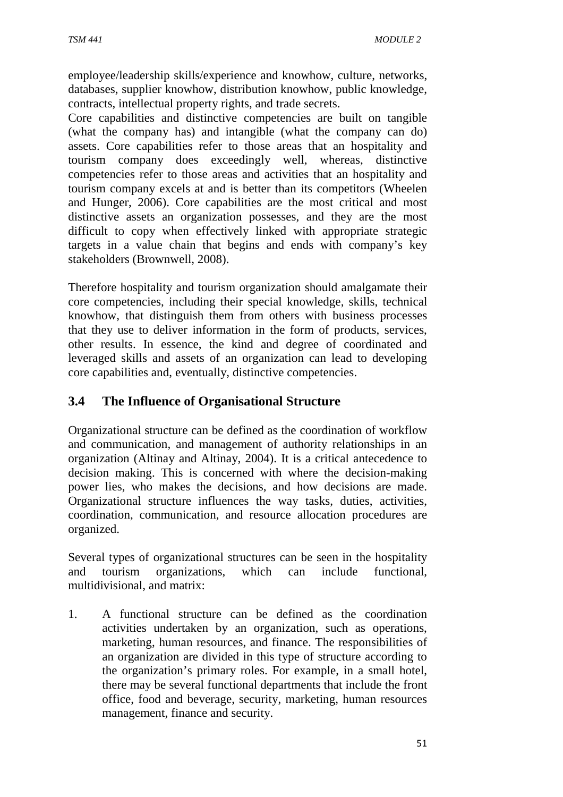employee/leadership skills/experience and knowhow, culture, networks, databases, supplier knowhow, distribution knowhow, public knowledge, contracts, intellectual property rights, and trade secrets.

Core capabilities and distinctive competencies are built on tangible (what the company has) and intangible (what the company can do) assets. Core capabilities refer to those areas that an hospitality and tourism company does exceedingly well, whereas, distinctive competencies refer to those areas and activities that an hospitality and tourism company excels at and is better than its competitors (Wheelen and Hunger, 2006). Core capabilities are the most critical and most distinctive assets an organization possesses, and they are the most difficult to copy when effectively linked with appropriate strategic targets in a value chain that begins and ends with company's key stakeholders (Brownwell, 2008).

Therefore hospitality and tourism organization should amalgamate their core competencies, including their special knowledge, skills, technical knowhow, that distinguish them from others with business processes that they use to deliver information in the form of products, services, other results. In essence, the kind and degree of coordinated and leveraged skills and assets of an organization can lead to developing core capabilities and, eventually, distinctive competencies.

### **3.4 The Influence of Organisational Structure**

Organizational structure can be defined as the coordination of workflow and communication, and management of authority relationships in an organization (Altinay and Altinay, 2004). It is a critical antecedence to decision making. This is concerned with where the decision-making power lies, who makes the decisions, and how decisions are made. Organizational structure influences the way tasks, duties, activities, coordination, communication, and resource allocation procedures are organized.

Several types of organizational structures can be seen in the hospitality and tourism organizations, which can include functional, multidivisional, and matrix:

1. A functional structure can be defined as the coordination activities undertaken by an organization, such as operations, marketing, human resources, and finance. The responsibilities of an organization are divided in this type of structure according to the organization's primary roles. For example, in a small hotel, there may be several functional departments that include the front office, food and beverage, security, marketing, human resources management, finance and security.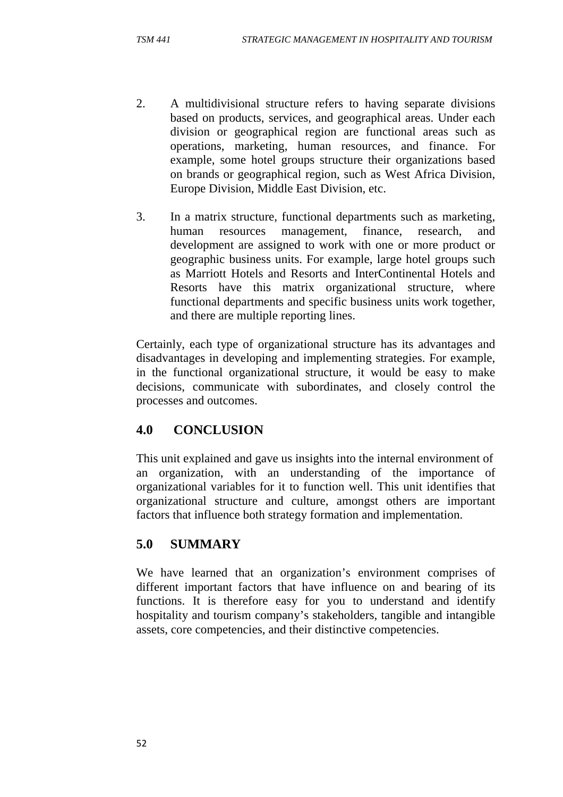- 2. A multidivisional structure refers to having separate divisions based on products, services, and geographical areas. Under each division or geographical region are functional areas such as operations, marketing, human resources, and finance. For example, some hotel groups structure their organizations based on brands or geographical region, such as West Africa Division, Europe Division, Middle East Division, etc.
- 3. In a matrix structure, functional departments such as marketing, human resources management, finance, research, and development are assigned to work with one or more product or geographic business units. For example, large hotel groups such as Marriott Hotels and Resorts and InterContinental Hotels and Resorts have this matrix organizational structure, where functional departments and specific business units work together, and there are multiple reporting lines.

Certainly, each type of organizational structure has its advantages and disadvantages in developing and implementing strategies. For example, in the functional organizational structure, it would be easy to make decisions, communicate with subordinates, and closely control the processes and outcomes.

# **4.0 CONCLUSION**

This unit explained and gave us insights into the internal environment of an organization, with an understanding of the importance of organizational variables for it to function well. This unit identifies that organizational structure and culture, amongst others are important factors that influence both strategy formation and implementation.

# **5.0 SUMMARY**

We have learned that an organization's environment comprises of different important factors that have influence on and bearing of its functions. It is therefore easy for you to understand and identify hospitality and tourism company's stakeholders, tangible and intangible assets, core competencies, and their distinctive competencies.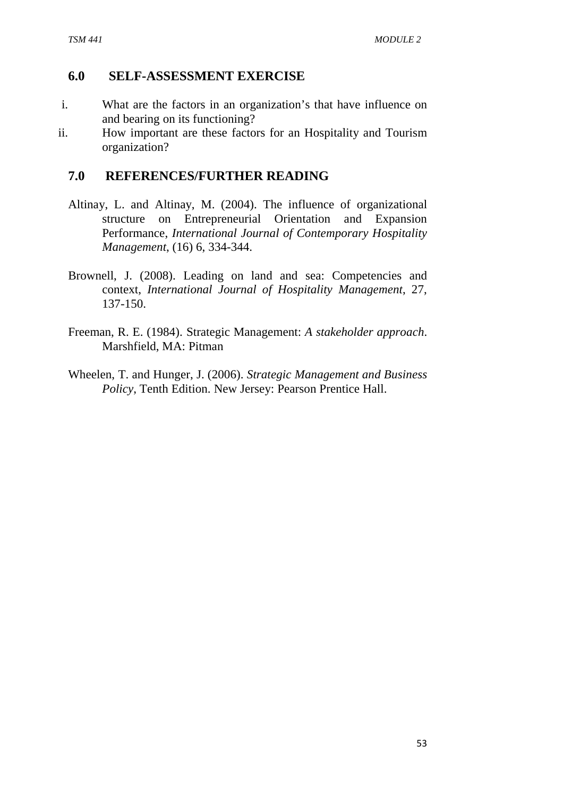#### **6.0 SELF-ASSESSMENT EXERCISE**

- i. What are the factors in an organization's that have influence on and bearing on its functioning?
- ii. How important are these factors for an Hospitality and Tourism organization?

#### **7.0 REFERENCES/FURTHER READING**

- Altinay, L. and Altinay, M. (2004). The influence of organizational structure on Entrepreneurial Orientation and Expansion Performance, *International Journal of Contemporary Hospitality Management*, (16) 6, 334-344.
- Brownell, J. (2008). Leading on land and sea: Competencies and context, *International Journal of Hospitality Management*, 27, 137-150.
- Freeman, R. E. (1984). Strategic Management: *A stakeholder approach*. Marshfield, MA: Pitman
- Wheelen, T. and Hunger, J. (2006). *Strategic Management and Business Policy*, Tenth Edition. New Jersey: Pearson Prentice Hall.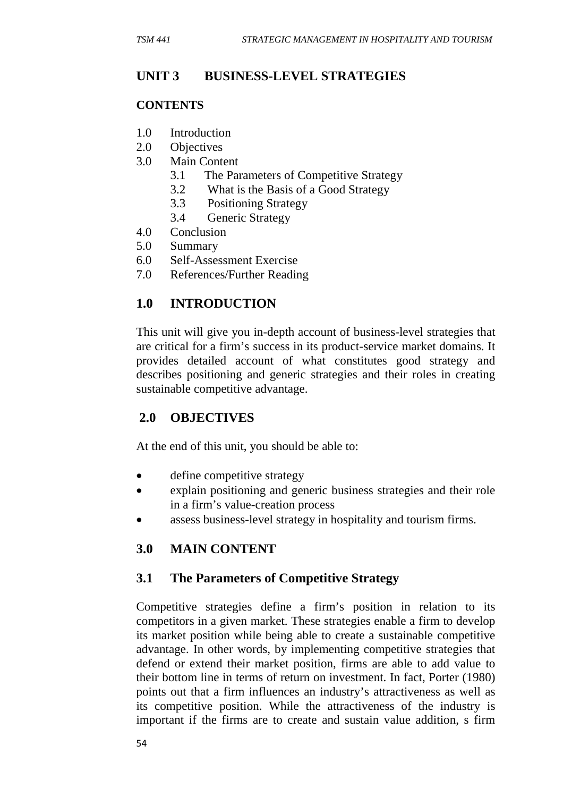# **UNIT 3 BUSINESS-LEVEL STRATEGIES**

#### **CONTENTS**

- 1.0 Introduction
- 2.0 Objectives
- 3.0 Main Content
	- 3.1 The Parameters of Competitive Strategy
	- 3.2 What is the Basis of a Good Strategy
	- 3.3 Positioning Strategy
	- 3.4 Generic Strategy
- 4.0 Conclusion
- 5.0 Summary
- 6.0 Self-Assessment Exercise
- 7.0 References/Further Reading

# **1.0 INTRODUCTION**

This unit will give you in-depth account of business-level strategies that are critical for a firm's success in its product-service market domains. It provides detailed account of what constitutes good strategy and describes positioning and generic strategies and their roles in creating sustainable competitive advantage.

# **2.0 OBJECTIVES**

At the end of this unit, you should be able to:

- define competitive strategy
- explain positioning and generic business strategies and their role in a firm's value-creation process
- assess business-level strategy in hospitality and tourism firms.

# **3.0 MAIN CONTENT**

### **3.1 The Parameters of Competitive Strategy**

Competitive strategies define a firm's position in relation to its competitors in a given market. These strategies enable a firm to develop its market position while being able to create a sustainable competitive advantage. In other words, by implementing competitive strategies that defend or extend their market position, firms are able to add value to their bottom line in terms of return on investment. In fact, Porter (1980) points out that a firm influences an industry's attractiveness as well as its competitive position. While the attractiveness of the industry is important if the firms are to create and sustain value addition, s firm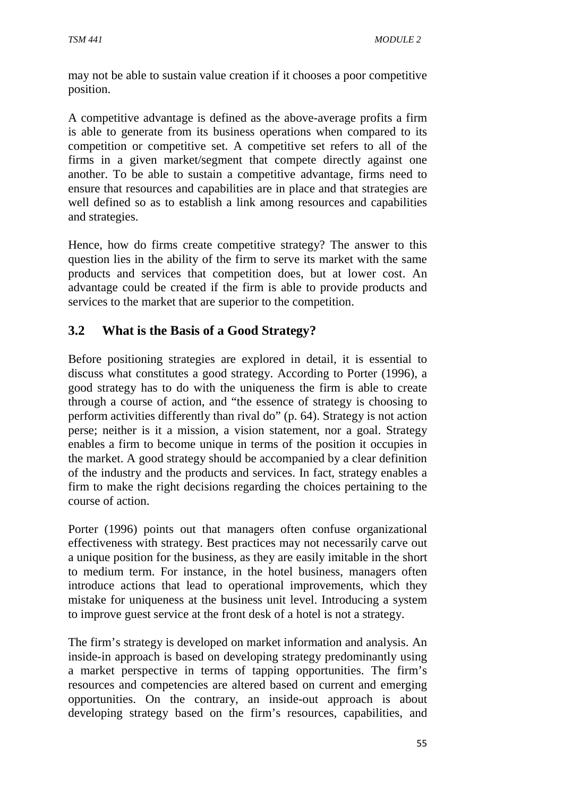may not be able to sustain value creation if it chooses a poor competitive position.

A competitive advantage is defined as the above-average profits a firm is able to generate from its business operations when compared to its competition or competitive set. A competitive set refers to all of the firms in a given market/segment that compete directly against one another. To be able to sustain a competitive advantage, firms need to ensure that resources and capabilities are in place and that strategies are well defined so as to establish a link among resources and capabilities and strategies.

Hence, how do firms create competitive strategy? The answer to this question lies in the ability of the firm to serve its market with the same products and services that competition does, but at lower cost. An advantage could be created if the firm is able to provide products and services to the market that are superior to the competition.

# **3.2 What is the Basis of a Good Strategy?**

Before positioning strategies are explored in detail, it is essential to discuss what constitutes a good strategy. According to Porter (1996), a good strategy has to do with the uniqueness the firm is able to create through a course of action, and "the essence of strategy is choosing to perform activities differently than rival do" (p. 64). Strategy is not action perse; neither is it a mission, a vision statement, nor a goal. Strategy enables a firm to become unique in terms of the position it occupies in the market. A good strategy should be accompanied by a clear definition of the industry and the products and services. In fact, strategy enables a firm to make the right decisions regarding the choices pertaining to the course of action.

Porter (1996) points out that managers often confuse organizational effectiveness with strategy. Best practices may not necessarily carve out a unique position for the business, as they are easily imitable in the short to medium term. For instance, in the hotel business, managers often introduce actions that lead to operational improvements, which they mistake for uniqueness at the business unit level. Introducing a system to improve guest service at the front desk of a hotel is not a strategy.

The firm's strategy is developed on market information and analysis. An inside-in approach is based on developing strategy predominantly using a market perspective in terms of tapping opportunities. The firm's resources and competencies are altered based on current and emerging opportunities. On the contrary, an inside-out approach is about developing strategy based on the firm's resources, capabilities, and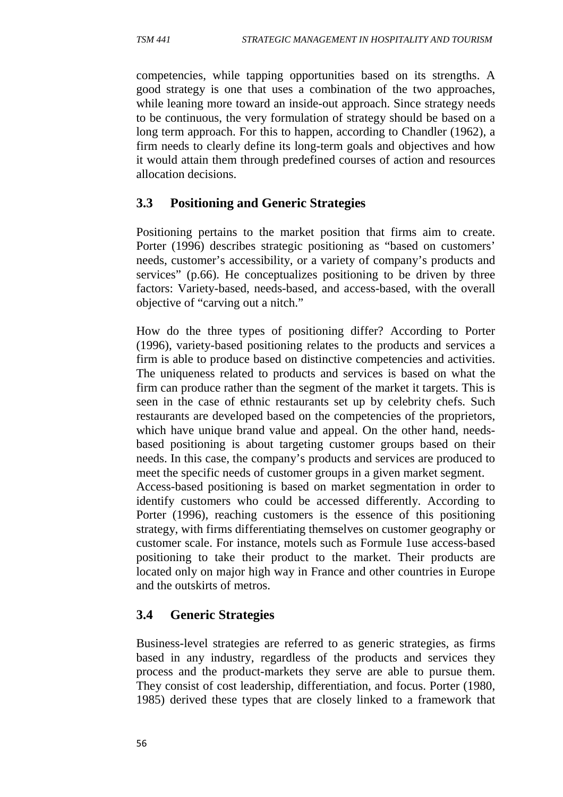competencies, while tapping opportunities based on its strengths. A good strategy is one that uses a combination of the two approaches, while leaning more toward an inside-out approach. Since strategy needs to be continuous, the very formulation of strategy should be based on a long term approach. For this to happen, according to Chandler (1962), a firm needs to clearly define its long-term goals and objectives and how it would attain them through predefined courses of action and resources allocation decisions.

# **3.3 Positioning and Generic Strategies**

Positioning pertains to the market position that firms aim to create. Porter (1996) describes strategic positioning as "based on customers' needs, customer's accessibility, or a variety of company's products and services" (p.66). He conceptualizes positioning to be driven by three factors: Variety-based, needs-based, and access-based, with the overall objective of "carving out a nitch."

How do the three types of positioning differ? According to Porter (1996), variety-based positioning relates to the products and services a firm is able to produce based on distinctive competencies and activities. The uniqueness related to products and services is based on what the firm can produce rather than the segment of the market it targets. This is seen in the case of ethnic restaurants set up by celebrity chefs. Such restaurants are developed based on the competencies of the proprietors, which have unique brand value and appeal. On the other hand, needsbased positioning is about targeting customer groups based on their needs. In this case, the company's products and services are produced to meet the specific needs of customer groups in a given market segment. Access-based positioning is based on market segmentation in order to identify customers who could be accessed differently. According to Porter (1996), reaching customers is the essence of this positioning strategy, with firms differentiating themselves on customer geography or customer scale. For instance, motels such as Formule 1use access-based positioning to take their product to the market. Their products are located only on major high way in France and other countries in Europe and the outskirts of metros.

# **3.4 Generic Strategies**

Business-level strategies are referred to as generic strategies, as firms based in any industry, regardless of the products and services they process and the product-markets they serve are able to pursue them. They consist of cost leadership, differentiation, and focus. Porter (1980, 1985) derived these types that are closely linked to a framework that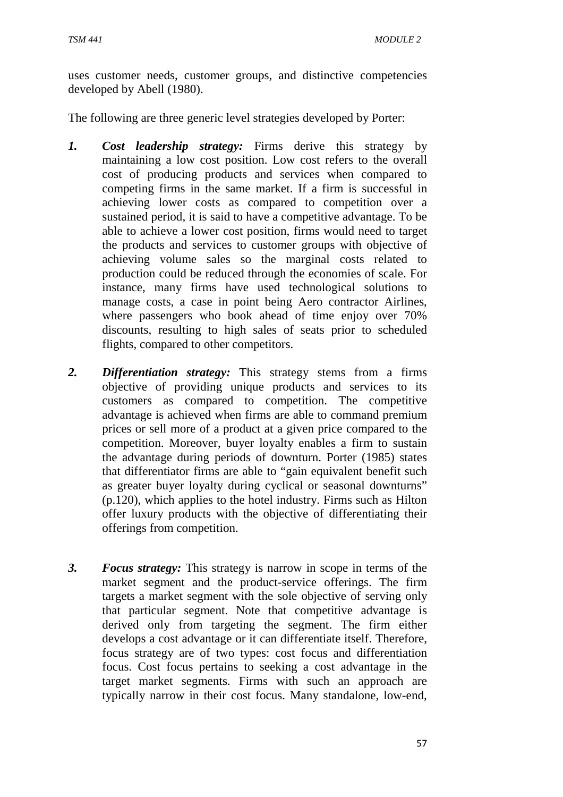uses customer needs, customer groups, and distinctive competencies developed by Abell (1980).

The following are three generic level strategies developed by Porter:

- *1. Cost leadership strategy:* Firms derive this strategy by maintaining a low cost position. Low cost refers to the overall cost of producing products and services when compared to competing firms in the same market. If a firm is successful in achieving lower costs as compared to competition over a sustained period, it is said to have a competitive advantage. To be able to achieve a lower cost position, firms would need to target the products and services to customer groups with objective of achieving volume sales so the marginal costs related to production could be reduced through the economies of scale. For instance, many firms have used technological solutions to manage costs, a case in point being Aero contractor Airlines, where passengers who book ahead of time enjoy over 70% discounts, resulting to high sales of seats prior to scheduled flights, compared to other competitors.
- *2. Differentiation strategy:* This strategy stems from a firms objective of providing unique products and services to its customers as compared to competition. The competitive advantage is achieved when firms are able to command premium prices or sell more of a product at a given price compared to the competition. Moreover, buyer loyalty enables a firm to sustain the advantage during periods of downturn. Porter (1985) states that differentiator firms are able to "gain equivalent benefit such as greater buyer loyalty during cyclical or seasonal downturns" (p.120), which applies to the hotel industry. Firms such as Hilton offer luxury products with the objective of differentiating their offerings from competition.
- *3. Focus strategy:* This strategy is narrow in scope in terms of the market segment and the product-service offerings. The firm targets a market segment with the sole objective of serving only that particular segment. Note that competitive advantage is derived only from targeting the segment. The firm either develops a cost advantage or it can differentiate itself. Therefore, focus strategy are of two types: cost focus and differentiation focus. Cost focus pertains to seeking a cost advantage in the target market segments. Firms with such an approach are typically narrow in their cost focus. Many standalone, low-end,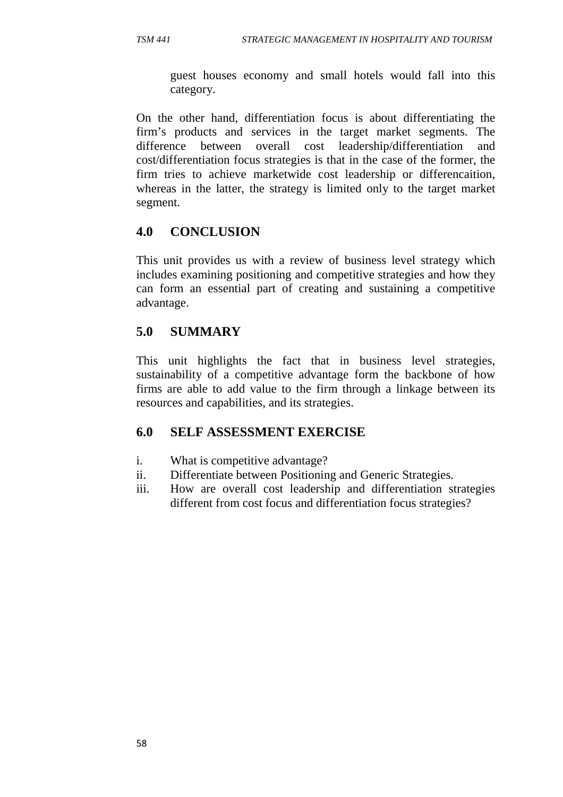guest houses economy and small hotels would fall into this category.

On the other hand, differentiation focus is about differentiating the firm's products and services in the target market segments. The difference between overall cost leadership/differentiation and cost/differentiation focus strategies is that in the case of the former, the firm tries to achieve marketwide cost leadership or differencaition, whereas in the latter, the strategy is limited only to the target market segment.

### **4.0 CONCLUSION**

This unit provides us with a review of business level strategy which includes examining positioning and competitive strategies and how they can form an essential part of creating and sustaining a competitive advantage.

# **5.0 SUMMARY**

This unit highlights the fact that in business level strategies, sustainability of a competitive advantage form the backbone of how firms are able to add value to the firm through a linkage between its resources and capabilities, and its strategies.

### **6.0 SELF ASSESSMENT EXERCISE**

- i. What is competitive advantage?
- ii. Differentiate between Positioning and Generic Strategies.
- iii. How are overall cost leadership and differentiation strategies different from cost focus and differentiation focus strategies?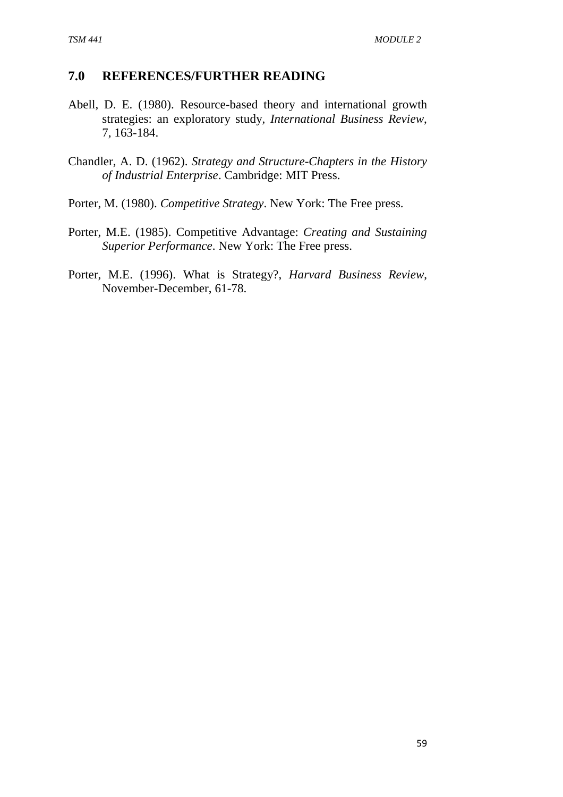#### **7.0 REFERENCES/FURTHER READING**

- Abell, D. E. (1980). Resource-based theory and international growth strategies: an exploratory study*, International Business Review*, 7, 163-184.
- Chandler, A. D. (1962). *Strategy and Structure-Chapters in the History of Industrial Enterprise*. Cambridge: MIT Press.
- Porter, M. (1980). *Competitive Strategy*. New York: The Free press.
- Porter, M.E. (1985). Competitive Advantage: *Creating and Sustaining Superior Performance*. New York: The Free press.
- Porter, M.E. (1996). What is Strategy?, *Harvard Business Review*, November-December, 61-78.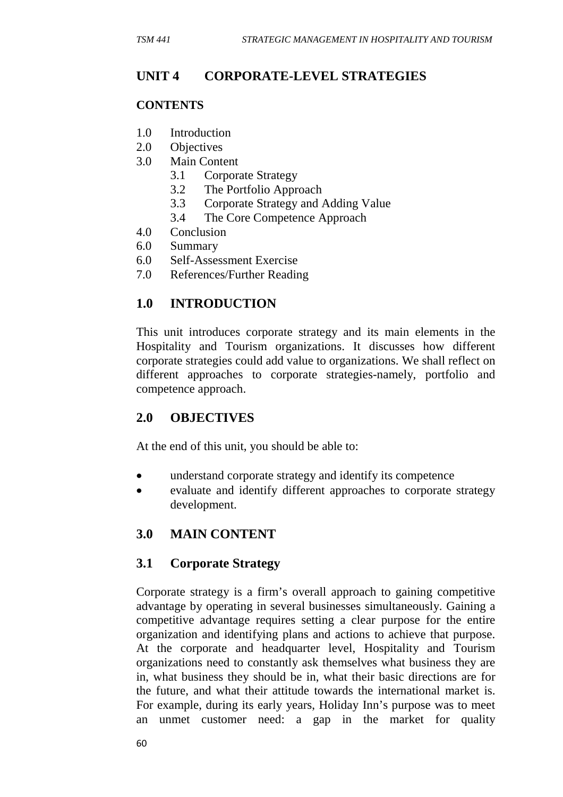# **UNIT 4 CORPORATE-LEVEL STRATEGIES**

#### **CONTENTS**

- 1.0 Introduction
- 2.0 Objectives
- 3.0 Main Content
	- 3.1 Corporate Strategy
	- 3.2 The Portfolio Approach
	- 3.3 Corporate Strategy and Adding Value
	- 3.4 The Core Competence Approach
- 4.0 Conclusion
- 6.0 Summary
- 6.0 Self-Assessment Exercise
- 7.0 References/Further Reading

### **1.0 INTRODUCTION**

This unit introduces corporate strategy and its main elements in the Hospitality and Tourism organizations. It discusses how different corporate strategies could add value to organizations. We shall reflect on different approaches to corporate strategies-namely, portfolio and competence approach.

### **2.0 OBJECTIVES**

At the end of this unit, you should be able to:

- understand corporate strategy and identify its competence
- evaluate and identify different approaches to corporate strategy development.

### **3.0 MAIN CONTENT**

#### **3.1 Corporate Strategy**

Corporate strategy is a firm's overall approach to gaining competitive advantage by operating in several businesses simultaneously. Gaining a competitive advantage requires setting a clear purpose for the entire organization and identifying plans and actions to achieve that purpose. At the corporate and headquarter level, Hospitality and Tourism organizations need to constantly ask themselves what business they are in, what business they should be in, what their basic directions are for the future, and what their attitude towards the international market is. For example, during its early years, Holiday Inn's purpose was to meet an unmet customer need: a gap in the market for quality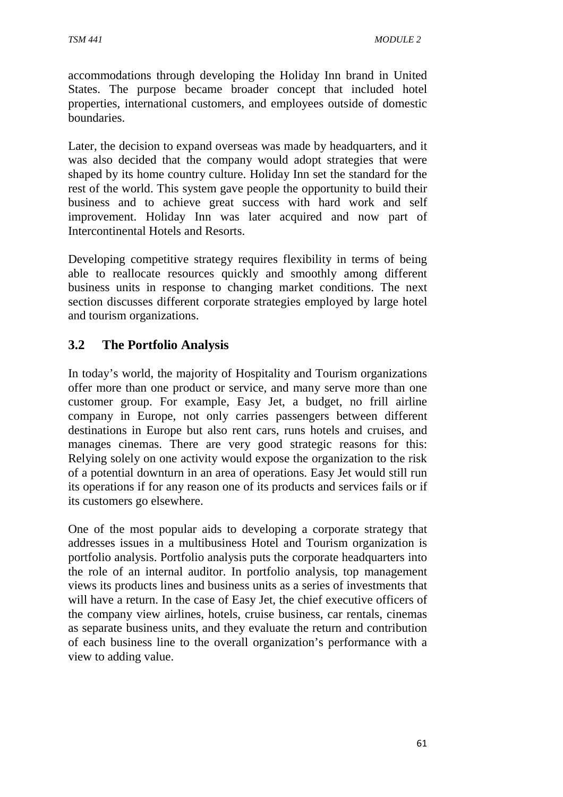accommodations through developing the Holiday Inn brand in United States. The purpose became broader concept that included hotel properties, international customers, and employees outside of domestic boundaries.

Later, the decision to expand overseas was made by headquarters, and it was also decided that the company would adopt strategies that were shaped by its home country culture. Holiday Inn set the standard for the rest of the world. This system gave people the opportunity to build their business and to achieve great success with hard work and self improvement. Holiday Inn was later acquired and now part of Intercontinental Hotels and Resorts.

Developing competitive strategy requires flexibility in terms of being able to reallocate resources quickly and smoothly among different business units in response to changing market conditions. The next section discusses different corporate strategies employed by large hotel and tourism organizations.

# **3.2 The Portfolio Analysis**

In today's world, the majority of Hospitality and Tourism organizations offer more than one product or service, and many serve more than one customer group. For example, Easy Jet, a budget, no frill airline company in Europe, not only carries passengers between different destinations in Europe but also rent cars, runs hotels and cruises, and manages cinemas. There are very good strategic reasons for this: Relying solely on one activity would expose the organization to the risk of a potential downturn in an area of operations. Easy Jet would still run its operations if for any reason one of its products and services fails or if its customers go elsewhere.

One of the most popular aids to developing a corporate strategy that addresses issues in a multibusiness Hotel and Tourism organization is portfolio analysis. Portfolio analysis puts the corporate headquarters into the role of an internal auditor. In portfolio analysis, top management views its products lines and business units as a series of investments that will have a return. In the case of Easy Jet, the chief executive officers of the company view airlines, hotels, cruise business, car rentals, cinemas as separate business units, and they evaluate the return and contribution of each business line to the overall organization's performance with a view to adding value.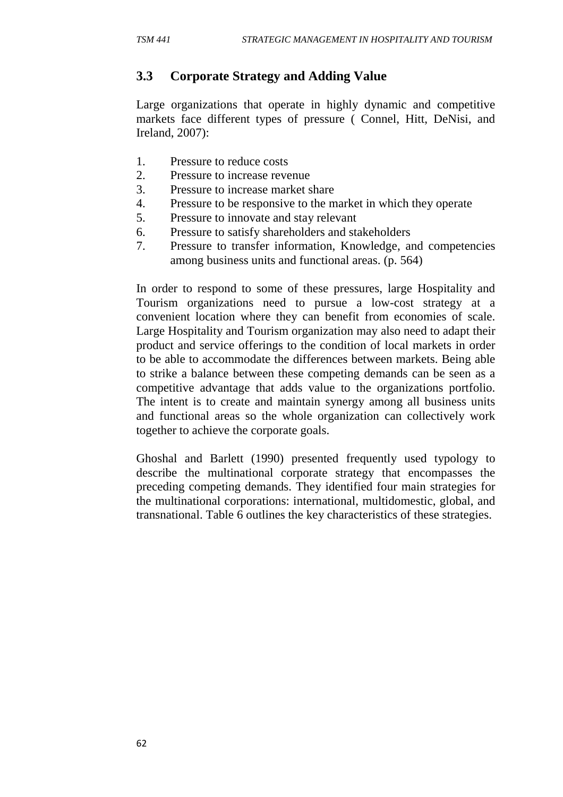## **3.3 Corporate Strategy and Adding Value**

Large organizations that operate in highly dynamic and competitive markets face different types of pressure ( Connel, Hitt, DeNisi, and Ireland, 2007):

- 1. Pressure to reduce costs
- 2. Pressure to increase revenue
- 3. Pressure to increase market share
- 4. Pressure to be responsive to the market in which they operate
- 5. Pressure to innovate and stay relevant
- 6. Pressure to satisfy shareholders and stakeholders
- 7. Pressure to transfer information, Knowledge, and competencies among business units and functional areas. (p. 564)

In order to respond to some of these pressures, large Hospitality and Tourism organizations need to pursue a low-cost strategy at a convenient location where they can benefit from economies of scale. Large Hospitality and Tourism organization may also need to adapt their product and service offerings to the condition of local markets in order to be able to accommodate the differences between markets. Being able to strike a balance between these competing demands can be seen as a competitive advantage that adds value to the organizations portfolio. The intent is to create and maintain synergy among all business units and functional areas so the whole organization can collectively work together to achieve the corporate goals.

Ghoshal and Barlett (1990) presented frequently used typology to describe the multinational corporate strategy that encompasses the preceding competing demands. They identified four main strategies for the multinational corporations: international, multidomestic, global, and transnational. Table 6 outlines the key characteristics of these strategies.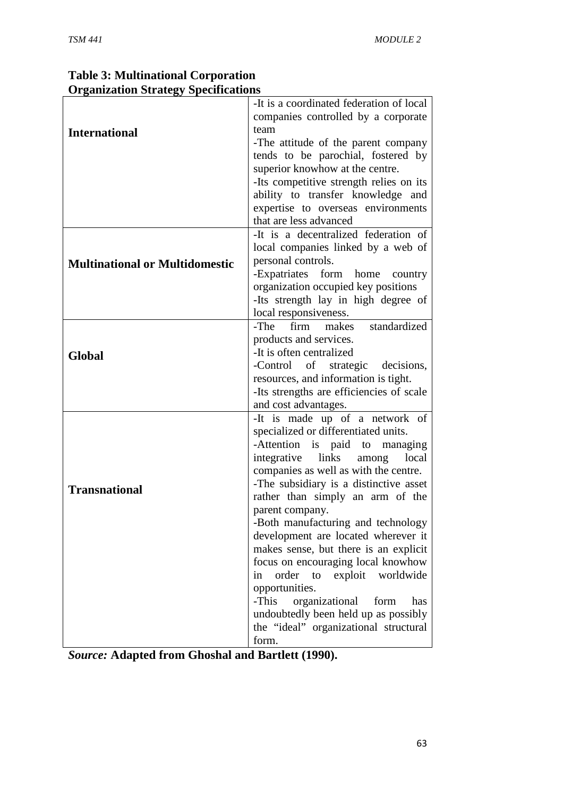#### **Table 3: Multinational Corporation Organization Strategy Specifications**

|                                       | -It is a coordinated federation of local                                     |  |
|---------------------------------------|------------------------------------------------------------------------------|--|
|                                       | companies controlled by a corporate                                          |  |
| <b>International</b>                  | team                                                                         |  |
|                                       | -The attitude of the parent company                                          |  |
|                                       | tends to be parochial, fostered by                                           |  |
|                                       | superior knowhow at the centre.                                              |  |
|                                       | -Its competitive strength relies on its                                      |  |
|                                       | ability to transfer knowledge and                                            |  |
|                                       | expertise to overseas environments                                           |  |
|                                       | that are less advanced<br>-It is a decentralized federation of               |  |
|                                       |                                                                              |  |
|                                       | local companies linked by a web of                                           |  |
| <b>Multinational or Multidomestic</b> | personal controls.                                                           |  |
|                                       | -Expatriates form home country                                               |  |
|                                       | organization occupied key positions                                          |  |
|                                       | -Its strength lay in high degree of                                          |  |
|                                       | local responsiveness.<br>standardized<br>firm<br>-The                        |  |
|                                       | makes                                                                        |  |
|                                       | products and services.<br>-It is often centralized                           |  |
| Global                                |                                                                              |  |
|                                       | -Control of strategic decisions,                                             |  |
|                                       | resources, and information is tight.                                         |  |
|                                       | -Its strengths are efficiencies of scale                                     |  |
|                                       | and cost advantages.                                                         |  |
|                                       | -It is made up of a network of<br>specialized or differentiated units.       |  |
|                                       |                                                                              |  |
|                                       | -Attention is paid to managing                                               |  |
| <b>Transnational</b>                  | integrative links<br>local<br>among<br>companies as well as with the centre. |  |
|                                       | -The subsidiary is a distinctive asset                                       |  |
|                                       |                                                                              |  |
|                                       | rather than simply an arm of the                                             |  |
|                                       | parent company.<br>-Both manufacturing and technology                        |  |
|                                       | development are located wherever it                                          |  |
|                                       | makes sense, but there is an explicit                                        |  |
|                                       | focus on encouraging local knowhow                                           |  |
|                                       | order<br>exploit<br>worldwide<br>to<br>in                                    |  |
|                                       | opportunities.                                                               |  |
|                                       | -This<br>organizational<br>form<br>has                                       |  |
|                                       | undoubtedly been held up as possibly                                         |  |
|                                       | the "ideal" organizational structural                                        |  |
|                                       | form.                                                                        |  |
|                                       |                                                                              |  |

*Source:* **Adapted from Ghoshal and Bartlett (1990).**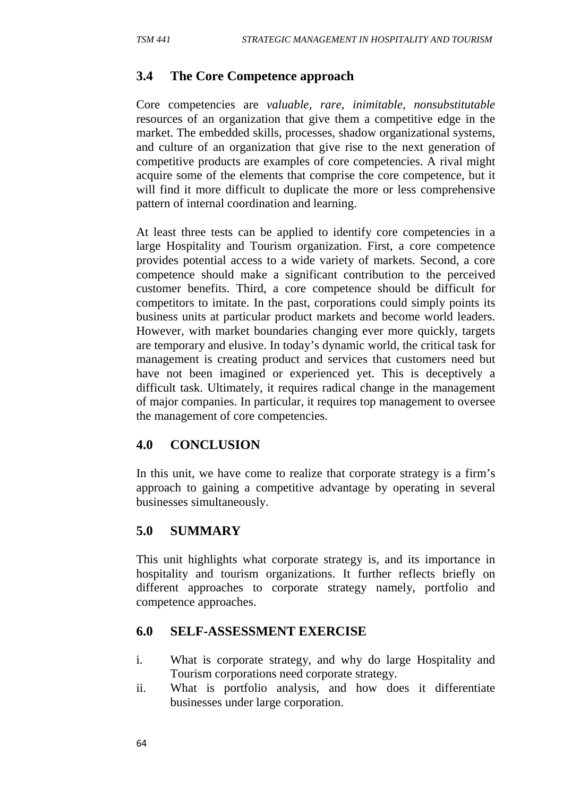## **3.4 The Core Competence approach**

Core competencies are *valuable, rare, inimitable, nonsubstitutable*  resources of an organization that give them a competitive edge in the market. The embedded skills, processes, shadow organizational systems, and culture of an organization that give rise to the next generation of competitive products are examples of core competencies. A rival might acquire some of the elements that comprise the core competence, but it will find it more difficult to duplicate the more or less comprehensive pattern of internal coordination and learning.

At least three tests can be applied to identify core competencies in a large Hospitality and Tourism organization. First, a core competence provides potential access to a wide variety of markets. Second, a core competence should make a significant contribution to the perceived customer benefits. Third, a core competence should be difficult for competitors to imitate. In the past, corporations could simply points its business units at particular product markets and become world leaders. However, with market boundaries changing ever more quickly, targets are temporary and elusive. In today's dynamic world, the critical task for management is creating product and services that customers need but have not been imagined or experienced yet. This is deceptively a difficult task. Ultimately, it requires radical change in the management of major companies. In particular, it requires top management to oversee the management of core competencies.

## **4.0 CONCLUSION**

In this unit, we have come to realize that corporate strategy is a firm's approach to gaining a competitive advantage by operating in several businesses simultaneously.

# **5.0 SUMMARY**

This unit highlights what corporate strategy is, and its importance in hospitality and tourism organizations. It further reflects briefly on different approaches to corporate strategy namely, portfolio and competence approaches.

## **6.0 SELF-ASSESSMENT EXERCISE**

- i. What is corporate strategy, and why do large Hospitality and Tourism corporations need corporate strategy.
- ii. What is portfolio analysis, and how does it differentiate businesses under large corporation.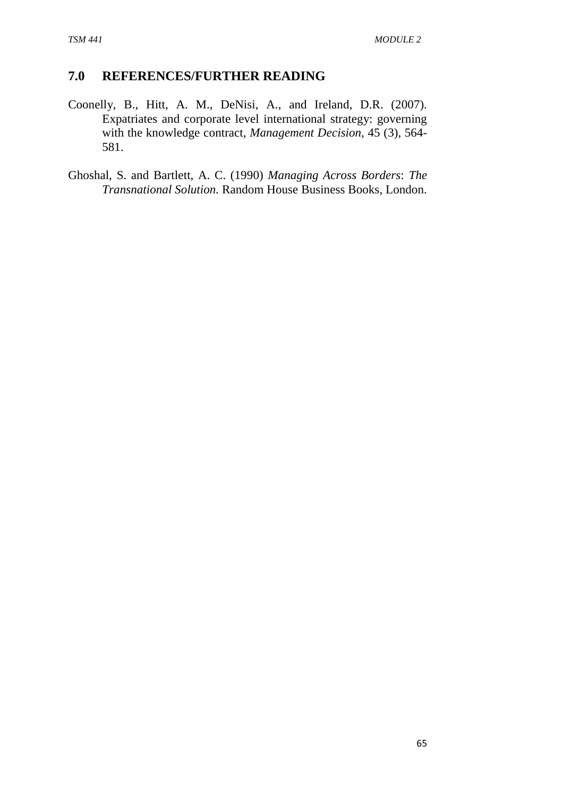## **7.0 REFERENCES/FURTHER READING**

- Coonelly, B., Hitt, A. M., DeNisi, A., and Ireland, D.R. (2007). Expatriates and corporate level international strategy: governing with the knowledge contract, *Management Decision*, 45 (3), 564- 581.
- Ghoshal, S. and Bartlett, A. C. (1990) *Managing Across Borders*: *The Transnational Solution.* Random House Business Books, London.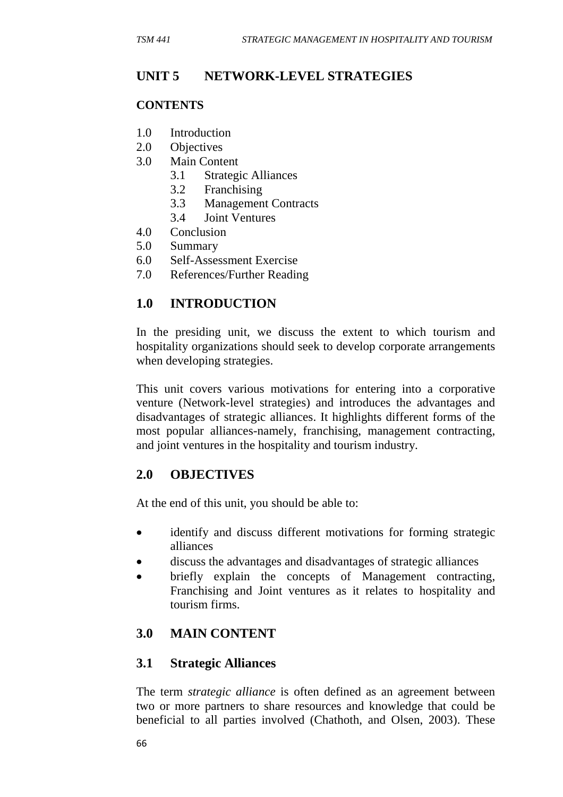## **UNIT 5 NETWORK-LEVEL STRATEGIES**

#### **CONTENTS**

- 1.0 Introduction
- 2.0 Objectives
- 3.0 Main Content
	- 3.1 Strategic Alliances
	- 3.2 Franchising
	- 3.3 Management Contracts
	- 3.4 Joint Ventures
- 4.0 Conclusion
- 5.0 Summary
- 6.0 Self-Assessment Exercise
- 7.0 References/Further Reading

## **1.0 INTRODUCTION**

In the presiding unit, we discuss the extent to which tourism and hospitality organizations should seek to develop corporate arrangements when developing strategies.

This unit covers various motivations for entering into a corporative venture (Network-level strategies) and introduces the advantages and disadvantages of strategic alliances. It highlights different forms of the most popular alliances-namely, franchising, management contracting, and joint ventures in the hospitality and tourism industry.

## **2.0 OBJECTIVES**

At the end of this unit, you should be able to:

- identify and discuss different motivations for forming strategic alliances
- discuss the advantages and disadvantages of strategic alliances
- briefly explain the concepts of Management contracting, Franchising and Joint ventures as it relates to hospitality and tourism firms.

## **3.0 MAIN CONTENT**

#### **3.1 Strategic Alliances**

The term *strategic alliance* is often defined as an agreement between two or more partners to share resources and knowledge that could be beneficial to all parties involved (Chathoth, and Olsen, 2003). These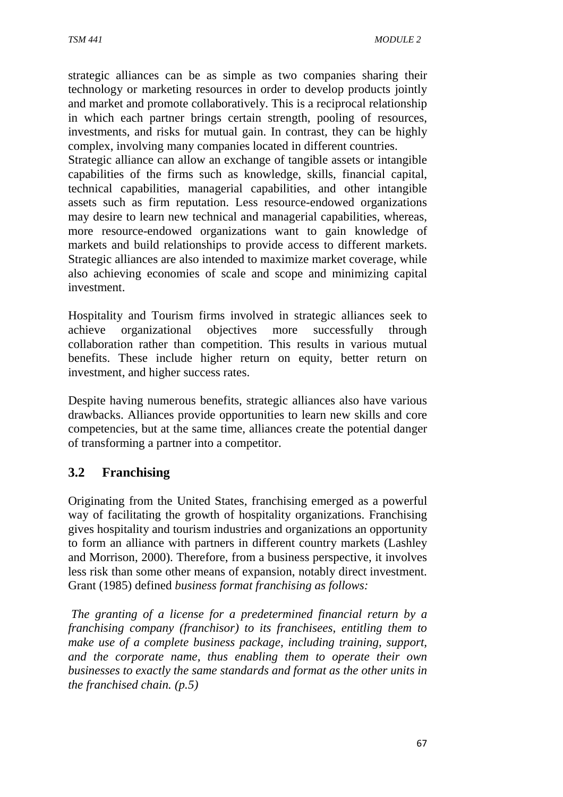strategic alliances can be as simple as two companies sharing their technology or marketing resources in order to develop products jointly and market and promote collaboratively. This is a reciprocal relationship in which each partner brings certain strength, pooling of resources, investments, and risks for mutual gain. In contrast, they can be highly complex, involving many companies located in different countries. Strategic alliance can allow an exchange of tangible assets or intangible capabilities of the firms such as knowledge, skills, financial capital, technical capabilities, managerial capabilities, and other intangible assets such as firm reputation. Less resource-endowed organizations

may desire to learn new technical and managerial capabilities, whereas, more resource-endowed organizations want to gain knowledge of markets and build relationships to provide access to different markets. Strategic alliances are also intended to maximize market coverage, while also achieving economies of scale and scope and minimizing capital investment.

Hospitality and Tourism firms involved in strategic alliances seek to achieve organizational objectives more successfully through collaboration rather than competition. This results in various mutual benefits. These include higher return on equity, better return on investment, and higher success rates.

Despite having numerous benefits, strategic alliances also have various drawbacks. Alliances provide opportunities to learn new skills and core competencies, but at the same time, alliances create the potential danger of transforming a partner into a competitor.

# **3.2 Franchising**

Originating from the United States, franchising emerged as a powerful way of facilitating the growth of hospitality organizations. Franchising gives hospitality and tourism industries and organizations an opportunity to form an alliance with partners in different country markets (Lashley and Morrison, 2000). Therefore, from a business perspective, it involves less risk than some other means of expansion, notably direct investment. Grant (1985) defined *business format franchising as follows:* 

 *The granting of a license for a predetermined financial return by a franchising company (franchisor) to its franchisees, entitling them to make use of a complete business package, including training, support, and the corporate name, thus enabling them to operate their own businesses to exactly the same standards and format as the other units in the franchised chain. (p.5)*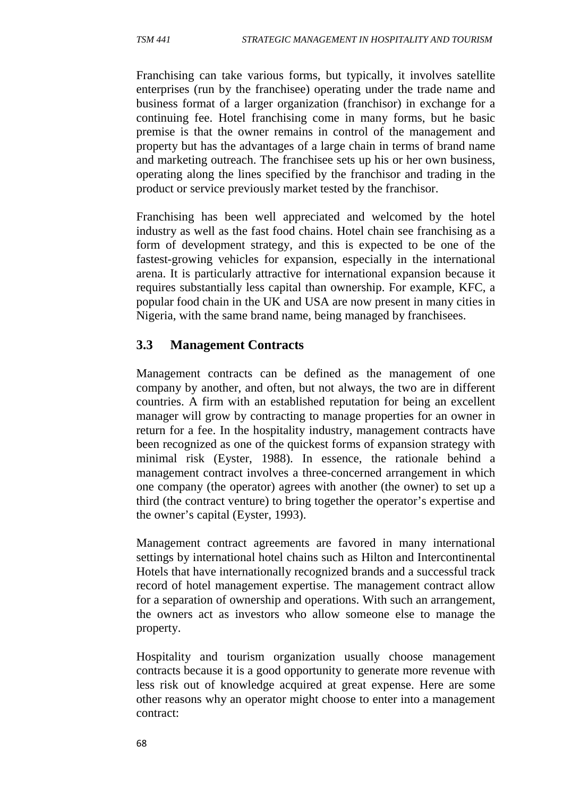Franchising can take various forms, but typically, it involves satellite enterprises (run by the franchisee) operating under the trade name and business format of a larger organization (franchisor) in exchange for a continuing fee. Hotel franchising come in many forms, but he basic premise is that the owner remains in control of the management and property but has the advantages of a large chain in terms of brand name and marketing outreach. The franchisee sets up his or her own business, operating along the lines specified by the franchisor and trading in the product or service previously market tested by the franchisor.

Franchising has been well appreciated and welcomed by the hotel industry as well as the fast food chains. Hotel chain see franchising as a form of development strategy, and this is expected to be one of the fastest-growing vehicles for expansion, especially in the international arena. It is particularly attractive for international expansion because it requires substantially less capital than ownership. For example, KFC, a popular food chain in the UK and USA are now present in many cities in Nigeria, with the same brand name, being managed by franchisees.

## **3.3 Management Contracts**

Management contracts can be defined as the management of one company by another, and often, but not always, the two are in different countries. A firm with an established reputation for being an excellent manager will grow by contracting to manage properties for an owner in return for a fee. In the hospitality industry, management contracts have been recognized as one of the quickest forms of expansion strategy with minimal risk (Eyster, 1988). In essence, the rationale behind a management contract involves a three-concerned arrangement in which one company (the operator) agrees with another (the owner) to set up a third (the contract venture) to bring together the operator's expertise and the owner's capital (Eyster, 1993).

Management contract agreements are favored in many international settings by international hotel chains such as Hilton and Intercontinental Hotels that have internationally recognized brands and a successful track record of hotel management expertise. The management contract allow for a separation of ownership and operations. With such an arrangement, the owners act as investors who allow someone else to manage the property.

Hospitality and tourism organization usually choose management contracts because it is a good opportunity to generate more revenue with less risk out of knowledge acquired at great expense. Here are some other reasons why an operator might choose to enter into a management contract: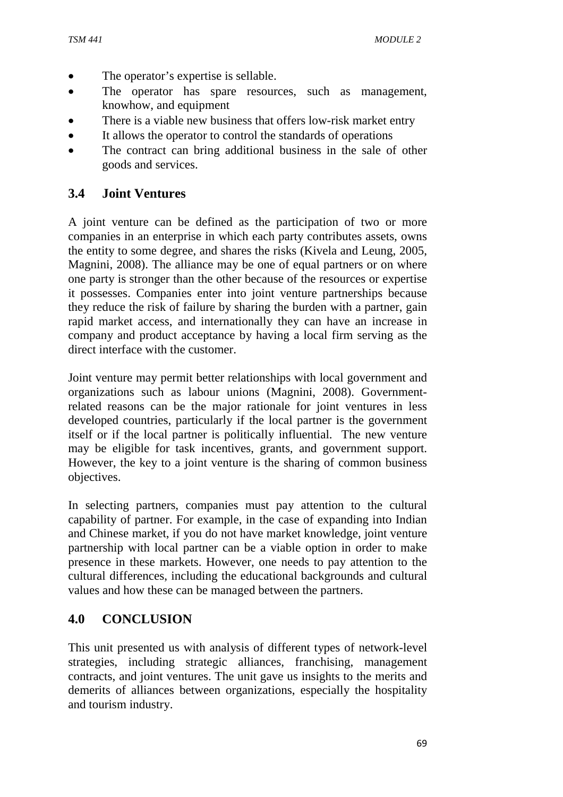- The operator's expertise is sellable.
- The operator has spare resources, such as management, knowhow, and equipment
- There is a viable new business that offers low-risk market entry
- It allows the operator to control the standards of operations
- The contract can bring additional business in the sale of other goods and services.

#### **3.4 Joint Ventures**

A joint venture can be defined as the participation of two or more companies in an enterprise in which each party contributes assets, owns the entity to some degree, and shares the risks (Kivela and Leung, 2005, Magnini, 2008). The alliance may be one of equal partners or on where one party is stronger than the other because of the resources or expertise it possesses. Companies enter into joint venture partnerships because they reduce the risk of failure by sharing the burden with a partner, gain rapid market access, and internationally they can have an increase in company and product acceptance by having a local firm serving as the direct interface with the customer.

Joint venture may permit better relationships with local government and organizations such as labour unions (Magnini, 2008). Governmentrelated reasons can be the major rationale for joint ventures in less developed countries, particularly if the local partner is the government itself or if the local partner is politically influential. The new venture may be eligible for task incentives, grants, and government support. However, the key to a joint venture is the sharing of common business objectives.

In selecting partners, companies must pay attention to the cultural capability of partner. For example, in the case of expanding into Indian and Chinese market, if you do not have market knowledge, joint venture partnership with local partner can be a viable option in order to make presence in these markets. However, one needs to pay attention to the cultural differences, including the educational backgrounds and cultural values and how these can be managed between the partners.

## **4.0 CONCLUSION**

This unit presented us with analysis of different types of network-level strategies, including strategic alliances, franchising, management contracts, and joint ventures. The unit gave us insights to the merits and demerits of alliances between organizations, especially the hospitality and tourism industry.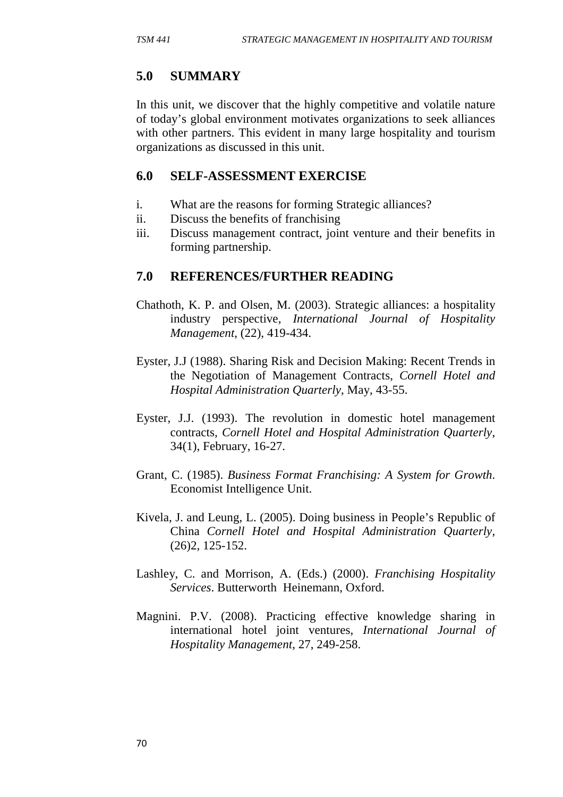## **5.0 SUMMARY**

In this unit, we discover that the highly competitive and volatile nature of today's global environment motivates organizations to seek alliances with other partners. This evident in many large hospitality and tourism organizations as discussed in this unit.

#### **6.0 SELF-ASSESSMENT EXERCISE**

- i. What are the reasons for forming Strategic alliances?
- ii. Discuss the benefits of franchising
- iii. Discuss management contract, joint venture and their benefits in forming partnership.

## **7.0 REFERENCES/FURTHER READING**

- Chathoth, K. P. and Olsen, M. (2003). Strategic alliances: a hospitality industry perspective*, International Journal of Hospitality Management*, (22), 419-434.
- Eyster, J.J (1988). Sharing Risk and Decision Making: Recent Trends in the Negotiation of Management Contracts, *Cornell Hotel and Hospital Administration Quarterly*, May, 43-55.
- Eyster, J.J. (1993). The revolution in domestic hotel management contracts*, Cornell Hotel and Hospital Administration Quarterly*, 34(1), February, 16-27.
- Grant, C. (1985). *Business Format Franchising: A System for Growth*. Economist Intelligence Unit.
- Kivela, J. and Leung, L. (2005). Doing business in People's Republic of China *Cornell Hotel and Hospital Administration Quarterly*, (26)2, 125-152.
- Lashley, C. and Morrison, A. (Eds.) (2000). *Franchising Hospitality Services*. Butterworth Heinemann, Oxford.
- Magnini. P.V. (2008). Practicing effective knowledge sharing in international hotel joint ventures*, International Journal of Hospitality Management*, 27, 249-258.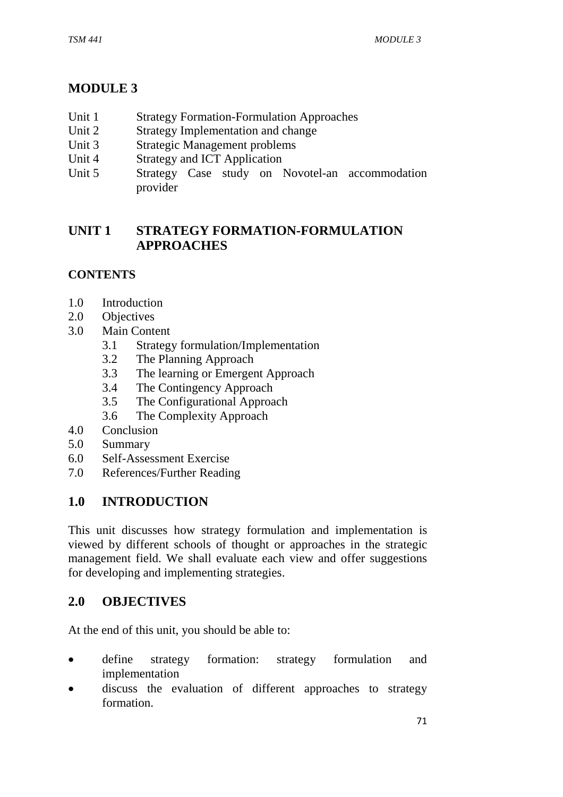# **MODULE 3**

- Unit 1 Strategy Formation-Formulation Approaches
- Unit 2 Strategy Implementation and change
- Unit 3 Strategic Management problems
- Unit 4 Strategy and ICT Application
- Unit 5 Strategy Case study on Novotel-an accommodation provider

# **UNIT 1 STRATEGY FORMATION-FORMULATION APPROACHES**

## **CONTENTS**

- 1.0 Introduction
- 2.0 Objectives
- 3.0 Main Content
	- 3.1 Strategy formulation/Implementation
	- 3.2 The Planning Approach
	- 3.3 The learning or Emergent Approach
	- 3.4 The Contingency Approach
	- 3.5 The Configurational Approach
	- 3.6 The Complexity Approach
- 4.0 Conclusion
- 5.0 Summary
- 6.0 Self-Assessment Exercise
- 7.0 References/Further Reading

## **1.0 INTRODUCTION**

This unit discusses how strategy formulation and implementation is viewed by different schools of thought or approaches in the strategic management field. We shall evaluate each view and offer suggestions for developing and implementing strategies.

# **2.0 OBJECTIVES**

At the end of this unit, you should be able to:

- define strategy formation: strategy formulation and implementation
- discuss the evaluation of different approaches to strategy formation.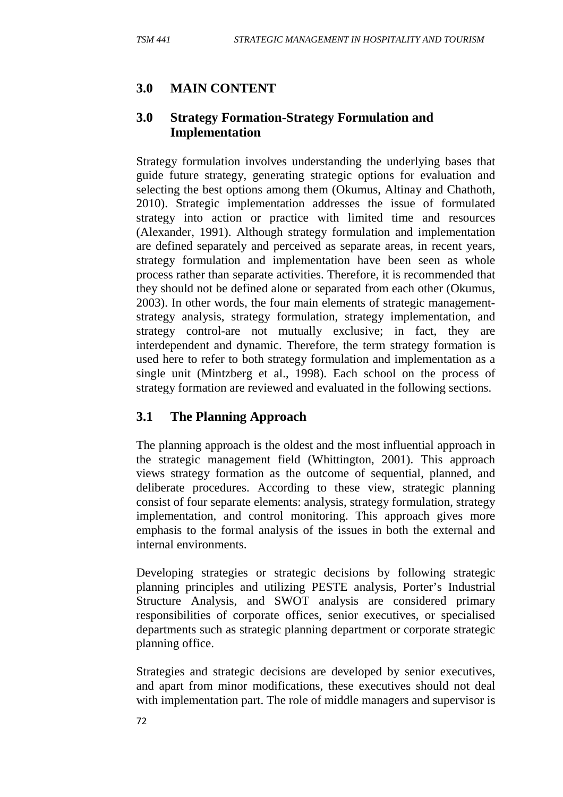## **3.0 MAIN CONTENT**

## **3.0 Strategy Formation-Strategy Formulation and Implementation**

Strategy formulation involves understanding the underlying bases that guide future strategy, generating strategic options for evaluation and selecting the best options among them (Okumus, Altinay and Chathoth, 2010). Strategic implementation addresses the issue of formulated strategy into action or practice with limited time and resources (Alexander, 1991). Although strategy formulation and implementation are defined separately and perceived as separate areas, in recent years, strategy formulation and implementation have been seen as whole process rather than separate activities. Therefore, it is recommended that they should not be defined alone or separated from each other (Okumus, 2003). In other words, the four main elements of strategic managementstrategy analysis, strategy formulation, strategy implementation, and strategy control-are not mutually exclusive; in fact, they are interdependent and dynamic. Therefore, the term strategy formation is used here to refer to both strategy formulation and implementation as a single unit (Mintzberg et al., 1998). Each school on the process of strategy formation are reviewed and evaluated in the following sections.

## **3.1 The Planning Approach**

The planning approach is the oldest and the most influential approach in the strategic management field (Whittington, 2001). This approach views strategy formation as the outcome of sequential, planned, and deliberate procedures. According to these view, strategic planning consist of four separate elements: analysis, strategy formulation, strategy implementation, and control monitoring. This approach gives more emphasis to the formal analysis of the issues in both the external and internal environments.

Developing strategies or strategic decisions by following strategic planning principles and utilizing PESTE analysis, Porter's Industrial Structure Analysis, and SWOT analysis are considered primary responsibilities of corporate offices, senior executives, or specialised departments such as strategic planning department or corporate strategic planning office.

Strategies and strategic decisions are developed by senior executives, and apart from minor modifications, these executives should not deal with implementation part. The role of middle managers and supervisor is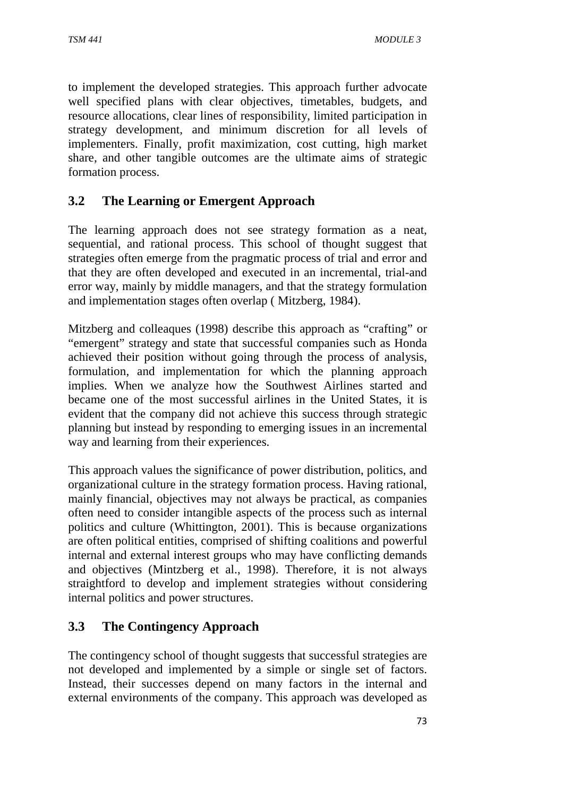to implement the developed strategies. This approach further advocate well specified plans with clear objectives, timetables, budgets, and resource allocations, clear lines of responsibility, limited participation in strategy development, and minimum discretion for all levels of implementers. Finally, profit maximization, cost cutting, high market share, and other tangible outcomes are the ultimate aims of strategic formation process.

## **3.2 The Learning or Emergent Approach**

The learning approach does not see strategy formation as a neat, sequential, and rational process. This school of thought suggest that strategies often emerge from the pragmatic process of trial and error and that they are often developed and executed in an incremental, trial-and error way, mainly by middle managers, and that the strategy formulation and implementation stages often overlap ( Mitzberg, 1984).

Mitzberg and colleaques (1998) describe this approach as "crafting" or "emergent" strategy and state that successful companies such as Honda achieved their position without going through the process of analysis, formulation, and implementation for which the planning approach implies. When we analyze how the Southwest Airlines started and became one of the most successful airlines in the United States, it is evident that the company did not achieve this success through strategic planning but instead by responding to emerging issues in an incremental way and learning from their experiences.

This approach values the significance of power distribution, politics, and organizational culture in the strategy formation process. Having rational, mainly financial, objectives may not always be practical, as companies often need to consider intangible aspects of the process such as internal politics and culture (Whittington, 2001). This is because organizations are often political entities, comprised of shifting coalitions and powerful internal and external interest groups who may have conflicting demands and objectives (Mintzberg et al., 1998). Therefore, it is not always straightford to develop and implement strategies without considering internal politics and power structures.

# **3.3 The Contingency Approach**

The contingency school of thought suggests that successful strategies are not developed and implemented by a simple or single set of factors. Instead, their successes depend on many factors in the internal and external environments of the company. This approach was developed as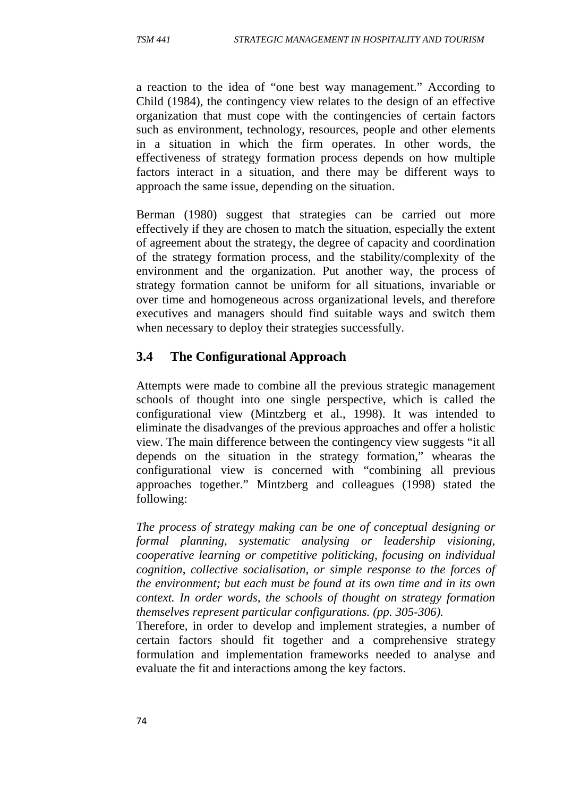a reaction to the idea of "one best way management." According to Child (1984), the contingency view relates to the design of an effective organization that must cope with the contingencies of certain factors such as environment, technology, resources, people and other elements in a situation in which the firm operates. In other words, the effectiveness of strategy formation process depends on how multiple factors interact in a situation, and there may be different ways to approach the same issue, depending on the situation.

Berman (1980) suggest that strategies can be carried out more effectively if they are chosen to match the situation, especially the extent of agreement about the strategy, the degree of capacity and coordination of the strategy formation process, and the stability/complexity of the environment and the organization. Put another way, the process of strategy formation cannot be uniform for all situations, invariable or over time and homogeneous across organizational levels, and therefore executives and managers should find suitable ways and switch them when necessary to deploy their strategies successfully.

#### **3.4 The Configurational Approach**

Attempts were made to combine all the previous strategic management schools of thought into one single perspective, which is called the configurational view (Mintzberg et al., 1998). It was intended to eliminate the disadvanges of the previous approaches and offer a holistic view. The main difference between the contingency view suggests "it all depends on the situation in the strategy formation," whearas the configurational view is concerned with "combining all previous approaches together." Mintzberg and colleagues (1998) stated the following:

*The process of strategy making can be one of conceptual designing or formal planning, systematic analysing or leadership visioning, cooperative learning or competitive politicking, focusing on individual cognition, collective socialisation, or simple response to the forces of the environment; but each must be found at its own time and in its own context. In order words, the schools of thought on strategy formation themselves represent particular configurations. (pp. 305-306).* 

Therefore, in order to develop and implement strategies, a number of certain factors should fit together and a comprehensive strategy formulation and implementation frameworks needed to analyse and evaluate the fit and interactions among the key factors.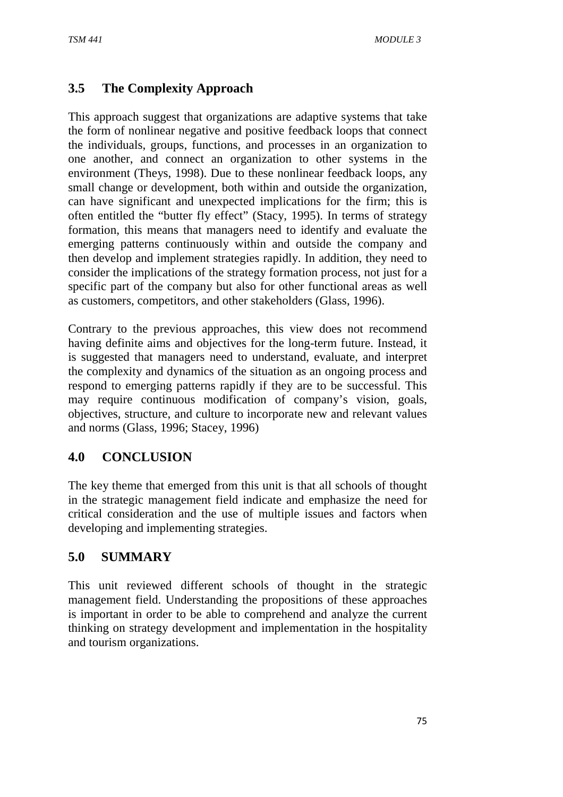## **3.5 The Complexity Approach**

This approach suggest that organizations are adaptive systems that take the form of nonlinear negative and positive feedback loops that connect the individuals, groups, functions, and processes in an organization to one another, and connect an organization to other systems in the environment (Theys, 1998). Due to these nonlinear feedback loops, any small change or development, both within and outside the organization, can have significant and unexpected implications for the firm; this is often entitled the "butter fly effect" (Stacy, 1995). In terms of strategy formation, this means that managers need to identify and evaluate the emerging patterns continuously within and outside the company and then develop and implement strategies rapidly. In addition, they need to consider the implications of the strategy formation process, not just for a specific part of the company but also for other functional areas as well as customers, competitors, and other stakeholders (Glass, 1996).

Contrary to the previous approaches, this view does not recommend having definite aims and objectives for the long-term future. Instead, it is suggested that managers need to understand, evaluate, and interpret the complexity and dynamics of the situation as an ongoing process and respond to emerging patterns rapidly if they are to be successful. This may require continuous modification of company's vision, goals, objectives, structure, and culture to incorporate new and relevant values and norms (Glass, 1996; Stacey, 1996)

## **4.0 CONCLUSION**

The key theme that emerged from this unit is that all schools of thought in the strategic management field indicate and emphasize the need for critical consideration and the use of multiple issues and factors when developing and implementing strategies.

## **5.0 SUMMARY**

This unit reviewed different schools of thought in the strategic management field. Understanding the propositions of these approaches is important in order to be able to comprehend and analyze the current thinking on strategy development and implementation in the hospitality and tourism organizations.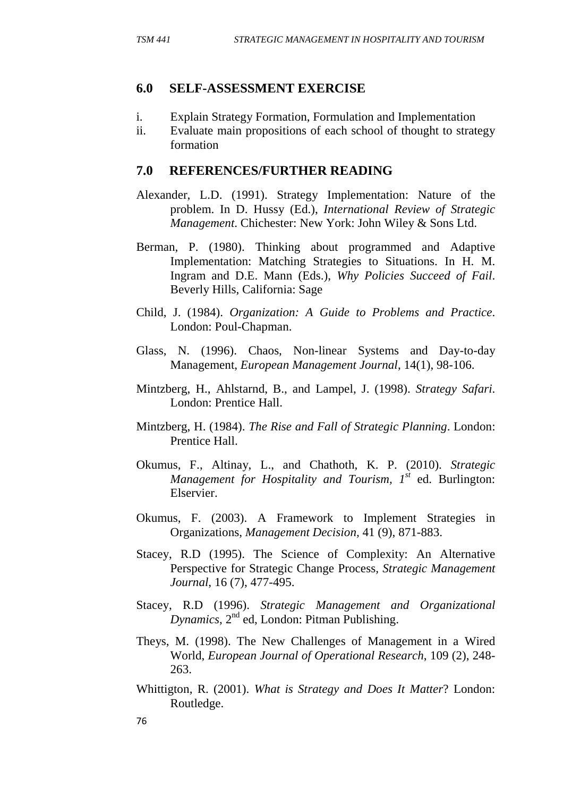#### **6.0 SELF-ASSESSMENT EXERCISE**

- i. Explain Strategy Formation, Formulation and Implementation
- ii. Evaluate main propositions of each school of thought to strategy formation

#### **7.0 REFERENCES/FURTHER READING**

- Alexander, L.D. (1991). Strategy Implementation: Nature of the problem. In D. Hussy (Ed.), *International Review of Strategic Management*. Chichester: New York: John Wiley & Sons Ltd.
- Berman, P. (1980). Thinking about programmed and Adaptive Implementation: Matching Strategies to Situations. In H. M. Ingram and D.E. Mann (Eds.), *Why Policies Succeed of Fail*. Beverly Hills, California: Sage
- Child, J. (1984). *Organization: A Guide to Problems and Practice*. London: Poul-Chapman.
- Glass, N. (1996). Chaos, Non-linear Systems and Day-to-day Management, *European Management Journal*, 14(1), 98-106.
- Mintzberg, H., Ahlstarnd, B., and Lampel, J. (1998). *Strategy Safari*. London: Prentice Hall.
- Mintzberg, H. (1984). *The Rise and Fall of Strategic Planning*. London: Prentice Hall.
- Okumus, F., Altinay, L., and Chathoth, K. P. (2010). *Strategic Management for Hospitality and Tourism, 1st* ed. Burlington: Elservier.
- Okumus, F. (2003). A Framework to Implement Strategies in Organizations, *Management Decision,* 41 (9), 871-883.
- Stacey, R.D (1995). The Science of Complexity: An Alternative Perspective for Strategic Change Process*, Strategic Management Journal*, 16 (7), 477-495.
- Stacey, R.D (1996). *Strategic Management and Organizational Dynamics*, 2nd ed, London: Pitman Publishing.
- Theys, M. (1998). The New Challenges of Management in a Wired World, *European Journal of Operational Research*, 109 (2), 248- 263.
- Whittigton, R. (2001). *What is Strategy and Does It Matter*? London: Routledge.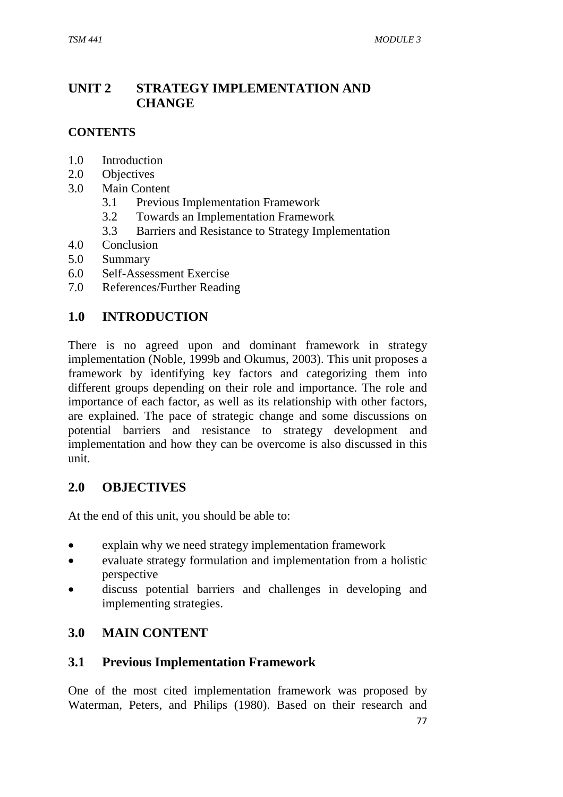# **UNIT 2 STRATEGY IMPLEMENTATION AND CHANGE**

## **CONTENTS**

- 1.0 Introduction
- 2.0 Objectives
- 3.0 Main Content
	- 3.1 Previous Implementation Framework
	- 3.2 Towards an Implementation Framework
	- 3.3 Barriers and Resistance to Strategy Implementation
- 4.0 Conclusion
- 5.0 Summary
- 6.0 Self-Assessment Exercise
- 7.0 References/Further Reading

# **1.0 INTRODUCTION**

There is no agreed upon and dominant framework in strategy implementation (Noble, 1999b and Okumus, 2003). This unit proposes a framework by identifying key factors and categorizing them into different groups depending on their role and importance. The role and importance of each factor, as well as its relationship with other factors, are explained. The pace of strategic change and some discussions on potential barriers and resistance to strategy development and implementation and how they can be overcome is also discussed in this unit.

# **2.0 OBJECTIVES**

At the end of this unit, you should be able to:

- explain why we need strategy implementation framework
- evaluate strategy formulation and implementation from a holistic perspective
- discuss potential barriers and challenges in developing and implementing strategies.

## **3.0 MAIN CONTENT**

## **3.1 Previous Implementation Framework**

One of the most cited implementation framework was proposed by Waterman, Peters, and Philips (1980). Based on their research and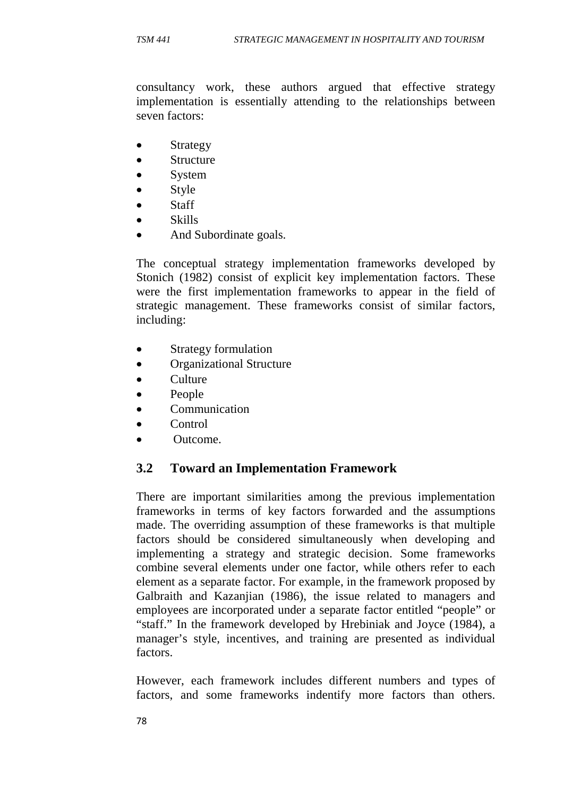consultancy work, these authors argued that effective strategy implementation is essentially attending to the relationships between seven factors:

- Strategy
- Structure
- **System**
- Style
- Staff
- Skills
- And Subordinate goals.

The conceptual strategy implementation frameworks developed by Stonich (1982) consist of explicit key implementation factors. These were the first implementation frameworks to appear in the field of strategic management. These frameworks consist of similar factors, including:

- Strategy formulation
- Organizational Structure
- Culture
- People
- **Communication**
- Control
- Outcome.

## **3.2 Toward an Implementation Framework**

There are important similarities among the previous implementation frameworks in terms of key factors forwarded and the assumptions made. The overriding assumption of these frameworks is that multiple factors should be considered simultaneously when developing and implementing a strategy and strategic decision. Some frameworks combine several elements under one factor, while others refer to each element as a separate factor. For example, in the framework proposed by Galbraith and Kazanjian (1986), the issue related to managers and employees are incorporated under a separate factor entitled "people" or "staff." In the framework developed by Hrebiniak and Joyce (1984), a manager's style, incentives, and training are presented as individual factors.

However, each framework includes different numbers and types of factors, and some frameworks indentify more factors than others.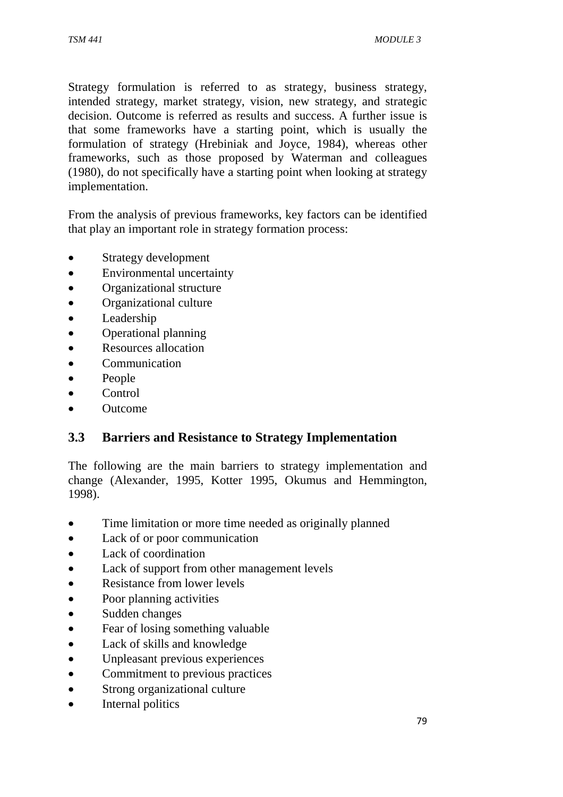Strategy formulation is referred to as strategy, business strategy, intended strategy, market strategy, vision, new strategy, and strategic decision. Outcome is referred as results and success. A further issue is that some frameworks have a starting point, which is usually the formulation of strategy (Hrebiniak and Joyce, 1984), whereas other frameworks, such as those proposed by Waterman and colleagues (1980), do not specifically have a starting point when looking at strategy implementation.

From the analysis of previous frameworks, key factors can be identified that play an important role in strategy formation process:

- Strategy development
- Environmental uncertainty
- Organizational structure
- Organizational culture
- **Leadership**
- Operational planning
- Resources allocation
- Communication
- People
- Control
- Outcome

## **3.3 Barriers and Resistance to Strategy Implementation**

The following are the main barriers to strategy implementation and change (Alexander, 1995, Kotter 1995, Okumus and Hemmington, 1998).

- Time limitation or more time needed as originally planned
- Lack of or poor communication
- Lack of coordination
- Lack of support from other management levels
- Resistance from lower levels
- Poor planning activities
- Sudden changes
- Fear of losing something valuable
- Lack of skills and knowledge
- Unpleasant previous experiences
- Commitment to previous practices
- Strong organizational culture
- Internal politics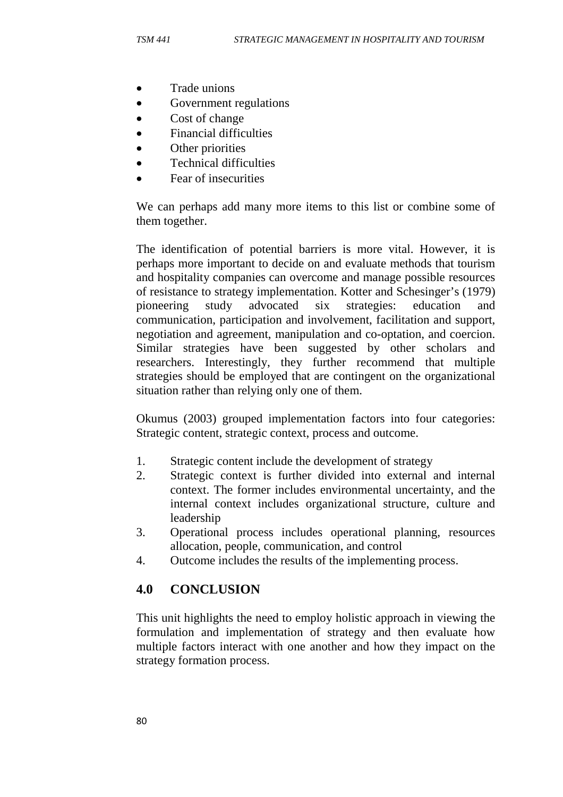- Trade unions
- Government regulations
- Cost of change
- Financial difficulties
- Other priorities
- Technical difficulties
- Fear of insecurities

We can perhaps add many more items to this list or combine some of them together.

The identification of potential barriers is more vital. However, it is perhaps more important to decide on and evaluate methods that tourism and hospitality companies can overcome and manage possible resources of resistance to strategy implementation. Kotter and Schesinger's (1979) pioneering study advocated six strategies: education and communication, participation and involvement, facilitation and support, negotiation and agreement, manipulation and co-optation, and coercion. Similar strategies have been suggested by other scholars and researchers. Interestingly, they further recommend that multiple strategies should be employed that are contingent on the organizational situation rather than relying only one of them.

Okumus (2003) grouped implementation factors into four categories: Strategic content, strategic context, process and outcome.

- 1. Strategic content include the development of strategy
- 2. Strategic context is further divided into external and internal context. The former includes environmental uncertainty, and the internal context includes organizational structure, culture and leadership
- 3. Operational process includes operational planning, resources allocation, people, communication, and control
- 4. Outcome includes the results of the implementing process.

#### **4.0 CONCLUSION**

This unit highlights the need to employ holistic approach in viewing the formulation and implementation of strategy and then evaluate how multiple factors interact with one another and how they impact on the strategy formation process.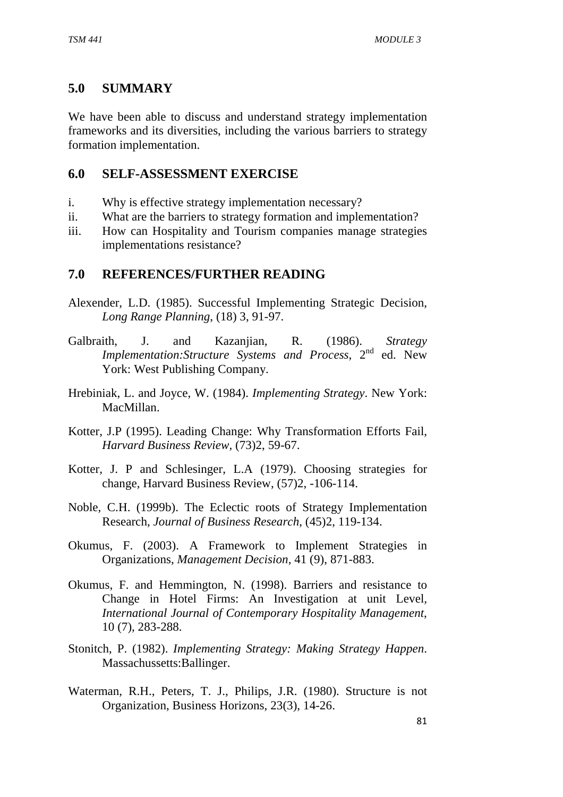## **5.0 SUMMARY**

We have been able to discuss and understand strategy implementation frameworks and its diversities, including the various barriers to strategy formation implementation.

#### **6.0 SELF-ASSESSMENT EXERCISE**

- i. Why is effective strategy implementation necessary?
- ii. What are the barriers to strategy formation and implementation?
- iii. How can Hospitality and Tourism companies manage strategies implementations resistance?

## **7.0 REFERENCES/FURTHER READING**

- Alexender, L.D. (1985). Successful Implementing Strategic Decision, *Long Range Planning*, (18) 3, 91-97.
- Galbraith, J. and Kazanjian, R. (1986). *Strategy Implementation:Structure Systems and Process,* 2<sup>nd</sup> ed. New York: West Publishing Company.
- Hrebiniak, L. and Joyce, W. (1984). *Implementing Strategy*. New York: MacMillan.
- Kotter, J.P (1995). Leading Change: Why Transformation Efforts Fail, *Harvard Business Review,* (73)2, 59-67.
- Kotter, J. P and Schlesinger, L.A (1979). Choosing strategies for change, Harvard Business Review, (57)2, -106-114.
- Noble, C.H. (1999b). The Eclectic roots of Strategy Implementation Research, *Journal of Business Research*, (45)2, 119-134.
- Okumus, F. (2003). A Framework to Implement Strategies in Organizations, *Management Decision,* 41 (9), 871-883.
- Okumus, F. and Hemmington, N. (1998). Barriers and resistance to Change in Hotel Firms: An Investigation at unit Level*, International Journal of Contemporary Hospitality Management*, 10 (7), 283-288.
- Stonitch, P. (1982). *Implementing Strategy: Making Strategy Happen*. Massachussetts:Ballinger.
- Waterman, R.H., Peters, T. J., Philips, J.R. (1980). Structure is not Organization, Business Horizons, 23(3), 14-26.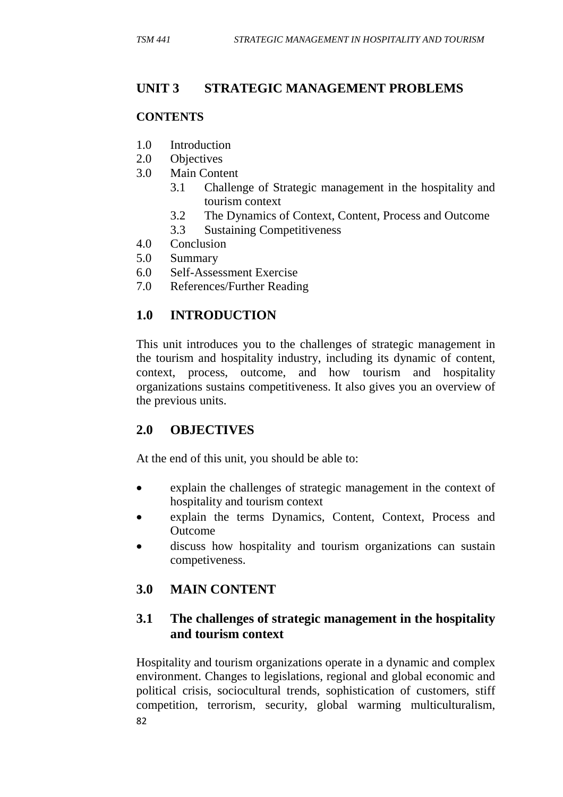# **UNIT 3 STRATEGIC MANAGEMENT PROBLEMS**

#### **CONTENTS**

- 1.0 Introduction
- 2.0 Objectives
- 3.0 Main Content
	- 3.1 Challenge of Strategic management in the hospitality and tourism context
	- 3.2 The Dynamics of Context, Content, Process and Outcome
	- 3.3 Sustaining Competitiveness
- 4.0 Conclusion
- 5.0 Summary
- 6.0 Self-Assessment Exercise
- 7.0 References/Further Reading

# **1.0 INTRODUCTION**

This unit introduces you to the challenges of strategic management in the tourism and hospitality industry, including its dynamic of content, context, process, outcome, and how tourism and hospitality organizations sustains competitiveness. It also gives you an overview of the previous units.

## **2.0 OBJECTIVES**

At the end of this unit, you should be able to:

- explain the challenges of strategic management in the context of hospitality and tourism context
- explain the terms Dynamics, Content, Context, Process and Outcome
- discuss how hospitality and tourism organizations can sustain competiveness.

# **3.0 MAIN CONTENT**

## **3.1 The challenges of strategic management in the hospitality and tourism context**

82 Hospitality and tourism organizations operate in a dynamic and complex environment. Changes to legislations, regional and global economic and political crisis, sociocultural trends, sophistication of customers, stiff competition, terrorism, security, global warming multiculturalism,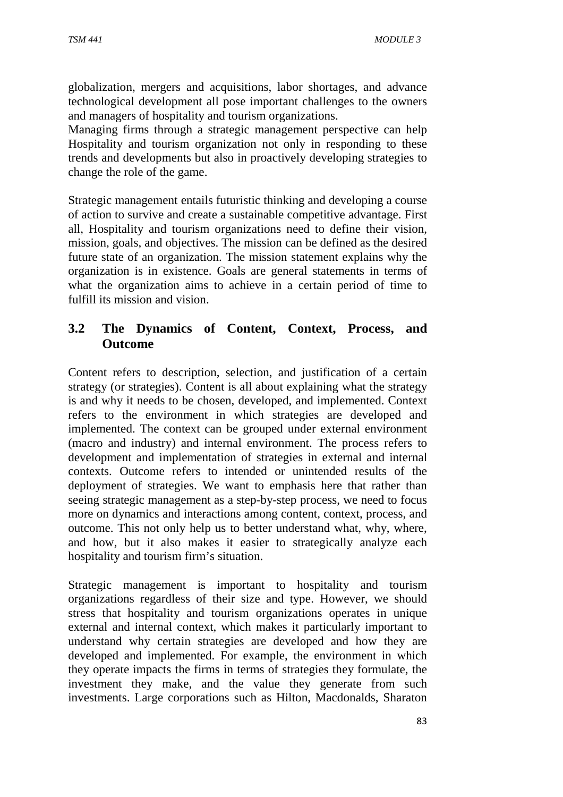globalization, mergers and acquisitions, labor shortages, and advance technological development all pose important challenges to the owners and managers of hospitality and tourism organizations.

Managing firms through a strategic management perspective can help Hospitality and tourism organization not only in responding to these trends and developments but also in proactively developing strategies to change the role of the game.

Strategic management entails futuristic thinking and developing a course of action to survive and create a sustainable competitive advantage. First all, Hospitality and tourism organizations need to define their vision, mission, goals, and objectives. The mission can be defined as the desired future state of an organization. The mission statement explains why the organization is in existence. Goals are general statements in terms of what the organization aims to achieve in a certain period of time to fulfill its mission and vision.

## **3.2 The Dynamics of Content, Context, Process, and Outcome**

Content refers to description, selection, and justification of a certain strategy (or strategies). Content is all about explaining what the strategy is and why it needs to be chosen, developed, and implemented. Context refers to the environment in which strategies are developed and implemented. The context can be grouped under external environment (macro and industry) and internal environment. The process refers to development and implementation of strategies in external and internal contexts. Outcome refers to intended or unintended results of the deployment of strategies. We want to emphasis here that rather than seeing strategic management as a step-by-step process, we need to focus more on dynamics and interactions among content, context, process, and outcome. This not only help us to better understand what, why, where, and how, but it also makes it easier to strategically analyze each hospitality and tourism firm's situation.

Strategic management is important to hospitality and tourism organizations regardless of their size and type. However, we should stress that hospitality and tourism organizations operates in unique external and internal context, which makes it particularly important to understand why certain strategies are developed and how they are developed and implemented. For example, the environment in which they operate impacts the firms in terms of strategies they formulate, the investment they make, and the value they generate from such investments. Large corporations such as Hilton, Macdonalds, Sharaton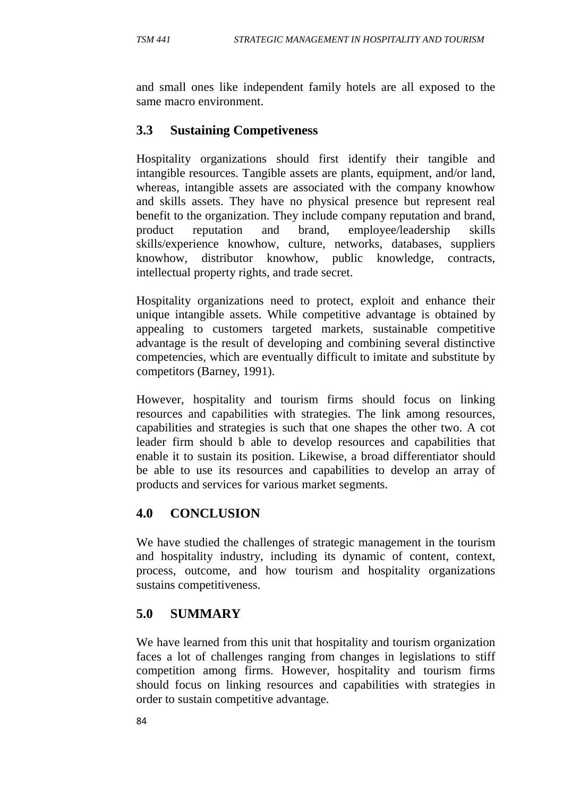and small ones like independent family hotels are all exposed to the same macro environment.

## **3.3 Sustaining Competiveness**

Hospitality organizations should first identify their tangible and intangible resources. Tangible assets are plants, equipment, and/or land, whereas, intangible assets are associated with the company knowhow and skills assets. They have no physical presence but represent real benefit to the organization. They include company reputation and brand, product reputation and brand, employee/leadership skills skills/experience knowhow, culture, networks, databases, suppliers knowhow, distributor knowhow, public knowledge, contracts, intellectual property rights, and trade secret.

Hospitality organizations need to protect, exploit and enhance their unique intangible assets. While competitive advantage is obtained by appealing to customers targeted markets, sustainable competitive advantage is the result of developing and combining several distinctive competencies, which are eventually difficult to imitate and substitute by competitors (Barney, 1991).

However, hospitality and tourism firms should focus on linking resources and capabilities with strategies. The link among resources, capabilities and strategies is such that one shapes the other two. A cot leader firm should b able to develop resources and capabilities that enable it to sustain its position. Likewise, a broad differentiator should be able to use its resources and capabilities to develop an array of products and services for various market segments.

# **4.0 CONCLUSION**

We have studied the challenges of strategic management in the tourism and hospitality industry, including its dynamic of content, context, process, outcome, and how tourism and hospitality organizations sustains competitiveness.

## **5.0 SUMMARY**

We have learned from this unit that hospitality and tourism organization faces a lot of challenges ranging from changes in legislations to stiff competition among firms. However, hospitality and tourism firms should focus on linking resources and capabilities with strategies in order to sustain competitive advantage.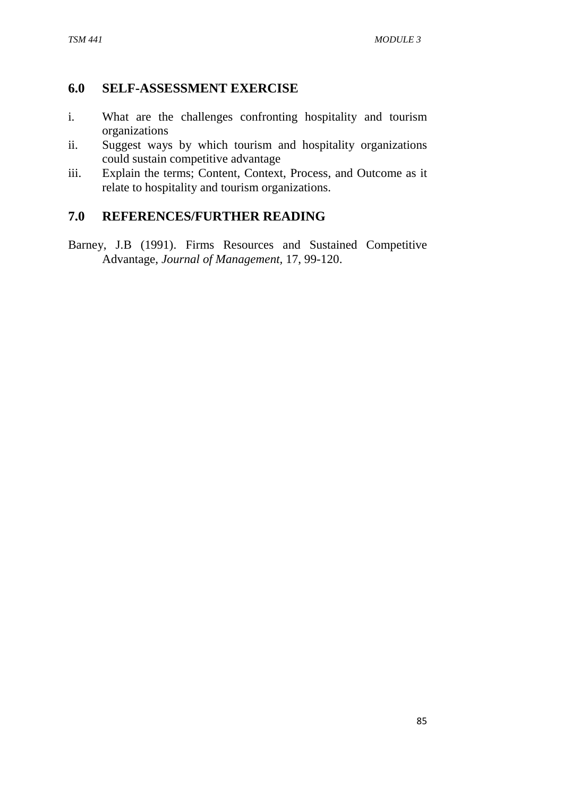## **6.0 SELF-ASSESSMENT EXERCISE**

- i. What are the challenges confronting hospitality and tourism organizations
- ii. Suggest ways by which tourism and hospitality organizations could sustain competitive advantage
- iii. Explain the terms; Content, Context, Process, and Outcome as it relate to hospitality and tourism organizations.

# **7.0 REFERENCES/FURTHER READING**

Barney, J.B (1991). Firms Resources and Sustained Competitive Advantage, *Journal of Management,* 17, 99-120.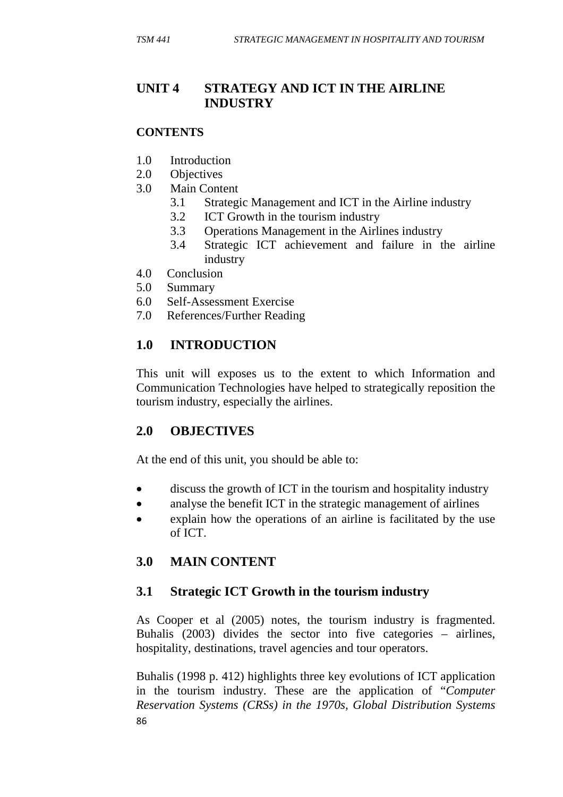# **UNIT 4 STRATEGY AND ICT IN THE AIRLINE INDUSTRY**

#### **CONTENTS**

- 1.0 Introduction
- 2.0 Objectives
- 3.0 Main Content
	- 3.1 Strategic Management and ICT in the Airline industry
	- 3.2 ICT Growth in the tourism industry
	- 3.3 Operations Management in the Airlines industry
	- 3.4 Strategic ICT achievement and failure in the airline industry
- 4.0 Conclusion
- 5.0 Summary
- 6.0 Self-Assessment Exercise
- 7.0 References/Further Reading

## **1.0 INTRODUCTION**

This unit will exposes us to the extent to which Information and Communication Technologies have helped to strategically reposition the tourism industry, especially the airlines.

## **2.0 OBJECTIVES**

At the end of this unit, you should be able to:

- discuss the growth of ICT in the tourism and hospitality industry
- analyse the benefit ICT in the strategic management of airlines
- explain how the operations of an airline is facilitated by the use of ICT.

# **3.0 MAIN CONTENT**

## **3.1 Strategic ICT Growth in the tourism industry**

As Cooper et al (2005) notes, the tourism industry is fragmented. Buhalis (2003) divides the sector into five categories – airlines, hospitality, destinations, travel agencies and tour operators.

86 Buhalis (1998 p. 412) highlights three key evolutions of ICT application in the tourism industry. These are the application of "*Computer Reservation Systems (CRSs) in the 1970s, Global Distribution Systems*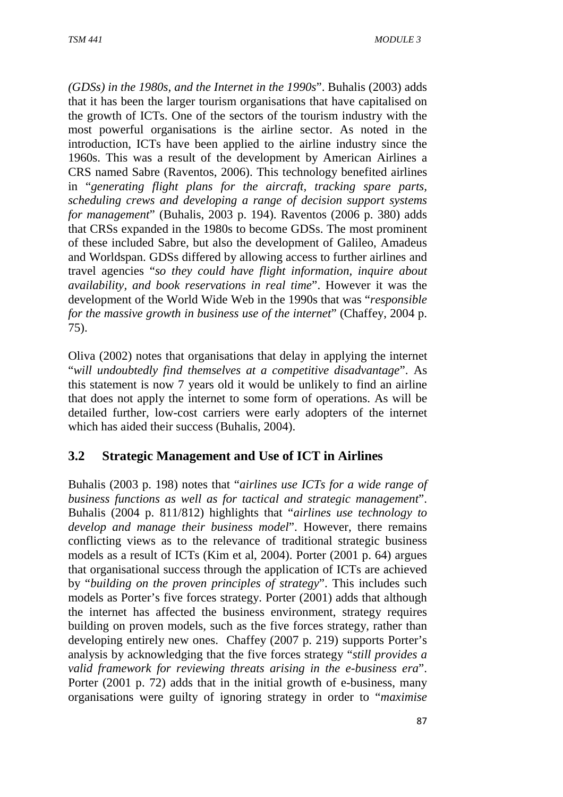*(GDSs) in the 1980s, and the Internet in the 1990s*". Buhalis (2003) adds that it has been the larger tourism organisations that have capitalised on the growth of ICTs. One of the sectors of the tourism industry with the most powerful organisations is the airline sector. As noted in the introduction, ICTs have been applied to the airline industry since the 1960s. This was a result of the development by American Airlines a CRS named Sabre (Raventos, 2006). This technology benefited airlines in "*generating flight plans for the aircraft, tracking spare parts, scheduling crews and developing a range of decision support systems for management*" (Buhalis, 2003 p. 194). Raventos (2006 p. 380) adds that CRSs expanded in the 1980s to become GDSs. The most prominent of these included Sabre, but also the development of Galileo, Amadeus and Worldspan. GDSs differed by allowing access to further airlines and travel agencies "*so they could have flight information, inquire about availability, and book reservations in real time*". However it was the development of the World Wide Web in the 1990s that was "*responsible for the massive growth in business use of the internet*" (Chaffey, 2004 p. 75).

Oliva (2002) notes that organisations that delay in applying the internet "*will undoubtedly find themselves at a competitive disadvantage*". As this statement is now 7 years old it would be unlikely to find an airline that does not apply the internet to some form of operations. As will be detailed further, low-cost carriers were early adopters of the internet which has aided their success (Buhalis, 2004).

## **3.2 Strategic Management and Use of ICT in Airlines**

Buhalis (2003 p. 198) notes that "*airlines use ICTs for a wide range of business functions as well as for tactical and strategic management*". Buhalis (2004 p. 811/812) highlights that "*airlines use technology to develop and manage their business model*". However, there remains conflicting views as to the relevance of traditional strategic business models as a result of ICTs (Kim et al, 2004). Porter (2001 p. 64) argues that organisational success through the application of ICTs are achieved by "*building on the proven principles of strategy*". This includes such models as Porter's five forces strategy. Porter (2001) adds that although the internet has affected the business environment, strategy requires building on proven models, such as the five forces strategy, rather than developing entirely new ones. Chaffey (2007 p. 219) supports Porter's analysis by acknowledging that the five forces strategy "*still provides a valid framework for reviewing threats arising in the e-business era*". Porter (2001 p. 72) adds that in the initial growth of e-business, many organisations were guilty of ignoring strategy in order to "*maximise*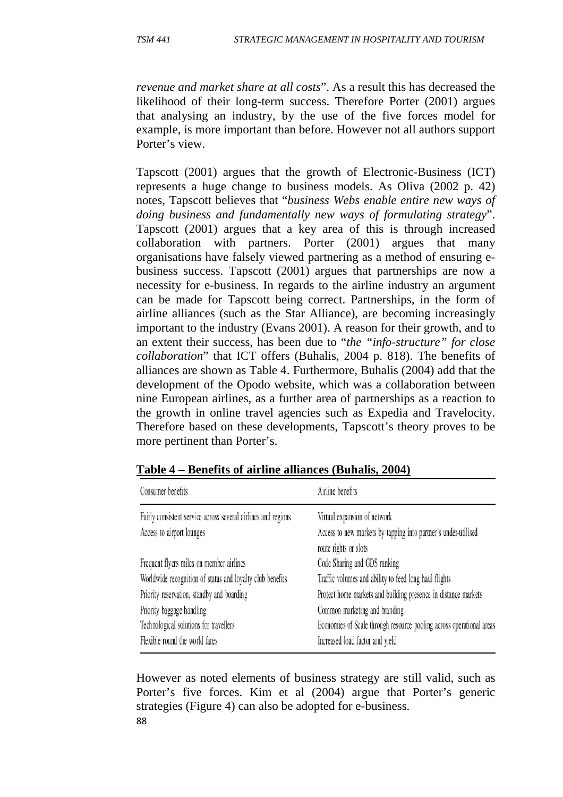*revenue and market share at all costs*". As a result this has decreased the likelihood of their long-term success. Therefore Porter (2001) argues that analysing an industry, by the use of the five forces model for example, is more important than before. However not all authors support Porter's view.

Tapscott (2001) argues that the growth of Electronic-Business (ICT) represents a huge change to business models. As Oliva (2002 p. 42) notes, Tapscott believes that "*business Webs enable entire new ways of doing business and fundamentally new ways of formulating strategy*". Tapscott (2001) argues that a key area of this is through increased collaboration with partners. Porter (2001) argues that many organisations have falsely viewed partnering as a method of ensuring ebusiness success. Tapscott (2001) argues that partnerships are now a necessity for e-business. In regards to the airline industry an argument can be made for Tapscott being correct. Partnerships, in the form of airline alliances (such as the Star Alliance), are becoming increasingly important to the industry (Evans 2001). A reason for their growth, and to an extent their success, has been due to "*the "info-structure" for close collaboration*" that ICT offers (Buhalis, 2004 p. 818). The benefits of alliances are shown as Table 4. Furthermore, Buhalis (2004) add that the development of the Opodo website, which was a collaboration between nine European airlines, as a further area of partnerships as a reaction to the growth in online travel agencies such as Expedia and Travelocity. Therefore based on these developments, Tapscott's theory proves to be more pertinent than Porter's.

| Consumer benefits                                             | Airline benefits                                                                        |
|---------------------------------------------------------------|-----------------------------------------------------------------------------------------|
| Fairly consistent service across several airlines and regions | Virtual expansion of network                                                            |
| Access to airport lounges                                     | Access to new markets by tapping into partner's under-utilised<br>route rights or slots |
| Frequent flyers miles on member airlines                      | Code Sharing and GDS ranking                                                            |
| Worldwide recognition of status and loyalty club benefits     | Traffic volumes and ability to feed long haul flights                                   |
| Priority reservation, standby and boarding                    | Protect home markets and building presence in distance markets                          |
| Priority baggage handling                                     | Common marketing and branding                                                           |
| Technological solutions for travellers                        | Economies of Scale through resource pooling across operational areas                    |
| Flexible round the world fares                                | Increased load factor and yield                                                         |

**Table 4 – Benefits of airline alliances (Buhalis, 2004)**

88 However as noted elements of business strategy are still valid, such as Porter's five forces. Kim et al (2004) argue that Porter's generic strategies (Figure 4) can also be adopted for e-business.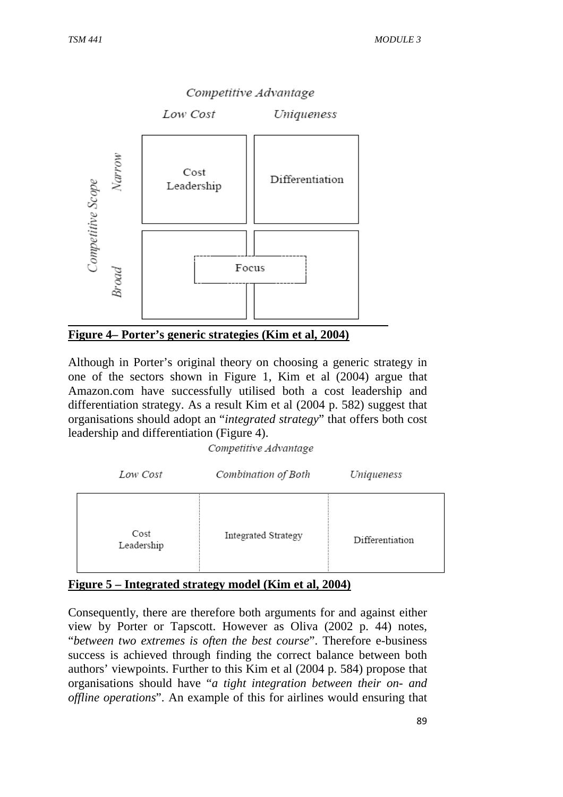

#### **Figure 4– Porter's generic strategies (Kim et al, 2004)**

Although in Porter's original theory on choosing a generic strategy in one of the sectors shown in Figure 1, Kim et al (2004) argue that Amazon.com have successfully utilised both a cost leadership and differentiation strategy. As a result Kim et al (2004 p. 582) suggest that organisations should adopt an "*integrated strategy*" that offers both cost leadership and differentiation (Figure 4).

Competitive Advantage

| Low Cost           | Combination of Both | Uniqueness      |
|--------------------|---------------------|-----------------|
| Cost<br>Leadership | Integrated Strategy | Differentiation |

#### **Figure 5 – Integrated strategy model (Kim et al, 2004)**

Consequently, there are therefore both arguments for and against either view by Porter or Tapscott. However as Oliva (2002 p. 44) notes, "*between two extremes is often the best course*". Therefore e-business success is achieved through finding the correct balance between both authors' viewpoints. Further to this Kim et al (2004 p. 584) propose that organisations should have "*a tight integration between their on- and offline operations*". An example of this for airlines would ensuring that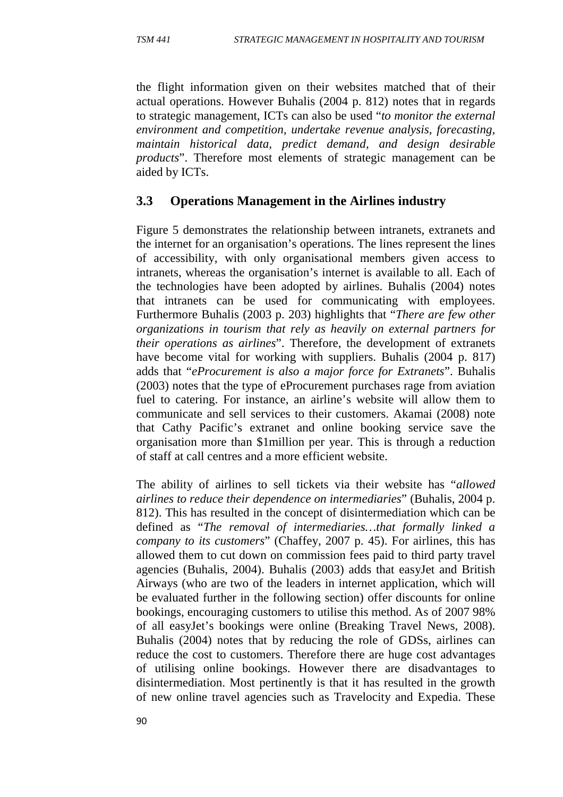the flight information given on their websites matched that of their actual operations. However Buhalis (2004 p. 812) notes that in regards to strategic management, ICTs can also be used "*to monitor the external environment and competition, undertake revenue analysis, forecasting, maintain historical data, predict demand, and design desirable products*". Therefore most elements of strategic management can be aided by ICTs.

## **3.3 Operations Management in the Airlines industry**

Figure 5 demonstrates the relationship between intranets, extranets and the internet for an organisation's operations. The lines represent the lines of accessibility, with only organisational members given access to intranets, whereas the organisation's internet is available to all. Each of the technologies have been adopted by airlines. Buhalis (2004) notes that intranets can be used for communicating with employees. Furthermore Buhalis (2003 p. 203) highlights that "*There are few other organizations in tourism that rely as heavily on external partners for their operations as airlines*". Therefore, the development of extranets have become vital for working with suppliers. Buhalis (2004 p. 817) adds that "*eProcurement is also a major force for Extranets*". Buhalis (2003) notes that the type of eProcurement purchases rage from aviation fuel to catering. For instance, an airline's website will allow them to communicate and sell services to their customers. Akamai (2008) note that Cathy Pacific's extranet and online booking service save the organisation more than \$1million per year. This is through a reduction of staff at call centres and a more efficient website.

The ability of airlines to sell tickets via their website has "*allowed airlines to reduce their dependence on intermediaries*" (Buhalis, 2004 p. 812). This has resulted in the concept of disintermediation which can be defined as "*The removal of intermediaries…that formally linked a company to its customers*" (Chaffey, 2007 p. 45). For airlines, this has allowed them to cut down on commission fees paid to third party travel agencies (Buhalis, 2004). Buhalis (2003) adds that easyJet and British Airways (who are two of the leaders in internet application, which will be evaluated further in the following section) offer discounts for online bookings, encouraging customers to utilise this method. As of 2007 98% of all easyJet's bookings were online (Breaking Travel News, 2008). Buhalis (2004) notes that by reducing the role of GDSs, airlines can reduce the cost to customers. Therefore there are huge cost advantages of utilising online bookings. However there are disadvantages to disintermediation. Most pertinently is that it has resulted in the growth of new online travel agencies such as Travelocity and Expedia. These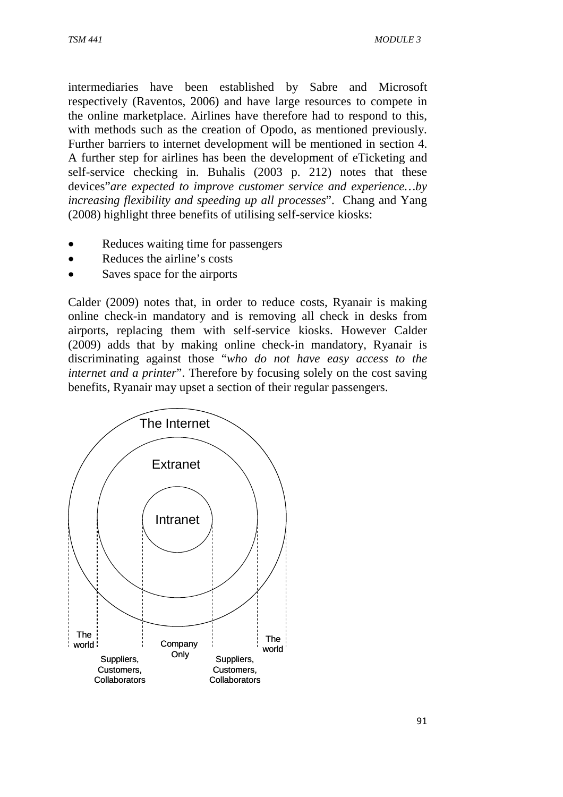intermediaries have been established by Sabre and Microsoft respectively (Raventos, 2006) and have large resources to compete in the online marketplace. Airlines have therefore had to respond to this, with methods such as the creation of Opodo, as mentioned previously. Further barriers to internet development will be mentioned in section 4. A further step for airlines has been the development of eTicketing and self-service checking in. Buhalis (2003 p. 212) notes that these devices"*are expected to improve customer service and experience…by increasing flexibility and speeding up all processes*". Chang and Yang (2008) highlight three benefits of utilising self-service kiosks:

- Reduces waiting time for passengers
- Reduces the airline's costs
- Saves space for the airports

Calder (2009) notes that, in order to reduce costs, Ryanair is making online check-in mandatory and is removing all check in desks from airports, replacing them with self-service kiosks. However Calder (2009) adds that by making online check-in mandatory, Ryanair is discriminating against those "*who do not have easy access to the internet and a printer*". Therefore by focusing solely on the cost saving benefits, Ryanair may upset a section of their regular passengers.

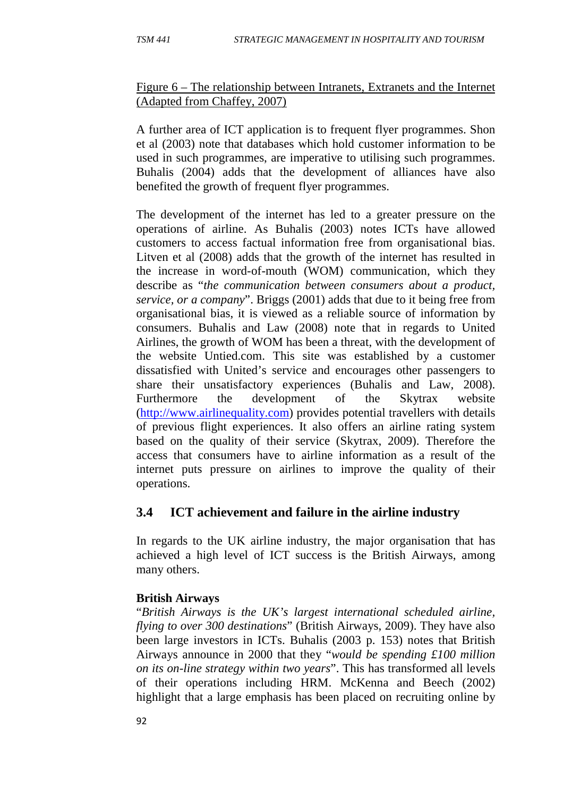#### Figure 6 – The relationship between Intranets, Extranets and the Internet (Adapted from Chaffey, 2007)

A further area of ICT application is to frequent flyer programmes. Shon et al (2003) note that databases which hold customer information to be used in such programmes, are imperative to utilising such programmes. Buhalis (2004) adds that the development of alliances have also benefited the growth of frequent flyer programmes.

The development of the internet has led to a greater pressure on the operations of airline. As Buhalis (2003) notes ICTs have allowed customers to access factual information free from organisational bias. Litven et al (2008) adds that the growth of the internet has resulted in the increase in word-of-mouth (WOM) communication, which they describe as "*the communication between consumers about a product, service, or a company*". Briggs (2001) adds that due to it being free from organisational bias, it is viewed as a reliable source of information by consumers. Buhalis and Law (2008) note that in regards to United Airlines, the growth of WOM has been a threat, with the development of the website Untied.com. This site was established by a customer dissatisfied with United's service and encourages other passengers to share their unsatisfactory experiences (Buhalis and Law, 2008). Furthermore the development of the Skytrax website (http://www.airlinequality.com) provides potential travellers with details of previous flight experiences. It also offers an airline rating system based on the quality of their service (Skytrax, 2009). Therefore the access that consumers have to airline information as a result of the internet puts pressure on airlines to improve the quality of their operations.

## **3.4 ICT achievement and failure in the airline industry**

In regards to the UK airline industry, the major organisation that has achieved a high level of ICT success is the British Airways, among many others.

#### **British Airways**

"*British Airways is the UK's largest international scheduled airline, flying to over 300 destinations*" (British Airways, 2009). They have also been large investors in ICTs. Buhalis (2003 p. 153) notes that British Airways announce in 2000 that they "*would be spending £100 million on its on-line strategy within two years*". This has transformed all levels of their operations including HRM. McKenna and Beech (2002) highlight that a large emphasis has been placed on recruiting online by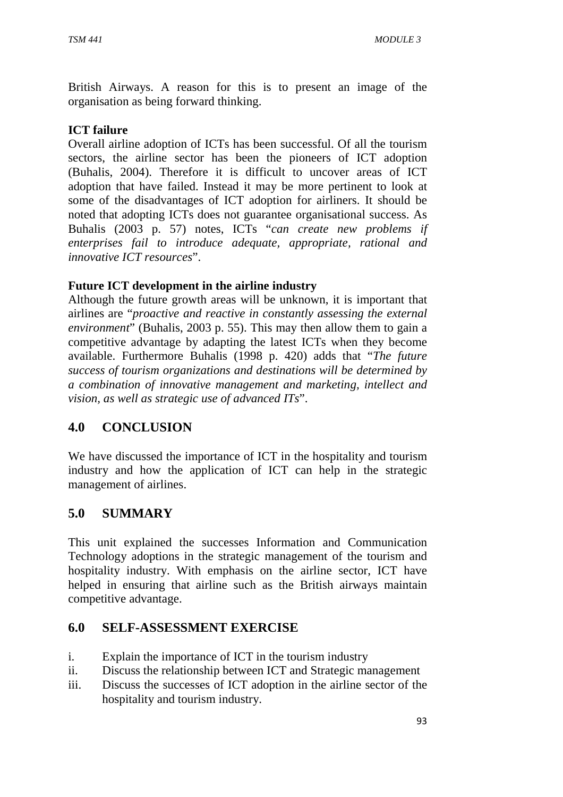British Airways. A reason for this is to present an image of the organisation as being forward thinking.

#### **ICT failure**

Overall airline adoption of ICTs has been successful. Of all the tourism sectors, the airline sector has been the pioneers of ICT adoption (Buhalis, 2004). Therefore it is difficult to uncover areas of ICT adoption that have failed. Instead it may be more pertinent to look at some of the disadvantages of ICT adoption for airliners. It should be noted that adopting ICTs does not guarantee organisational success. As Buhalis (2003 p. 57) notes, ICTs "*can create new problems if enterprises fail to introduce adequate, appropriate, rational and innovative ICT resources*".

#### **Future ICT development in the airline industry**

Although the future growth areas will be unknown, it is important that airlines are "*proactive and reactive in constantly assessing the external environment*" (Buhalis, 2003 p. 55). This may then allow them to gain a competitive advantage by adapting the latest ICTs when they become available. Furthermore Buhalis (1998 p. 420) adds that "*The future success of tourism organizations and destinations will be determined by a combination of innovative management and marketing, intellect and vision, as well as strategic use of advanced ITs*".

## **4.0 CONCLUSION**

We have discussed the importance of ICT in the hospitality and tourism industry and how the application of ICT can help in the strategic management of airlines.

## **5.0 SUMMARY**

This unit explained the successes Information and Communication Technology adoptions in the strategic management of the tourism and hospitality industry. With emphasis on the airline sector, ICT have helped in ensuring that airline such as the British airways maintain competitive advantage.

#### **6.0 SELF-ASSESSMENT EXERCISE**

- i. Explain the importance of ICT in the tourism industry
- ii. Discuss the relationship between ICT and Strategic management
- iii. Discuss the successes of ICT adoption in the airline sector of the hospitality and tourism industry.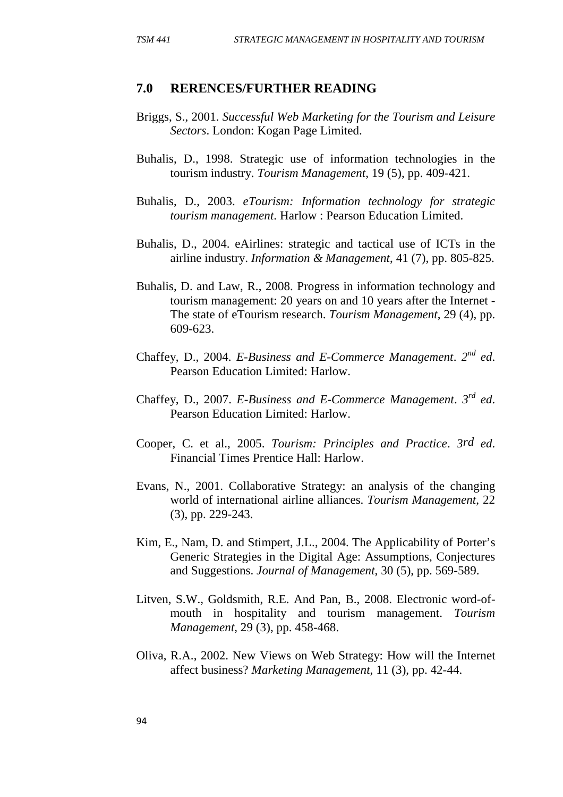#### **7.0 RERENCES/FURTHER READING**

- Briggs, S., 2001. *Successful Web Marketing for the Tourism and Leisure Sectors*. London: Kogan Page Limited.
- Buhalis, D., 1998. Strategic use of information technologies in the tourism industry. *Tourism Management*, 19 (5), pp. 409-421.
- Buhalis, D., 2003. *eTourism: Information technology for strategic tourism management*. Harlow : Pearson Education Limited.
- Buhalis, D., 2004. eAirlines: strategic and tactical use of ICTs in the airline industry. *Information & Management*, 41 (7), pp. 805-825.
- Buhalis, D. and Law, R., 2008. Progress in information technology and tourism management: 20 years on and 10 years after the Internet - The state of eTourism research. *Tourism Management*, 29 (4), pp. 609-623.
- Chaffey, D., 2004. *E-Business and E-Commerce Management*. *2 nd ed*. Pearson Education Limited: Harlow.
- Chaffey, D., 2007. *E-Business and E-Commerce Management*. *3 rd ed*. Pearson Education Limited: Harlow.
- Cooper, C. et al., 2005. *Tourism: Principles and Practice*. *3rd ed*. Financial Times Prentice Hall: Harlow.
- Evans, N., 2001. Collaborative Strategy: an analysis of the changing world of international airline alliances. *Tourism Management*, 22 (3), pp. 229-243.
- Kim, E., Nam, D. and Stimpert, J.L., 2004. The Applicability of Porter's Generic Strategies in the Digital Age: Assumptions, Conjectures and Suggestions. *Journal of Management*, 30 (5), pp. 569-589.
- Litven, S.W., Goldsmith, R.E. And Pan, B., 2008. Electronic word-ofmouth in hospitality and tourism management. *Tourism Management*, 29 (3), pp. 458-468.
- Oliva, R.A., 2002. New Views on Web Strategy: How will the Internet affect business? *Marketing Management*, 11 (3), pp. 42-44.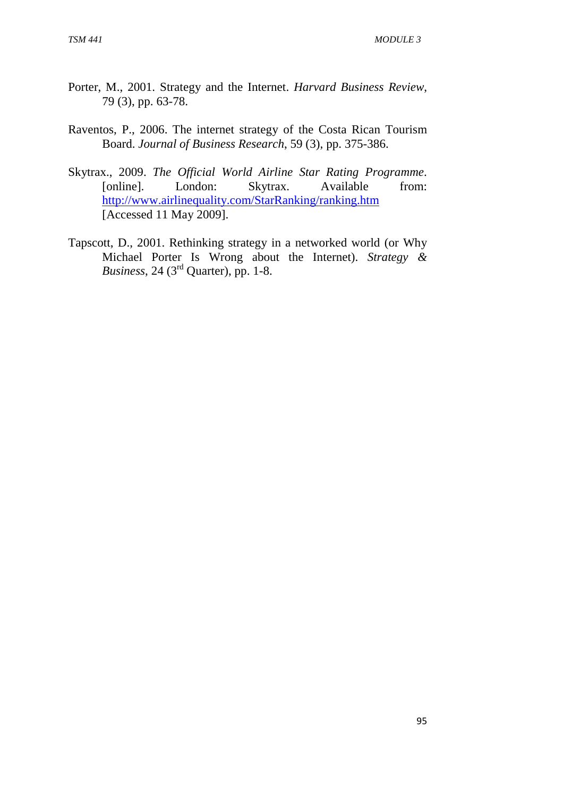- Porter, M., 2001. Strategy and the Internet. *Harvard Business Review*, 79 (3), pp. 63-78.
- Raventos, P., 2006. The internet strategy of the Costa Rican Tourism Board. *Journal of Business Research*, 59 (3), pp. 375-386.
- Skytrax., 2009. *The Official World Airline Star Rating Programme*. [online]. London: Skytrax. Available from: http://www.airlinequality.com/StarRanking/ranking.htm [Accessed 11 May 2009].
- Tapscott, D., 2001. Rethinking strategy in a networked world (or Why Michael Porter Is Wrong about the Internet). *Strategy & Business*, 24 (3<sup>rd</sup> Quarter), pp. 1-8.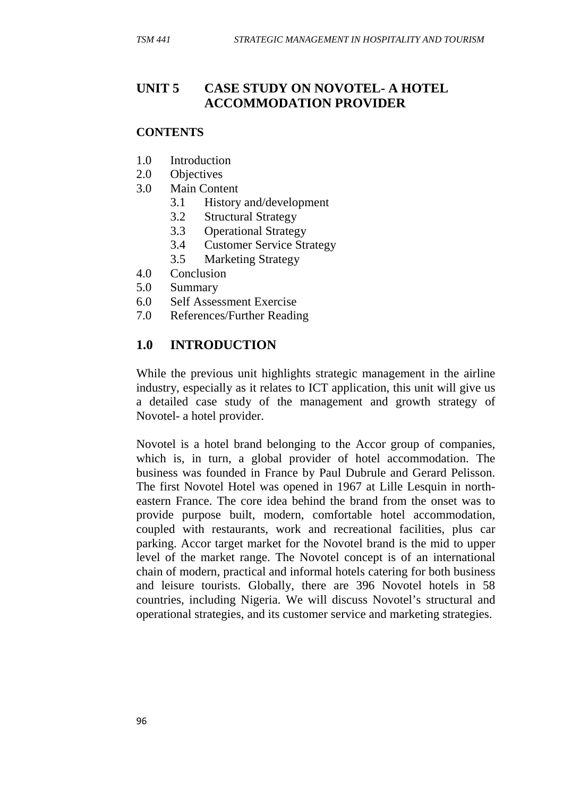#### **UNIT 5 CASE STUDY ON NOVOTEL- A HOTEL ACCOMMODATION PROVIDER**

#### **CONTENTS**

- 1.0 Introduction
- 2.0 Objectives
- 3.0 Main Content
	- 3.1 History and/development
	- 3.2 Structural Strategy
	- 3.3 Operational Strategy
	- 3.4 Customer Service Strategy
	- 3.5 Marketing Strategy
- 4.0 Conclusion
- 5.0 Summary
- 6.0 Self Assessment Exercise
- 7.0 References/Further Reading

#### **1.0 INTRODUCTION**

While the previous unit highlights strategic management in the airline industry, especially as it relates to ICT application, this unit will give us a detailed case study of the management and growth strategy of Novotel- a hotel provider.

Novotel is a hotel brand belonging to the Accor group of companies, which is, in turn, a global provider of hotel accommodation. The business was founded in France by Paul Dubrule and Gerard Pelisson. The first Novotel Hotel was opened in 1967 at Lille Lesquin in northeastern France. The core idea behind the brand from the onset was to provide purpose built, modern, comfortable hotel accommodation, coupled with restaurants, work and recreational facilities, plus car parking. Accor target market for the Novotel brand is the mid to upper level of the market range. The Novotel concept is of an international chain of modern, practical and informal hotels catering for both business and leisure tourists. Globally, there are 396 Novotel hotels in 58 countries, including Nigeria. We will discuss Novotel's structural and operational strategies, and its customer service and marketing strategies.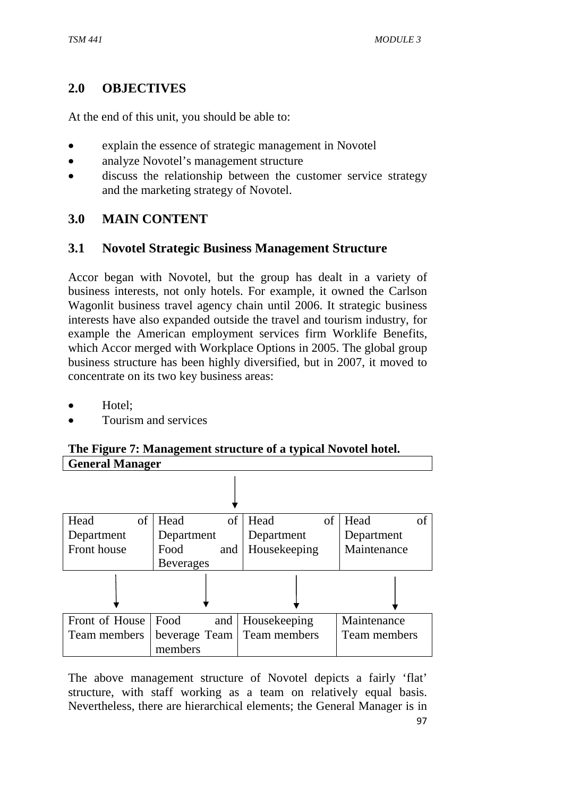# **2.0 OBJECTIVES**

At the end of this unit, you should be able to:

- explain the essence of strategic management in Novotel
- analyze Novotel's management structure
- discuss the relationship between the customer service strategy and the marketing strategy of Novotel.

# **3.0 MAIN CONTENT**

## **3.1 Novotel Strategic Business Management Structure**

Accor began with Novotel, but the group has dealt in a variety of business interests, not only hotels. For example, it owned the Carlson Wagonlit business travel agency chain until 2006. It strategic business interests have also expanded outside the travel and tourism industry, for example the American employment services firm Worklife Benefits, which Accor merged with Workplace Options in 2005. The global group business structure has been highly diversified, but in 2007, it moved to concentrate on its two key business areas:

- Hotel;
- Tourism and services

#### **The Figure 7: Management structure of a typical Novotel hotel. General Manager**

| Head<br>of     | Head<br>of               | Head<br>of   | Head<br>of   |  |  |
|----------------|--------------------------|--------------|--------------|--|--|
| Department     | Department               | Department   | Department   |  |  |
| Front house    | Food<br>and              | Housekeeping | Maintenance  |  |  |
|                | <b>Beverages</b>         |              |              |  |  |
|                |                          |              |              |  |  |
| Front of House | Food<br>and              | Housekeeping | Maintenance  |  |  |
| Team members   | beverage Team<br>members | Team members | Team members |  |  |

The above management structure of Novotel depicts a fairly 'flat' structure, with staff working as a team on relatively equal basis. Nevertheless, there are hierarchical elements; the General Manager is in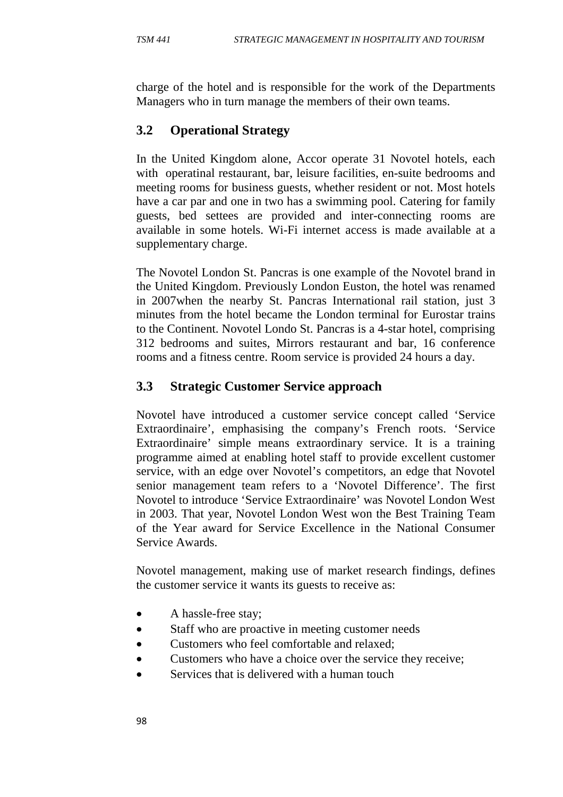charge of the hotel and is responsible for the work of the Departments Managers who in turn manage the members of their own teams.

#### **3.2 Operational Strategy**

In the United Kingdom alone, Accor operate 31 Novotel hotels, each with operatinal restaurant, bar, leisure facilities, en-suite bedrooms and meeting rooms for business guests, whether resident or not. Most hotels have a car par and one in two has a swimming pool. Catering for family guests, bed settees are provided and inter-connecting rooms are available in some hotels. Wi-Fi internet access is made available at a supplementary charge.

The Novotel London St. Pancras is one example of the Novotel brand in the United Kingdom. Previously London Euston, the hotel was renamed in 2007when the nearby St. Pancras International rail station, just 3 minutes from the hotel became the London terminal for Eurostar trains to the Continent. Novotel Londo St. Pancras is a 4-star hotel, comprising 312 bedrooms and suites, Mirrors restaurant and bar, 16 conference rooms and a fitness centre. Room service is provided 24 hours a day.

#### **3.3 Strategic Customer Service approach**

Novotel have introduced a customer service concept called 'Service Extraordinaire', emphasising the company's French roots. 'Service Extraordinaire' simple means extraordinary service. It is a training programme aimed at enabling hotel staff to provide excellent customer service, with an edge over Novotel's competitors, an edge that Novotel senior management team refers to a 'Novotel Difference'. The first Novotel to introduce 'Service Extraordinaire' was Novotel London West in 2003. That year, Novotel London West won the Best Training Team of the Year award for Service Excellence in the National Consumer Service Awards.

Novotel management, making use of market research findings, defines the customer service it wants its guests to receive as:

- A hassle-free stay;
- Staff who are proactive in meeting customer needs
- Customers who feel comfortable and relaxed;
- Customers who have a choice over the service they receive;
- Services that is delivered with a human touch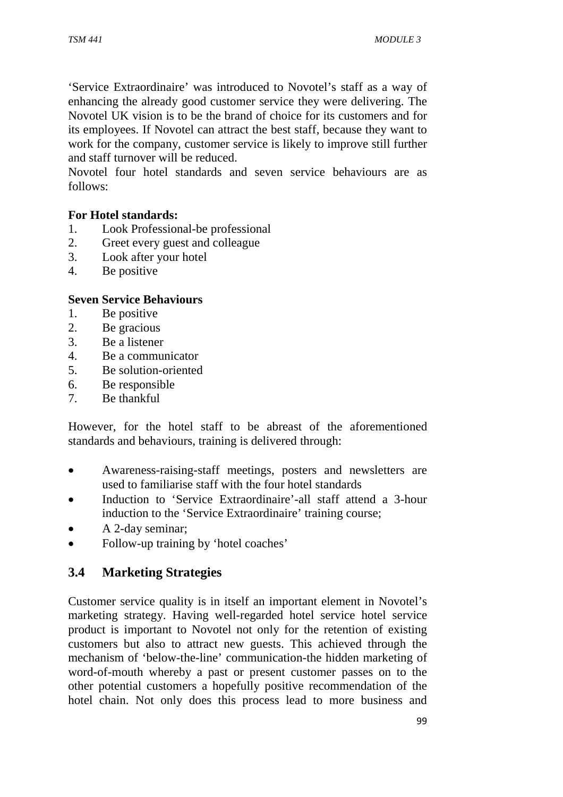'Service Extraordinaire' was introduced to Novotel's staff as a way of enhancing the already good customer service they were delivering. The Novotel UK vision is to be the brand of choice for its customers and for its employees. If Novotel can attract the best staff, because they want to work for the company, customer service is likely to improve still further and staff turnover will be reduced.

Novotel four hotel standards and seven service behaviours are as follows:

#### **For Hotel standards:**

- 1. Look Professional-be professional
- 2. Greet every guest and colleague
- 3. Look after your hotel
- 4. Be positive

#### **Seven Service Behaviours**

- 1. Be positive
- 2. Be gracious
- 3. Be a listener
- 4. Be a communicator
- 5. Be solution-oriented
- 6. Be responsible
- 7. Be thankful

However, for the hotel staff to be abreast of the aforementioned standards and behaviours, training is delivered through:

- Awareness-raising-staff meetings, posters and newsletters are used to familiarise staff with the four hotel standards
- Induction to 'Service Extraordinaire'-all staff attend a 3-hour induction to the 'Service Extraordinaire' training course;
- A 2-day seminar;
- Follow-up training by 'hotel coaches'

# **3.4 Marketing Strategies**

Customer service quality is in itself an important element in Novotel's marketing strategy. Having well-regarded hotel service hotel service product is important to Novotel not only for the retention of existing customers but also to attract new guests. This achieved through the mechanism of 'below-the-line' communication-the hidden marketing of word-of-mouth whereby a past or present customer passes on to the other potential customers a hopefully positive recommendation of the hotel chain. Not only does this process lead to more business and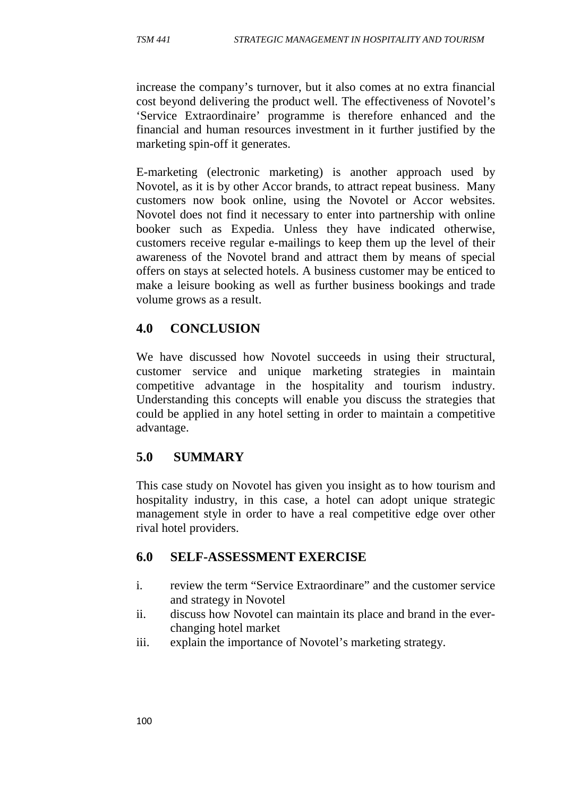increase the company's turnover, but it also comes at no extra financial cost beyond delivering the product well. The effectiveness of Novotel's 'Service Extraordinaire' programme is therefore enhanced and the financial and human resources investment in it further justified by the marketing spin-off it generates.

E-marketing (electronic marketing) is another approach used by Novotel, as it is by other Accor brands, to attract repeat business. Many customers now book online, using the Novotel or Accor websites. Novotel does not find it necessary to enter into partnership with online booker such as Expedia. Unless they have indicated otherwise, customers receive regular e-mailings to keep them up the level of their awareness of the Novotel brand and attract them by means of special offers on stays at selected hotels. A business customer may be enticed to make a leisure booking as well as further business bookings and trade volume grows as a result.

# **4.0 CONCLUSION**

We have discussed how Novotel succeeds in using their structural, customer service and unique marketing strategies in maintain competitive advantage in the hospitality and tourism industry. Understanding this concepts will enable you discuss the strategies that could be applied in any hotel setting in order to maintain a competitive advantage.

# **5.0 SUMMARY**

This case study on Novotel has given you insight as to how tourism and hospitality industry, in this case, a hotel can adopt unique strategic management style in order to have a real competitive edge over other rival hotel providers.

#### **6.0 SELF-ASSESSMENT EXERCISE**

- i. review the term "Service Extraordinare" and the customer service and strategy in Novotel
- ii. discuss how Novotel can maintain its place and brand in the everchanging hotel market
- iii. explain the importance of Novotel's marketing strategy.